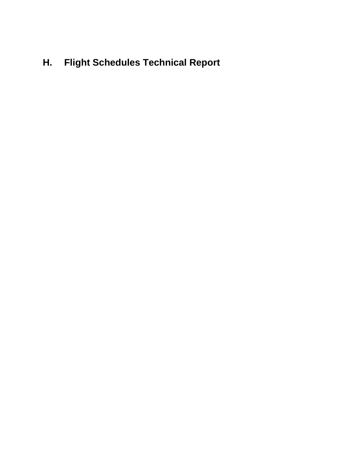# **H. Flight Schedules Technical Report**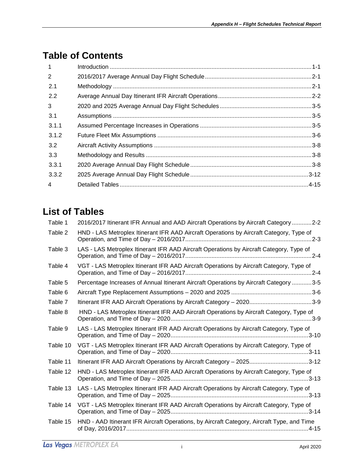## **Table of Contents**

| $\mathbf{1}$   |  |
|----------------|--|
| 2              |  |
| 2.1            |  |
| 2.2            |  |
| $\mathbf{3}$   |  |
| 3.1            |  |
| 3.1.1          |  |
| 3.1.2          |  |
| 3.2            |  |
| 3.3            |  |
| 3.3.1          |  |
| 3.3.2          |  |
| $\overline{4}$ |  |

# **List of Tables**

| HND - LAS Metroplex Itinerant IFR AAD Aircraft Operations by Aircraft Category, Type of<br>LAS - LAS Metroplex Itinerant IFR AAD Aircraft Operations by Aircraft Category, Type of<br>VGT - LAS Metroplex Itinerant IFR AAD Aircraft Operations by Aircraft Category, Type of<br>Percentage Increases of Annual Itinerant Aircraft Operations by Aircraft Category 3-5<br>HND - LAS Metroplex Itinerant IFR AAD Aircraft Operations by Aircraft Category, Type of<br>LAS - LAS Metroplex Itinerant IFR AAD Aircraft Operations by Aircraft Category, Type of<br>VGT - LAS Metroplex Itinerant IFR AAD Aircraft Operations by Aircraft Category, Type of<br>Itinerant IFR AAD Aircraft Operations by Aircraft Category - 20253-12<br>HND - LAS Metroplex Itinerant IFR AAD Aircraft Operations by Aircraft Category, Type of<br>LAS - LAS Metroplex Itinerant IFR AAD Aircraft Operations by Aircraft Category, Type of<br>VGT - LAS Metroplex Itinerant IFR AAD Aircraft Operations by Aircraft Category, Type of<br>HND - AAD Itinerant IFR Aircraft Operations, by Aircraft Category, Aircraft Type, and Time | Table 1  | 2016/2017 Itinerant IFR Annual and AAD Aircraft Operations by Aircraft Category 2-2 |
|-----------------------------------------------------------------------------------------------------------------------------------------------------------------------------------------------------------------------------------------------------------------------------------------------------------------------------------------------------------------------------------------------------------------------------------------------------------------------------------------------------------------------------------------------------------------------------------------------------------------------------------------------------------------------------------------------------------------------------------------------------------------------------------------------------------------------------------------------------------------------------------------------------------------------------------------------------------------------------------------------------------------------------------------------------------------------------------------------------------------|----------|-------------------------------------------------------------------------------------|
|                                                                                                                                                                                                                                                                                                                                                                                                                                                                                                                                                                                                                                                                                                                                                                                                                                                                                                                                                                                                                                                                                                                 | Table 2  |                                                                                     |
|                                                                                                                                                                                                                                                                                                                                                                                                                                                                                                                                                                                                                                                                                                                                                                                                                                                                                                                                                                                                                                                                                                                 | Table 3  |                                                                                     |
|                                                                                                                                                                                                                                                                                                                                                                                                                                                                                                                                                                                                                                                                                                                                                                                                                                                                                                                                                                                                                                                                                                                 | Table 4  |                                                                                     |
|                                                                                                                                                                                                                                                                                                                                                                                                                                                                                                                                                                                                                                                                                                                                                                                                                                                                                                                                                                                                                                                                                                                 | Table 5  |                                                                                     |
|                                                                                                                                                                                                                                                                                                                                                                                                                                                                                                                                                                                                                                                                                                                                                                                                                                                                                                                                                                                                                                                                                                                 | Table 6  |                                                                                     |
|                                                                                                                                                                                                                                                                                                                                                                                                                                                                                                                                                                                                                                                                                                                                                                                                                                                                                                                                                                                                                                                                                                                 | Table 7  |                                                                                     |
|                                                                                                                                                                                                                                                                                                                                                                                                                                                                                                                                                                                                                                                                                                                                                                                                                                                                                                                                                                                                                                                                                                                 | Table 8  |                                                                                     |
|                                                                                                                                                                                                                                                                                                                                                                                                                                                                                                                                                                                                                                                                                                                                                                                                                                                                                                                                                                                                                                                                                                                 | Table 9  |                                                                                     |
|                                                                                                                                                                                                                                                                                                                                                                                                                                                                                                                                                                                                                                                                                                                                                                                                                                                                                                                                                                                                                                                                                                                 | Table 10 |                                                                                     |
|                                                                                                                                                                                                                                                                                                                                                                                                                                                                                                                                                                                                                                                                                                                                                                                                                                                                                                                                                                                                                                                                                                                 | Table 11 |                                                                                     |
|                                                                                                                                                                                                                                                                                                                                                                                                                                                                                                                                                                                                                                                                                                                                                                                                                                                                                                                                                                                                                                                                                                                 | Table 12 |                                                                                     |
|                                                                                                                                                                                                                                                                                                                                                                                                                                                                                                                                                                                                                                                                                                                                                                                                                                                                                                                                                                                                                                                                                                                 | Table 13 |                                                                                     |
|                                                                                                                                                                                                                                                                                                                                                                                                                                                                                                                                                                                                                                                                                                                                                                                                                                                                                                                                                                                                                                                                                                                 | Table 14 |                                                                                     |
|                                                                                                                                                                                                                                                                                                                                                                                                                                                                                                                                                                                                                                                                                                                                                                                                                                                                                                                                                                                                                                                                                                                 | Table 15 |                                                                                     |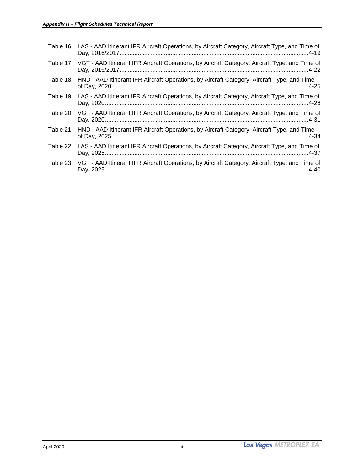| Table 16 | LAS - AAD Itinerant IFR Aircraft Operations, by Aircraft Category, Aircraft Type, and Time of |
|----------|-----------------------------------------------------------------------------------------------|
| Table 17 | VGT - AAD Itinerant IFR Aircraft Operations, by Aircraft Category, Aircraft Type, and Time of |
| Table 18 | HND - AAD Itinerant IFR Aircraft Operations, by Aircraft Category, Aircraft Type, and Time    |
| Table 19 | LAS - AAD Itinerant IFR Aircraft Operations, by Aircraft Category, Aircraft Type, and Time of |
| Table 20 | VGT - AAD Itinerant IFR Aircraft Operations, by Aircraft Category, Aircraft Type, and Time of |
| Table 21 | HND - AAD Itinerant IFR Aircraft Operations, by Aircraft Category, Aircraft Type, and Time    |
| Table 22 | LAS - AAD Itinerant IFR Aircraft Operations, by Aircraft Category, Aircraft Type, and Time of |
| Table 23 | VGT - AAD Itinerant IFR Aircraft Operations, by Aircraft Category, Aircraft Type, and Time of |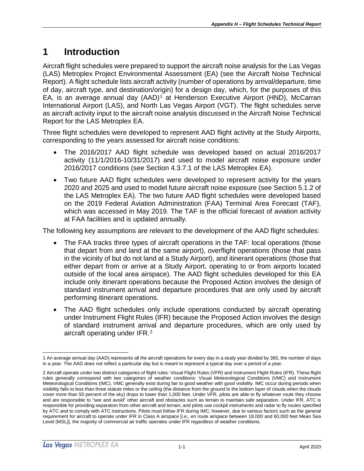## <span id="page-4-0"></span>**1 Introduction**

Aircraft flight schedules were prepared to support the aircraft noise analysis for the Las Vegas (LAS) Metroplex Project Environmental Assessment (EA) (see the Aircraft Noise Technical Report). A flight schedule lists aircraft activity (number of operations by arrival/departure, time of day, aircraft type, and destination/origin) for a design day, which, for the purposes of this EA, is an average annual day (AAD)<sup>[1](#page-4-1)</sup> at Henderson Executive Airport (HND), McCarran International Airport (LAS), and North Las Vegas Airport (VGT). The flight schedules serve as aircraft activity input to the aircraft noise analysis discussed in the Aircraft Noise Technical Report for the LAS Metroplex EA.

Three flight schedules were developed to represent AAD flight activity at the Study Airports, corresponding to the years assessed for aircraft noise conditions:

- The 2016/2017 AAD flight schedule was developed based on actual 2016/2017 activity (11/1/2016-10/31/2017) and used to model aircraft noise exposure under 2016/2017 conditions (see Section 4.3.7.1 of the LAS Metroplex EA).
- Two future AAD flight schedules were developed to represent activity for the years 2020 and 2025 and used to model future aircraft noise exposure (see Section 5.1.2 of the LAS Metroplex EA). The two future AAD flight schedules were developed based on the 2019 Federal Aviation Administration (FAA) Terminal Area Forecast (TAF), which was accessed in May 2019. The TAF is the official forecast of aviation activity at FAA facilities and is updated annually.

The following key assumptions are relevant to the development of the AAD flight schedules:

- The FAA tracks three types of aircraft operations in the TAF: local operations (those that depart from and land at the same airport), overflight operations (those that pass in the vicinity of but do not land at a Study Airport), and itinerant operations (those that either depart from or arrive at a Study Airport, operating to or from airports located outside of the local area airspace). The AAD flight schedules developed for this EA include only itinerant operations because the Proposed Action involves the design of standard instrument arrival and departure procedures that are only used by aircraft performing itinerant operations.
- The AAD flight schedules only include operations conducted by aircraft operating under Instrument Flight Rules (IFR) because the Proposed Action involves the design of standard instrument arrival and departure procedures, which are only used by aircraft operating under IFR.[2](#page-4-2)

<span id="page-4-1"></span> $\overline{a}$ 1 An average annual day (AAD) represents all the aircraft operations for every day in a study year divided by 365, the number of days in a year. The AAD does not reflect a particular day but is meant to represent a typical day over a period of a year.

<span id="page-4-2"></span><sup>2</sup> Aircraft operate under two distinct categories of flight rules: Visual Flight Rules (VFR) and Instrument Flight Rules (IFR). These flight rules generally correspond with two categories of weather conditions: Visual Meteorological Conditions (VMC) and Instrument Meteorological Conditions (IMC). VMC generally exist during fair to good weather with good visibility. IMC occur during periods when visibility falls to less than three statute miles or the ceiling (the distance from the ground to the bottom layer of clouds when the clouds cover more than 50 percent of the sky) drops to lower than 1,000 feet. Under VFR, pilots are able to fly whatever route they choose and are responsible to "see and avoid" other aircraft and obstacles such as terrain to maintain safe separation. Under IFR, ATC is responsible for providing separation from other aircraft and terrain, and pilots use cockpit instruments and radar to fly routes specified by ATC and to comply with ATC instructions. Pilots must follow IFR during IMC; however, due to various factors such as the general requirement for aircraft to operate under IFR in Class A airspace [i.e., en route airspace between 18,000 and 60,000 feet Mean Sea Level (MSL)], the majority of commercial air traffic operates under IFR regardless of weather conditions.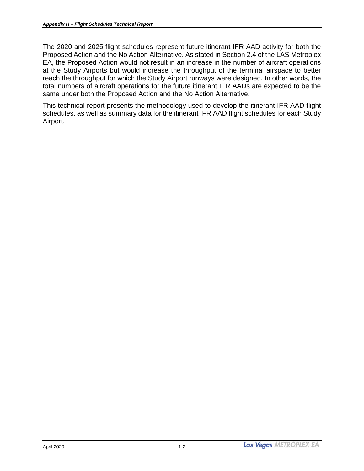The 2020 and 2025 flight schedules represent future itinerant IFR AAD activity for both the Proposed Action and the No Action Alternative. As stated in Section 2.4 of the LAS Metroplex EA, the Proposed Action would not result in an increase in the number of aircraft operations at the Study Airports but would increase the throughput of the terminal airspace to better reach the throughput for which the Study Airport runways were designed. In other words, the total numbers of aircraft operations for the future itinerant IFR AADs are expected to be the same under both the Proposed Action and the No Action Alternative.

This technical report presents the methodology used to develop the itinerant IFR AAD flight schedules, as well as summary data for the itinerant IFR AAD flight schedules for each Study Airport.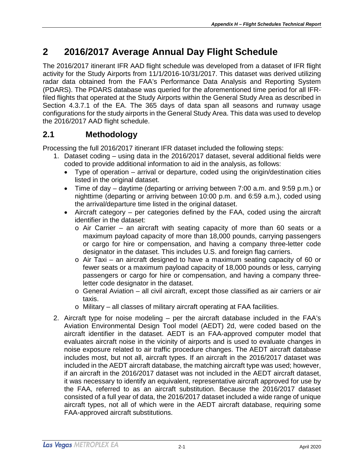## <span id="page-6-0"></span>**2 2016/2017 Average Annual Day Flight Schedule**

The 2016/2017 itinerant IFR AAD flight schedule was developed from a dataset of IFR flight activity for the Study Airports from 11/1/2016-10/31/2017. This dataset was derived utilizing radar data obtained from the FAA's Performance Data Analysis and Reporting System (PDARS). The PDARS database was queried for the aforementioned time period for all IFRfiled flights that operated at the Study Airports within the General Study Area as described in Section 4.3.7.1 of the EA. The 365 days of data span all seasons and runway usage configurations for the study airports in the General Study Area. This data was used to develop the 2016/2017 AAD flight schedule.

### <span id="page-6-1"></span>**2.1 Methodology**

Processing the full 2016/2017 itinerant IFR dataset included the following steps:

- 1. Dataset coding using data in the 2016/2017 dataset, several additional fields were coded to provide additional information to aid in the analysis, as follows:
	- Type of operation arrival or departure, coded using the origin/destination cities listed in the original dataset.
	- Time of day daytime (departing or arriving between 7:00 a.m. and 9:59 p.m.) or nighttime (departing or arriving between 10:00 p.m. and 6:59 a.m.), coded using the arrival/departure time listed in the original dataset.
	- Aircraft category per categories defined by the FAA, coded using the aircraft identifier in the dataset:
		- $\circ$  Air Carrier an aircraft with seating capacity of more than 60 seats or a maximum payload capacity of more than 18,000 pounds, carrying passengers or cargo for hire or compensation, and having a company three-letter code designator in the dataset. This includes U.S. and foreign flag carriers.
		- $\circ$  Air Taxi an aircraft designed to have a maximum seating capacity of 60 or fewer seats or a maximum payload capacity of 18,000 pounds or less, carrying passengers or cargo for hire or compensation, and having a company threeletter code designator in the dataset.
		- o General Aviation all civil aircraft, except those classified as air carriers or air taxis.
		- o Military all classes of military aircraft operating at FAA facilities.
- 2. Aircraft type for noise modeling per the aircraft database included in the FAA's Aviation Environmental Design Tool model (AEDT) 2d, were coded based on the aircraft identifier in the dataset. AEDT is an FAA-approved computer model that evaluates aircraft noise in the vicinity of airports and is used to evaluate changes in noise exposure related to air traffic procedure changes. The AEDT aircraft database includes most, but not all, aircraft types. If an aircraft in the 2016/2017 dataset was included in the AEDT aircraft database, the matching aircraft type was used; however, if an aircraft in the 2016/2017 dataset was not included in the AEDT aircraft dataset, it was necessary to identify an equivalent, representative aircraft approved for use by the FAA, referred to as an aircraft substitution. Because the 2016/2017 dataset consisted of a full year of data, the 2016/2017 dataset included a wide range of unique aircraft types, not all of which were in the AEDT aircraft database, requiring some FAA-approved aircraft substitutions.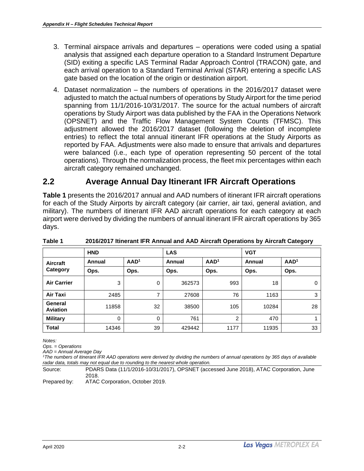- 3. Terminal airspace arrivals and departures operations were coded using a spatial analysis that assigned each departure operation to a Standard Instrument Departure (SID) exiting a specific LAS Terminal Radar Approach Control (TRACON) gate, and each arrival operation to a Standard Terminal Arrival (STAR) entering a specific LAS gate based on the location of the origin or destination airport.
- 4. Dataset normalization the numbers of operations in the 2016/2017 dataset were adjusted to match the actual numbers of operations by Study Airport for the time period spanning from 11/1/2016-10/31/2017. The source for the actual numbers of aircraft operations by Study Airport was data published by the FAA in the Operations Network (OPSNET) and the Traffic Flow Management System Counts (TFMSC). This adjustment allowed the 2016/2017 dataset (following the deletion of incomplete entries) to reflect the total annual itinerant IFR operations at the Study Airports as reported by FAA. Adjustments were also made to ensure that arrivals and departures were balanced (i.e., each type of operation representing 50 percent of the total operations). Through the normalization process, the fleet mix percentages within each aircraft category remained unchanged.

### <span id="page-7-0"></span>**2.2 Average Annual Day Itinerant IFR Aircraft Operations**

**Table 1** presents the 2016/2017 annual and AAD numbers of itinerant IFR aircraft operations for each of the Study Airports by aircraft category (air carrier, air taxi, general aviation, and military). The numbers of itinerant IFR AAD aircraft operations for each category at each airport were derived by dividing the numbers of annual itinerant IFR aircraft operations by 365 days.

| <b>HND</b>                 |        |                  | <b>LAS</b> |                  | <b>VGT</b> |                  |  |
|----------------------------|--------|------------------|------------|------------------|------------|------------------|--|
| Aircraft                   | Annual | AAD <sup>1</sup> | Annual     | AAD <sup>1</sup> | Annual     | AAD <sup>1</sup> |  |
| Category                   | Ops.   | Ops.             | Ops.       | Ops.             | Ops.       | Ops.             |  |
| <b>Air Carrier</b>         | 3      | 0                | 362573     | 993              | 18         | $\Omega$         |  |
| Air Taxi                   | 2485   | ⇁                | 27608      | 76               | 1163       | 3                |  |
| General<br><b>Aviation</b> | 11858  | 32               | 38500      | 105              | 10284      | 28               |  |
| <b>Military</b>            | 0      | 0                | 761        | $\overline{2}$   | 470        |                  |  |
| <b>Total</b>               | 14346  | 39               | 429442     | 1177             | 11935      | 33               |  |

<span id="page-7-1"></span>**Table 1 2016/2017 Itinerant IFR Annual and AAD Aircraft Operations by Aircraft Category**

*Notes:*

*Ops. = Operations*

*AAD = Annual Average Day*

*1 The numbers of itinerant IFR AAD operations were derived by dividing the numbers of annual operations by 365 days of available radar data, totals may not equal due to rounding to the nearest whole operation.*

Source: PDARS Data (11/1/2016-10/31/2017), OPSNET (accessed June 2018), ATAC Corporation, June 2018.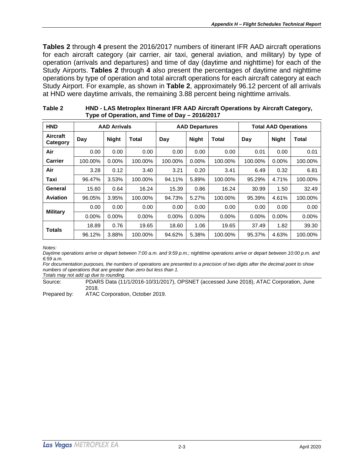**Tables 2** through **4** present the 2016/2017 numbers of itinerant IFR AAD aircraft operations for each aircraft category (air carrier, air taxi, general aviation, and military) by type of operation (arrivals and departures) and time of day (daytime and nighttime) for each of the Study Airports. **Tables 2** through **4** also present the percentages of daytime and nighttime operations by type of operation and total aircraft operations for each aircraft category at each Study Airport. For example, as shown in **Table 2**, approximately 96.12 percent of all arrivals at HND were daytime arrivals, the remaining 3.88 percent being nighttime arrivals.

| <b>HND</b>           | <b>AAD Arrivals</b> |              |              | <b>AAD Departures</b> |              |         | <b>Total AAD Operations</b> |              |         |
|----------------------|---------------------|--------------|--------------|-----------------------|--------------|---------|-----------------------------|--------------|---------|
| Aircraft<br>Category | Day                 | <b>Night</b> | <b>Total</b> | Day                   | <b>Night</b> | Total   | Day                         | <b>Night</b> | Total   |
| Air                  | 0.00                | 0.00         | 0.00         | 0.00                  | 0.00         | 0.00    | 0.01                        | 0.00         | 0.01    |
| <b>Carrier</b>       | 100.00%             | 0.00%        | 100.00%      | 100.00%               | $0.00\%$     | 100.00% | 100.00%                     | 0.00%        | 100.00% |
| Air                  | 3.28                | 0.12         | 3.40         | 3.21                  | 0.20         | 3.41    | 6.49                        | 0.32         | 6.81    |
| Taxi                 | 96.47%              | 3.53%        | 100.00%      | 94.11%                | 5.89%        | 100.00% | 95.29%                      | 4.71%        | 100.00% |
| General              | 15.60               | 0.64         | 16.24        | 15.39                 | 0.86         | 16.24   | 30.99                       | 1.50         | 32.49   |
| <b>Aviation</b>      | 96.05%              | 3.95%        | 100.00%      | 94.73%                | 5.27%        | 100.00% | 95.39%                      | 4.61%        | 100.00% |
| <b>Military</b>      | 0.00                | 0.00         | 0.00         | 0.00                  | 0.00         | 0.00    | 0.00                        | 0.00         | 0.00    |
|                      | $0.00\%$            | $0.00\%$     | $0.00\%$     | $0.00\%$              | 0.00%        | 0.00%   | $0.00\%$                    | 0.00%        | 0.00%   |
| <b>Totals</b>        | 18.89               | 0.76         | 19.65        | 18.60                 | 1.06         | 19.65   | 37.49                       | 1.82         | 39.30   |
|                      | 96.12%              | 3.88%        | 100.00%      | 94.62%                | 5.38%        | 100.00% | 95.37%                      | 4.63%        | 100.00% |

<span id="page-8-0"></span>

| Table 2 | HND - LAS Metroplex Itinerant IFR AAD Aircraft Operations by Aircraft Category, |
|---------|---------------------------------------------------------------------------------|
|         | Type of Operation, and Time of Day - 2016/2017                                  |

*Notes:*

*Daytime operations arrive or depart between 7:00 a.m. and 9:59 p.m.; nighttime operations arrive or depart between 10:00 p.m. and 6:59 a.m.*

*For documentation purposes, the numbers of operations are presented to a precision of two digits after the decimal point to show numbers of operations that are greater than zero but less than 1.*

*Totals may not add up due to rounding.*

Source: PDARS Data (11/1/2016-10/31/2017), OPSNET (accessed June 2018), ATAC Corporation, June 2018.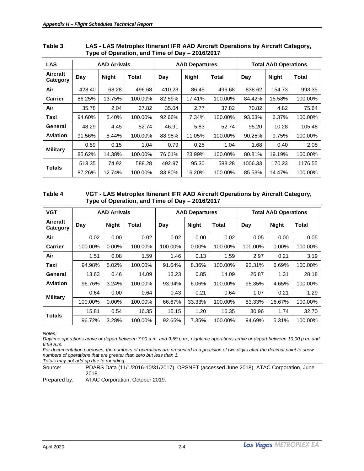| <b>LAS</b>           | <b>AAD Arrivals</b> |              |         | <b>AAD Departures</b> |              |         | <b>Total AAD Operations</b> |              |         |
|----------------------|---------------------|--------------|---------|-----------------------|--------------|---------|-----------------------------|--------------|---------|
| Aircraft<br>Category | Day                 | <b>Night</b> | Total   | Day                   | <b>Night</b> | Total   | Day                         | <b>Night</b> | Total   |
| Air                  | 428.40              | 68.28        | 496.68  | 410.23                | 86.45        | 496.68  | 838.62                      | 154.73       | 993.35  |
| <b>Carrier</b>       | 86.25%              | 13.75%       | 100.00% | 82.59%                | 17.41%       | 100.00% | 84.42%                      | 15.58%       | 100.00% |
| Air                  | 35.78               | 2.04         | 37.82   | 35.04                 | 2.77         | 37.82   | 70.82                       | 4.82         | 75.64   |
| Taxi                 | 94.60%              | 5.40%        | 100.00% | 92.66%                | 7.34%        | 100.00% | 93.63%                      | 6.37%        | 100.00% |
| General              | 48.29               | 4.45         | 52.74   | 46.91                 | 5.83         | 52.74   | 95.20                       | 10.28        | 105.48  |
| <b>Aviation</b>      | 91.56%              | 8.44%        | 100.00% | 88.95%                | 11.05%       | 100.00% | 90.25%                      | 9.75%        | 100.00% |
|                      | 0.89                | 0.15         | 1.04    | 0.79                  | 0.25         | 1.04    | 1.68                        | 0.40         | 2.08    |
| <b>Military</b>      | 85.62%              | 14.38%       | 100.00% | 76.01%                | 23.99%       | 100.00% | 80.81%                      | 19.19%       | 100.00% |
| <b>Totals</b>        | 513.35              | 74.92        | 588.28  | 492.97                | 95.30        | 588.28  | 1006.33                     | 170.23       | 1176.55 |
|                      | 87.26%              | 12.74%       | 100.00% | 83.80%                | 16.20%       | 100.00% | 85.53%                      | 14.47%       | 100.00% |

#### <span id="page-9-0"></span>**Table 3 LAS - LAS Metroplex Itinerant IFR AAD Aircraft Operations by Aircraft Category, Type of Operation, and Time of Day – 2016/2017**

#### <span id="page-9-1"></span>**Table 4 VGT - LAS Metroplex Itinerant IFR AAD Aircraft Operations by Aircraft Category, Type of Operation, and Time of Day – 2016/2017**

| <b>VGT</b>                  | <b>AAD Arrivals</b> |              |         | <b>AAD Departures</b> |              |         | <b>Total AAD Operations</b> |              |         |
|-----------------------------|---------------------|--------------|---------|-----------------------|--------------|---------|-----------------------------|--------------|---------|
| <b>Aircraft</b><br>Category | Day                 | <b>Night</b> | Total   | Day                   | <b>Night</b> | Total   | Day                         | <b>Night</b> | Total   |
| Air                         | 0.02                | 0.00         | 0.02    | 0.02                  | 0.00         | 0.02    | 0.05                        | 0.00         | 0.05    |
| <b>Carrier</b>              | 100.00%             | $0.00\%$     | 100.00% | 100.00%               | $0.00\%$     | 100.00% | 100.00%                     | $0.00\%$     | 100.00% |
| Air                         | 1.51                | 0.08         | 1.59    | 1.46                  | 0.13         | 1.59    | 2.97                        | 0.21         | 3.19    |
| Taxi                        | 94.98%              | 5.02%        | 100.00% | 91.64%                | 8.36%        | 100.00% | 93.31%                      | 6.69%        | 100.00% |
| General                     | 13.63               | 0.46         | 14.09   | 13.23                 | 0.85         | 14.09   | 26.87                       | 1.31         | 28.18   |
| <b>Aviation</b>             | 96.76%              | 3.24%        | 100.00% | 93.94%                | 6.06%        | 100.00% | 95.35%                      | 4.65%        | 100.00% |
|                             | 0.64                | 0.00         | 0.64    | 0.43                  | 0.21         | 0.64    | 1.07                        | 0.21         | 1.29    |
| <b>Military</b>             | 100.00%             | $0.00\%$     | 100.00% | 66.67%                | 33.33%       | 100.00% | 83.33%                      | 16.67%       | 100.00% |
|                             | 15.81               | 0.54         | 16.35   | 15.15                 | 1.20         | 16.35   | 30.96                       | 1.74         | 32.70   |
| <b>Totals</b>               | 96.72%              | 3.28%        | 100.00% | 92.65%                | 7.35%        | 100.00% | 94.69%                      | 5.31%        | 100.00% |

*Notes:*

*Daytime operations arrive or depart between 7:00 a.m. and 9:59 p.m.; nighttime operations arrive or depart between 10:00 p.m. and 6:59 a.m.*

*For documentation purposes, the numbers of operations are presented to a precision of two digits after the decimal point to show numbers of operations that are greater than zero but less than 1.*

*Totals may not add up due to rounding.*

Source: PDARS Data (11/1/2016-10/31/2017), OPSNET (accessed June 2018), ATAC Corporation, June 2018.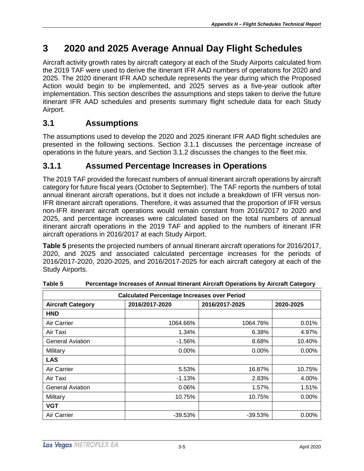## <span id="page-10-0"></span>**3 2020 and 2025 Average Annual Day Flight Schedules**

Aircraft activity growth rates by aircraft category at each of the Study Airports calculated from the 2019 TAF were used to derive the itinerant IFR AAD numbers of operations for 2020 and 2025. The 2020 itinerant IFR AAD schedule represents the year during which the Proposed Action would begin to be implemented, and 2025 serves as a five-year outlook after implementation. This section describes the assumptions and steps taken to derive the future itinerant IFR AAD schedules and presents summary flight schedule data for each Study Airport.

### <span id="page-10-1"></span>**3.1 Assumptions**

The assumptions used to develop the 2020 and 2025 itinerant IFR AAD flight schedules are presented in the following sections. Section 3.1.1 discusses the percentage increase of operations in the future years, and Section 3.1.2 discusses the changes to the fleet mix.

### <span id="page-10-2"></span>**3.1.1 Assumed Percentage Increases in Operations**

The 2019 TAF provided the forecast numbers of annual itinerant aircraft operations by aircraft category for future fiscal years (October to September). The TAF reports the numbers of total annual itinerant aircraft operations, but it does not include a breakdown of IFR versus non-IFR itinerant aircraft operations. Therefore, it was assumed that the proportion of IFR versus non-IFR itinerant aircraft operations would remain constant from 2016/2017 to 2020 and 2025, and percentage increases were calculated based on the total numbers of annual itinerant aircraft operations in the 2019 TAF and applied to the numbers of itinerant IFR aircraft operations in 2016/2017 at each Study Airport.

**Table 5** presents the projected numbers of annual itinerant aircraft operations for 2016/2017, 2020, and 2025 and associated calculated percentage increases for the periods of 2016/2017-2020, 2020-2025, and 2016/2017-2025 for each aircraft category at each of the Study Airports.

| <b>Calculated Percentage Increases over Period</b> |                |           |          |  |  |  |  |  |
|----------------------------------------------------|----------------|-----------|----------|--|--|--|--|--|
| <b>Aircraft Category</b>                           | 2016/2017-2025 | 2020-2025 |          |  |  |  |  |  |
| <b>HND</b>                                         |                |           |          |  |  |  |  |  |
| Air Carrier                                        | 1064.66%       | 1064.76%  | 0.01%    |  |  |  |  |  |
| Air Taxi                                           | 1.34%          | 6.38%     | 4.97%    |  |  |  |  |  |
| <b>General Aviation</b>                            | $-1.56%$       | 8.68%     | 10.40%   |  |  |  |  |  |
| Military                                           | 0.00%          | $0.00\%$  | $0.00\%$ |  |  |  |  |  |
| <b>LAS</b>                                         |                |           |          |  |  |  |  |  |
| Air Carrier                                        | 5.53%          | 16.87%    | 10.75%   |  |  |  |  |  |
| Air Taxi                                           | $-1.13%$       | 2.83%     | 4.00%    |  |  |  |  |  |
| <b>General Aviation</b>                            | 0.06%          | 1.57%     | 1.51%    |  |  |  |  |  |
| Military                                           | 10.75%         | 10.75%    | 0.00%    |  |  |  |  |  |
| <b>VGT</b>                                         |                |           |          |  |  |  |  |  |
| Air Carrier                                        | $-39.53%$      | $-39.53%$ | $0.00\%$ |  |  |  |  |  |

<span id="page-10-3"></span>**Table 5 Percentage Increases of Annual Itinerant Aircraft Operations by Aircraft Category**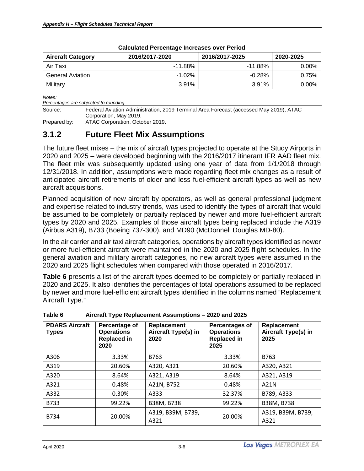| <b>Calculated Percentage Increases over Period</b>                        |            |            |          |  |  |  |  |
|---------------------------------------------------------------------------|------------|------------|----------|--|--|--|--|
| 2016/2017-2025<br>2016/2017-2020<br><b>Aircraft Category</b><br>2020-2025 |            |            |          |  |  |  |  |
| Air Taxi                                                                  | $-11.88\%$ | $-11.88\%$ | $0.00\%$ |  |  |  |  |
| <b>General Aviation</b>                                                   | $-1.02\%$  | $-0.28\%$  | 0.75%    |  |  |  |  |
| Military                                                                  | 3.91%      | 3.91%      | $0.00\%$ |  |  |  |  |

*Percentages are subjected to rounding.*

Source: Federal Aviation Administration, 2019 Terminal Area Forecast (accessed May 2019), ATAC Corporation, May 2019.

Prepared by: ATAC Corporation, October 2019.

### <span id="page-11-0"></span>**3.1.2 Future Fleet Mix Assumptions**

The future fleet mixes – the mix of aircraft types projected to operate at the Study Airports in 2020 and 2025 – were developed beginning with the 2016/2017 itinerant IFR AAD fleet mix. The fleet mix was subsequently updated using one year of data from 1/1/2018 through 12/31/2018. In addition, assumptions were made regarding fleet mix changes as a result of anticipated aircraft retirements of older and less fuel-efficient aircraft types as well as new aircraft acquisitions.

Planned acquisition of new aircraft by operators, as well as general professional judgment and expertise related to industry trends, was used to identify the types of aircraft that would be assumed to be completely or partially replaced by newer and more fuel-efficient aircraft types by 2020 and 2025. Examples of those aircraft types being replaced include the A319 (Airbus A319), B733 (Boeing 737-300), and MD90 (McDonnell Douglas MD-80).

In the air carrier and air taxi aircraft categories, operations by aircraft types identified as newer or more fuel-efficient aircraft were maintained in the 2020 and 2025 flight schedules. In the general aviation and military aircraft categories, no new aircraft types were assumed in the 2020 and 2025 flight schedules when compared with those operated in 2016/2017.

**Table 6** presents a list of the aircraft types deemed to be completely or partially replaced in 2020 and 2025. It also identifies the percentages of total operations assumed to be replaced by newer and more fuel-efficient aircraft types identified in the columns named "Replacement Aircraft Type."

| <b>PDARS Aircraft</b><br><b>Types</b> | Percentage of<br><b>Operations</b><br><b>Replaced in</b><br>2020 | Replacement<br>Aircraft Type(s) in<br>2020 | Percentages of<br><b>Operations</b><br><b>Replaced in</b><br>2025 | Replacement<br>Aircraft Type(s) in<br>2025 |
|---------------------------------------|------------------------------------------------------------------|--------------------------------------------|-------------------------------------------------------------------|--------------------------------------------|
| A306                                  | 3.33%                                                            | B763                                       | 3.33%                                                             | B763                                       |
| A319                                  | 20.60%                                                           | A320, A321                                 | 20.60%                                                            | A320, A321                                 |
| A320                                  | 8.64%                                                            | A321, A319                                 | 8.64%                                                             | A321, A319                                 |
| A321                                  | 0.48%                                                            | A21N, B752                                 | 0.48%                                                             | A21N                                       |
| A332                                  | 0.30%                                                            | A333                                       | 32.37%                                                            | B789, A333                                 |
| B733                                  | 99.22%                                                           | B38M, B738                                 | 99.22%                                                            | B38M, B738                                 |
| <b>B734</b>                           | 20.00%                                                           | A319, B39M, B739,<br>A321                  | 20.00%                                                            | A319, B39M, B739,<br>A321                  |

<span id="page-11-1"></span>**Table 6 Aircraft Type Replacement Assumptions – 2020 and 2025**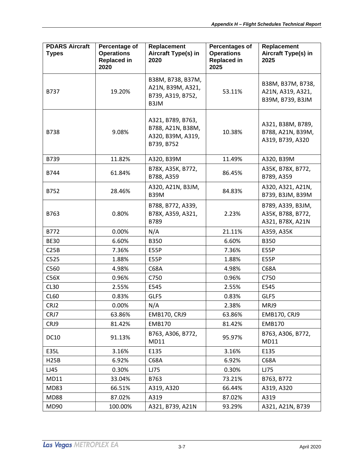| <b>PDARS Aircraft</b><br><b>Types</b> | Percentage of<br><b>Operations</b><br><b>Replaced in</b><br>2020 | Replacement<br>Aircraft Type(s) in<br>2020                                | Percentages of<br><b>Operations</b><br><b>Replaced in</b><br>2025 | Replacement<br>Aircraft Type(s) in<br>2025                 |
|---------------------------------------|------------------------------------------------------------------|---------------------------------------------------------------------------|-------------------------------------------------------------------|------------------------------------------------------------|
| B737                                  | 19.20%                                                           | B38M, B738, B37M,<br>A21N, B39M, A321,<br>B739, A319, B752,<br>B3JM       | 53.11%                                                            | B38M, B37M, B738,<br>A21N, A319, A321,<br>B39M, B739, B3JM |
| <b>B738</b>                           | 9.08%                                                            | A321, B789, B763,<br>B788, A21N, B38M,<br>A320, B39M, A319,<br>B739, B752 | 10.38%                                                            | A321, B38M, B789,<br>B788, A21N, B39M,<br>A319, B739, A320 |
| B739                                  | 11.82%                                                           | A320, B39M                                                                | 11.49%                                                            | A320, B39M                                                 |
| B744                                  | 61.84%                                                           | B78X, A35K, B772,<br>B788, A359                                           | 86.45%                                                            | A35K, B78X, B772,<br>B789, A359                            |
| B752                                  | 28.46%                                                           | A320, A21N, B3JM,<br><b>B39M</b>                                          | 84.83%                                                            | A320, A321, A21N,<br>B739, B3JM, B39M                      |
| B763                                  | 0.80%                                                            | B788, B772, A339,<br>B78X, A359, A321,<br>B789                            | 2.23%                                                             | B789, A339, B3JM,<br>A35K, B788, B772,<br>A321, B78X, A21N |
| B772                                  | 0.00%                                                            | N/A                                                                       | 21.11%                                                            | A359, A35K                                                 |
| <b>BE30</b>                           | 6.60%                                                            | <b>B350</b>                                                               | 6.60%                                                             | <b>B350</b>                                                |
| C25B                                  | 7.36%                                                            | E55P                                                                      | 7.36%                                                             | E55P                                                       |
| C525                                  | 1.88%                                                            | E55P                                                                      | 1.88%                                                             | E55P                                                       |
| C560                                  | 4.98%                                                            | C68A                                                                      | 4.98%                                                             | C68A                                                       |
| C56X                                  | 0.96%                                                            | C750                                                                      | 0.96%                                                             | C750                                                       |
| CL <sub>30</sub>                      | 2.55%                                                            | E545                                                                      | 2.55%                                                             | E545                                                       |
| CL60                                  | 0.83%                                                            | GLF5                                                                      | 0.83%                                                             | GLF5                                                       |
| CRJ2                                  | 0.00%                                                            | N/A                                                                       | 2.38%                                                             | MRJ9                                                       |
| CRJ7                                  | 63.86%                                                           | <b>EMB170, CRJ9</b>                                                       | 63.86%                                                            | <b>EMB170, CRJ9</b>                                        |
| CRJ9                                  | 81.42%                                                           | <b>EMB170</b>                                                             | 81.42%                                                            | <b>EMB170</b>                                              |
| <b>DC10</b>                           | 91.13%                                                           | B763, A306, B772,<br>MD11                                                 | 95.97%                                                            | B763, A306, B772,<br>MD11                                  |
| E35L                                  | 3.16%                                                            | E135                                                                      | 3.16%                                                             | E135                                                       |
| <b>H25B</b>                           | 6.92%                                                            | C68A                                                                      | 6.92%                                                             | C68A                                                       |
| LJ45                                  | 0.30%                                                            | LJ75                                                                      | 0.30%                                                             | LJ75                                                       |
| MD11                                  | 33.04%                                                           | B763                                                                      | 73.21%                                                            | B763, B772                                                 |
| <b>MD83</b>                           | 66.51%                                                           | A319, A320                                                                | 66.44%                                                            | A319, A320                                                 |
| <b>MD88</b>                           | 87.02%                                                           | A319                                                                      | 87.02%                                                            | A319                                                       |
| MD90                                  | 100.00%                                                          | A321, B739, A21N                                                          | 93.29%                                                            | A321, A21N, B739                                           |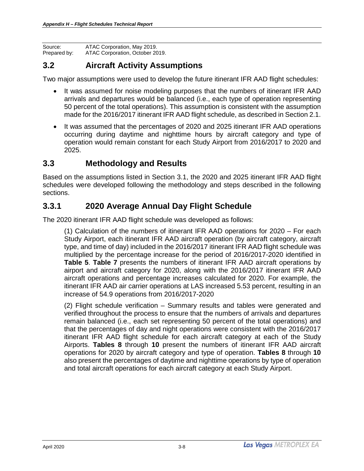Source: ATAC Corporation, May 2019.<br>Prepared by: ATAC Corporation, October 20 ATAC Corporation, October 2019.

### <span id="page-13-0"></span>**3.2 Aircraft Activity Assumptions**

Two major assumptions were used to develop the future itinerant IFR AAD flight schedules:

- It was assumed for noise modeling purposes that the numbers of itinerant IFR AAD arrivals and departures would be balanced (i.e., each type of operation representing 50 percent of the total operations). This assumption is consistent with the assumption made for the 2016/2017 itinerant IFR AAD flight schedule, as described in Section 2.1.
- It was assumed that the percentages of 2020 and 2025 itinerant IFR AAD operations occurring during daytime and nighttime hours by aircraft category and type of operation would remain constant for each Study Airport from 2016/2017 to 2020 and 2025.

### <span id="page-13-1"></span>**3.3 Methodology and Results**

Based on the assumptions listed in Section 3.1, the 2020 and 2025 itinerant IFR AAD flight schedules were developed following the methodology and steps described in the following sections.

### <span id="page-13-2"></span>**3.3.1 2020 Average Annual Day Flight Schedule**

The 2020 itinerant IFR AAD flight schedule was developed as follows:

(1) Calculation of the numbers of itinerant IFR AAD operations for 2020 – For each Study Airport, each itinerant IFR AAD aircraft operation (by aircraft category, aircraft type, and time of day) included in the 2016/2017 itinerant IFR AAD flight schedule was multiplied by the percentage increase for the period of 2016/2017-2020 identified in **Table 5**. **Table 7** presents the numbers of itinerant IFR AAD aircraft operations by airport and aircraft category for 2020, along with the 2016/2017 itinerant IFR AAD aircraft operations and percentage increases calculated for 2020. For example, the itinerant IFR AAD air carrier operations at LAS increased 5.53 percent, resulting in an increase of 54.9 operations from 2016/2017-2020

(2) Flight schedule verification – Summary results and tables were generated and verified throughout the process to ensure that the numbers of arrivals and departures remain balanced (i.e., each set representing 50 percent of the total operations) and that the percentages of day and night operations were consistent with the 2016/2017 itinerant IFR AAD flight schedule for each aircraft category at each of the Study Airports. **Tables 8** through **10** present the numbers of itinerant IFR AAD aircraft operations for 2020 by aircraft category and type of operation. **Tables 8** through **10** also present the percentages of daytime and nighttime operations by type of operation and total aircraft operations for each aircraft category at each Study Airport.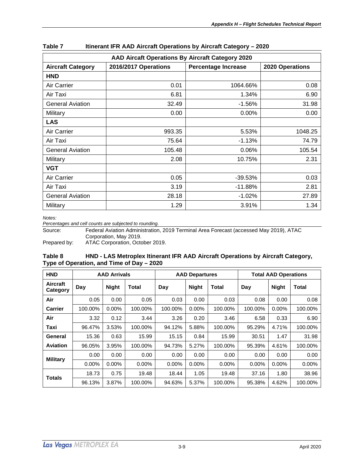| AAD Aircaft Operations By Aircraft Category 2020 |                      |                            |                 |  |  |  |  |  |  |  |
|--------------------------------------------------|----------------------|----------------------------|-----------------|--|--|--|--|--|--|--|
| <b>Aircraft Category</b>                         | 2016/2017 Operations | <b>Percentage Increase</b> | 2020 Operations |  |  |  |  |  |  |  |
| <b>HND</b>                                       |                      |                            |                 |  |  |  |  |  |  |  |
| Air Carrier                                      | 0.01                 | 1064.66%                   | 0.08            |  |  |  |  |  |  |  |
| Air Taxi                                         | 6.81                 | 1.34%                      | 6.90            |  |  |  |  |  |  |  |
| <b>General Aviation</b>                          | 32.49                | $-1.56%$                   | 31.98           |  |  |  |  |  |  |  |
| Military                                         | 0.00                 | 0.00%                      | 0.00            |  |  |  |  |  |  |  |
| <b>LAS</b>                                       |                      |                            |                 |  |  |  |  |  |  |  |
| Air Carrier                                      | 993.35               | 5.53%                      | 1048.25         |  |  |  |  |  |  |  |
| Air Taxi                                         | 75.64                | $-1.13%$                   | 74.79           |  |  |  |  |  |  |  |
| <b>General Aviation</b>                          | 105.48               | $0.06\%$                   | 105.54          |  |  |  |  |  |  |  |
| Military                                         | 2.08                 | 10.75%                     | 2.31            |  |  |  |  |  |  |  |
| <b>VGT</b>                                       |                      |                            |                 |  |  |  |  |  |  |  |
| Air Carrier                                      | 0.05                 | $-39.53%$                  | 0.03            |  |  |  |  |  |  |  |
| Air Taxi                                         | 3.19                 | -11.88%                    | 2.81            |  |  |  |  |  |  |  |
| <b>General Aviation</b>                          | 28.18                | $-1.02%$                   | 27.89           |  |  |  |  |  |  |  |
| Military                                         | 1.29                 | 3.91%                      | 1.34            |  |  |  |  |  |  |  |

<span id="page-14-0"></span>

| Table 7 | Itinerant IFR AAD Aircraft Operations by Aircraft Category - 2020 |  |  |
|---------|-------------------------------------------------------------------|--|--|
|         |                                                                   |  |  |

*Percentages and cell counts are subjected to rounding.*

Source: Federal Aviation Administration, 2019 Terminal Area Forecast (accessed May 2019), ATAC Corporation, May 2019.

<span id="page-14-1"></span>Prepared by: ATAC Corporation, October 2019.

#### **Table 8 HND - LAS Metroplex Itinerant IFR AAD Aircraft Operations by Aircraft Category, Type of Operation, and Time of Day – 2020**

| <b>HND</b>                  |          | <b>AAD Arrivals</b>                          |          |          | <b>AAD Departures</b> |              | <b>Total AAD Operations</b> |          |         |  |
|-----------------------------|----------|----------------------------------------------|----------|----------|-----------------------|--------------|-----------------------------|----------|---------|--|
| <b>Aircraft</b><br>Category | Day      | <b>Night</b><br><b>Night</b><br>Total<br>Day |          | Total    | Day                   | <b>Night</b> | Total                       |          |         |  |
| Air                         | 0.05     | 0.00                                         | 0.05     | 0.03     | 0.00                  | 0.03         | 0.08                        | 0.00     | 0.08    |  |
| <b>Carrier</b>              | 100.00%  | 0.00%                                        | 100.00%  | 100.00%  | $0.00\%$              | 100.00%      | 100.00%                     | $0.00\%$ | 100.00% |  |
| Air                         | 3.32     | 0.12                                         | 3.44     | 3.26     | 0.20                  | 3.46         | 6.58                        | 0.33     | 6.90    |  |
| Taxi                        | 96.47%   | 3.53%                                        | 100.00%  | 94.12%   | 5.88%                 | 100.00%      | 95.29%                      | 4.71%    | 100.00% |  |
| General                     | 15.36    | 0.63                                         | 15.99    | 15.15    | 0.84                  | 15.99        | 30.51                       | 1.47     | 31.98   |  |
| <b>Aviation</b>             | 96.05%   | 3.95%                                        | 100.00%  | 94.73%   | 5.27%                 | 100.00%      | 95.39%                      | 4.61%    | 100.00% |  |
| <b>Military</b>             | 0.00     | 0.00                                         | 0.00     | 0.00     | 0.00                  | 0.00         | 0.00                        | 0.00     | 0.00    |  |
|                             | $0.00\%$ | 0.00%                                        | $0.00\%$ | $0.00\%$ | 0.00%                 | $0.00\%$     | $0.00\%$                    | 0.00%    | 0.00%   |  |
| <b>Totals</b>               | 18.73    | 0.75                                         | 19.48    | 18.44    | 1.05                  | 19.48        | 37.16                       | 1.80     | 38.96   |  |
|                             | 96.13%   | 3.87%                                        | 100.00%  | 94.63%   | 5.37%                 | 100.00%      | 95.38%                      | 4.62%    | 100.00% |  |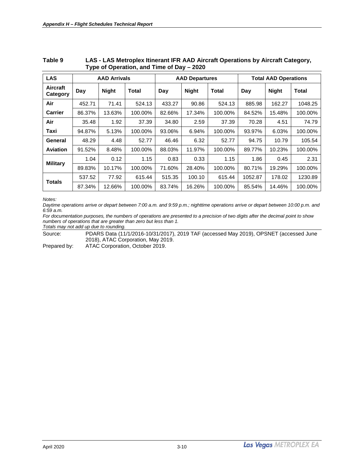| <b>LAS</b>                  |        | <b>AAD Arrivals</b> |         |                                     | <b>AAD Departures</b> |         | <b>Total AAD Operations</b> |        |         |  |
|-----------------------------|--------|---------------------|---------|-------------------------------------|-----------------------|---------|-----------------------------|--------|---------|--|
| <b>Aircraft</b><br>Category | Day    | <b>Night</b>        | Total   | <b>Night</b><br>Total<br>Day<br>Day |                       |         | <b>Night</b>                | Total  |         |  |
| Air                         | 452.71 | 71.41               | 524.13  | 433.27                              | 90.86                 | 524.13  | 885.98                      | 162.27 | 1048.25 |  |
| <b>Carrier</b>              | 86.37% | 13.63%              | 100.00% | 82.66%                              | 17.34%                | 100.00% | 84.52%                      | 15.48% | 100.00% |  |
| Air                         | 35.48  | 1.92                | 37.39   | 34.80                               | 2.59                  | 37.39   | 70.28                       | 4.51   | 74.79   |  |
| Taxi                        | 94.87% | 5.13%               | 100.00% | 93.06%                              | 6.94%                 | 100.00% | 93.97%                      | 6.03%  | 100.00% |  |
| General                     | 48.29  | 4.48                | 52.77   | 46.46                               | 6.32                  | 52.77   | 94.75                       | 10.79  | 105.54  |  |
| <b>Aviation</b>             | 91.52% | 8.48%               | 100.00% | 88.03%                              | 11.97%                | 100.00% | 89.77%                      | 10.23% | 100.00% |  |
| <b>Military</b>             | 1.04   | 0.12                | 1.15    | 0.83                                | 0.33                  | 1.15    | 1.86                        | 0.45   | 2.31    |  |
|                             | 89.83% | 10.17%              | 100.00% | 71.60%                              | 28.40%                | 100.00% | 80.71%                      | 19.29% | 100.00% |  |
| <b>Totals</b>               | 537.52 | 77.92               | 615.44  | 515.35                              | 100.10                | 615.44  | 1052.87                     | 178.02 | 1230.89 |  |
|                             | 87.34% | 12.66%              | 100.00% | 83.74%                              | 16.26%                | 100.00% | 85.54%                      | 14.46% | 100.00% |  |

#### <span id="page-15-0"></span>**Table 9 LAS - LAS Metroplex Itinerant IFR AAD Aircraft Operations by Aircraft Category, Type of Operation, and Time of Day – 2020**

*Notes:*

*Daytime operations arrive or depart between 7:00 a.m. and 9:59 p.m.; nighttime operations arrive or depart between 10:00 p.m. and 6:59 a.m.*

*For documentation purposes, the numbers of operations are presented to a precision of two digits after the decimal point to show numbers of operations that are greater than zero but less than 1.*

*Totals may not add up due to rounding.*

Source: PDARS Data (11/1/2016-10/31/2017), 2019 TAF (accessed May 2019), OPSNET (accessed June 2018), ATAC Corporation, May 2019.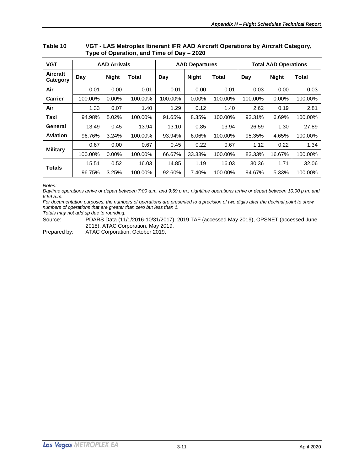| <b>VGT</b>           |         | <b>AAD Arrivals</b> |         |         | <b>AAD Departures</b> |         | <b>Total AAD Operations</b> |              |              |  |
|----------------------|---------|---------------------|---------|---------|-----------------------|---------|-----------------------------|--------------|--------------|--|
| Aircraft<br>Category | Day     | <b>Night</b>        | Total   | Day     | <b>Night</b>          | Total   | Day                         | <b>Night</b> | <b>Total</b> |  |
| Air                  | 0.01    | 0.00                | 0.01    | 0.01    | 0.00                  | 0.01    | 0.03                        | 0.00         | 0.03         |  |
| <b>Carrier</b>       | 100.00% | $0.00\%$            | 100.00% | 100.00% | 0.00%                 | 100.00% | 100.00%                     | 0.00%        | 100.00%      |  |
| Air                  | 1.33    | 0.07                | 1.40    | 1.29    | 0.12                  | 1.40    | 2.62                        | 0.19         | 2.81         |  |
| Taxi                 | 94.98%  | 5.02%               | 100.00% | 91.65%  | 8.35%                 | 100.00% | 93.31%                      | 6.69%        | 100.00%      |  |
| General              | 13.49   | 0.45                | 13.94   | 13.10   | 0.85                  | 13.94   | 26.59                       | 1.30         | 27.89        |  |
| Aviation             | 96.76%  | 3.24%               | 100.00% | 93.94%  | 6.06%                 | 100.00% | 95.35%                      | 4.65%        | 100.00%      |  |
| <b>Military</b>      | 0.67    | 0.00                | 0.67    | 0.45    | 0.22                  | 0.67    | 1.12                        | 0.22         | 1.34         |  |
|                      | 100.00% | $0.00\%$            | 100.00% | 66.67%  | 33.33%                | 100.00% | 83.33%                      | 16.67%       | 100.00%      |  |
| <b>Totals</b>        | 15.51   | 0.52                | 16.03   | 14.85   | 1.19                  | 16.03   | 30.36                       | 1.71         | 32.06        |  |
|                      | 96.75%  | 3.25%               | 100.00% | 92.60%  | 7.40%                 | 100.00% | 94.67%                      | 5.33%        | 100.00%      |  |

#### <span id="page-16-0"></span>**Table 10 VGT - LAS Metroplex Itinerant IFR AAD Aircraft Operations by Aircraft Category, Type of Operation, and Time of Day – 2020**

*Notes:*

*Daytime operations arrive or depart between 7:00 a.m. and 9:59 p.m.; nighttime operations arrive or depart between 10:00 p.m. and 6:59 a.m.*

*For documentation purposes, the numbers of operations are presented to a precision of two digits after the decimal point to show numbers of operations that are greater than zero but less than 1. Totals may not add up due to rounding.*

Source: PDARS Data (11/1/2016-10/31/2017), 2019 TAF (accessed May 2019), OPSNET (accessed June 2018), ATAC Corporation, May 2019.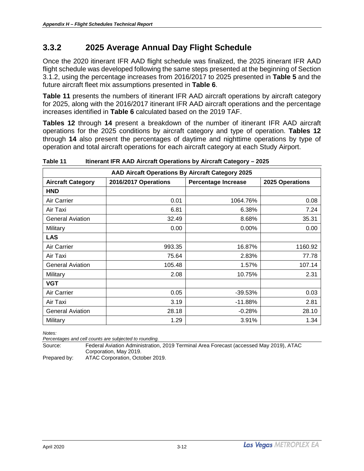### <span id="page-17-0"></span>**3.3.2 2025 Average Annual Day Flight Schedule**

Once the 2020 itinerant IFR AAD flight schedule was finalized, the 2025 itinerant IFR AAD flight schedule was developed following the same steps presented at the beginning of Section 3.1.2, using the percentage increases from 2016/2017 to 2025 presented in **Table 5** and the future aircraft fleet mix assumptions presented in **Table 6**.

**Table 11** presents the numbers of itinerant IFR AAD aircraft operations by aircraft category for 2025, along with the 2016/2017 itinerant IFR AAD aircraft operations and the percentage increases identified in **Table 6** calculated based on the 2019 TAF.

**Tables 12** through **14** present a breakdown of the number of itinerant IFR AAD aircraft operations for the 2025 conditions by aircraft category and type of operation. **Tables 12** through **14** also present the percentages of daytime and nighttime operations by type of operation and total aircraft operations for each aircraft category at each Study Airport.

|                          | AAD Aircaft Operations By Aircraft Category 2025 |                            |                 |
|--------------------------|--------------------------------------------------|----------------------------|-----------------|
| <b>Aircraft Category</b> | 2016/2017 Operations                             | <b>Percentage Increase</b> | 2025 Operations |
| <b>HND</b>               |                                                  |                            |                 |
| Air Carrier              | 0.01                                             | 1064.76%                   | 0.08            |
| Air Taxi                 | 6.81                                             | 6.38%                      | 7.24            |
| <b>General Aviation</b>  | 32.49                                            | 8.68%                      | 35.31           |
| Military                 | 0.00                                             | $0.00\%$                   | 0.00            |
| <b>LAS</b>               |                                                  |                            |                 |
| Air Carrier              | 993.35                                           | 16.87%                     | 1160.92         |
| Air Taxi                 | 75.64                                            | 2.83%                      | 77.78           |
| <b>General Aviation</b>  | 105.48                                           | 1.57%                      | 107.14          |
| Military                 | 2.08                                             | 10.75%                     | 2.31            |
| <b>VGT</b>               |                                                  |                            |                 |
| Air Carrier              | 0.05                                             | $-39.53%$                  | 0.03            |
| Air Taxi                 | 3.19                                             | $-11.88%$                  | 2.81            |
| <b>General Aviation</b>  | 28.18                                            | $-0.28%$                   | 28.10           |
| Military                 | 1.29                                             | 3.91%                      | 1.34            |

<span id="page-17-1"></span>**Table 11 Itinerant IFR AAD Aircraft Operations by Aircraft Category – 2025**

*Notes:*

*Percentages and cell counts are subjected to rounding.*

Source: Federal Aviation Administration, 2019 Terminal Area Forecast (accessed May 2019), ATAC Corporation, May 2019.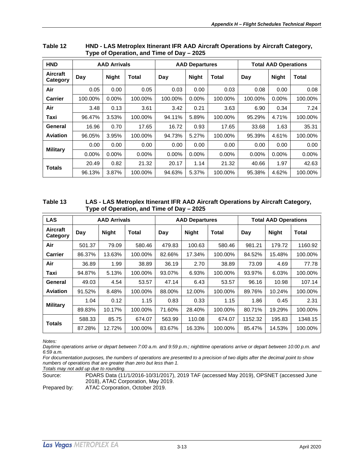| <b>HND</b>                  |          | <b>AAD Arrivals</b> |          |                     | <b>AAD Departures</b> |          | <b>Total AAD Operations</b> |              |         |  |
|-----------------------------|----------|---------------------|----------|---------------------|-----------------------|----------|-----------------------------|--------------|---------|--|
| <b>Aircraft</b><br>Category | Day      | <b>Night</b>        | Total    | <b>Night</b><br>Day |                       | Total    | Day                         | <b>Night</b> | Total   |  |
| Air                         | 0.05     | 0.00                | 0.05     | 0.03                | 0.00                  | 0.03     | 0.08                        | 0.00         | 0.08    |  |
| <b>Carrier</b>              | 100.00%  | $0.00\%$            | 100.00%  | 100.00%             | $0.00\%$              | 100.00%  | 100.00%                     | $0.00\%$     | 100.00% |  |
| Air                         | 3.48     | 0.13                | 3.61     | 3.42                | 0.21                  | 3.63     | 6.90                        | 0.34         | 7.24    |  |
| Taxi                        | 96.47%   | 3.53%               | 100.00%  | 94.11%              | 5.89%                 | 100.00%  | 95.29%                      | 4.71%        | 100.00% |  |
| General                     | 16.96    | 0.70                | 17.65    | 16.72               | 0.93                  | 17.65    | 33.68                       | 1.63         | 35.31   |  |
| <b>Aviation</b>             | 96.05%   | 3.95%               | 100.00%  | 94.73%              | 5.27%                 | 100.00%  | 95.39%                      | 4.61%        | 100.00% |  |
| <b>Military</b>             | 0.00     | 0.00                | 0.00     | 0.00                | 0.00                  | 0.00     | 0.00                        | 0.00         | 0.00    |  |
|                             | $0.00\%$ | $0.00\%$            | $0.00\%$ | $0.00\%$            | $0.00\%$              | $0.00\%$ | $0.00\%$                    | $0.00\%$     | 0.00%   |  |
| <b>Totals</b>               | 20.49    | 0.82                | 21.32    | 20.17               | 1.14                  | 21.32    | 40.66                       | 1.97         | 42.63   |  |
|                             | 96.13%   | 3.87%               | 100.00%  | 94.63%              | 5.37%                 | 100.00%  | 95.38%                      | 4.62%        | 100.00% |  |

<span id="page-18-0"></span>

| Table 12 | HND - LAS Metroplex Itinerant IFR AAD Aircraft Operations by Aircraft Category, |
|----------|---------------------------------------------------------------------------------|
|          | Type of Operation, and Time of Day – 2025                                       |

<span id="page-18-1"></span>

| Table 13 | LAS - LAS Metroplex Itinerant IFR AAD Aircraft Operations by Aircraft Category, |
|----------|---------------------------------------------------------------------------------|
|          | Type of Operation, and Time of Day – 2025                                       |

| <b>LAS</b>                  |        | <b>AAD Arrivals</b>                                   |         |        | <b>AAD Departures</b> |              | <b>Total AAD Operations</b> |        |         |  |
|-----------------------------|--------|-------------------------------------------------------|---------|--------|-----------------------|--------------|-----------------------------|--------|---------|--|
| <b>Aircraft</b><br>Category | Day    | <b>Night</b><br><b>Night</b><br>Total<br>Total<br>Day |         |        | Day                   | <b>Night</b> | Total                       |        |         |  |
| Air                         | 501.37 | 79.09                                                 | 580.46  | 479.83 | 100.63                | 580.46       | 981.21                      | 179.72 | 1160.92 |  |
| <b>Carrier</b>              | 86.37% | 13.63%                                                | 100.00% | 82.66% | 17.34%                | 100.00%      | 84.52%                      | 15.48% | 100.00% |  |
| Air                         | 36.89  | 1.99                                                  | 38.89   | 36.19  | 2.70                  | 38.89        | 73.09                       | 4.69   | 77.78   |  |
| Taxi                        | 94.87% | 5.13%                                                 | 100.00% | 93.07% | 6.93%                 | 100.00%      | 93.97%                      | 6.03%  | 100.00% |  |
| General                     | 49.03  | 4.54                                                  | 53.57   | 47.14  | 6.43                  | 53.57        | 96.16                       | 10.98  | 107.14  |  |
| <b>Aviation</b>             | 91.52% | 8.48%                                                 | 100.00% | 88.00% | 12.00%                | 100.00%      | 89.76%                      | 10.24% | 100.00% |  |
| <b>Military</b>             | 1.04   | 0.12                                                  | 1.15    | 0.83   | 0.33                  | 1.15         | 1.86                        | 0.45   | 2.31    |  |
|                             | 89.83% | 10.17%                                                | 100.00% | 71.60% | 28.40%                | 100.00%      | 80.71%                      | 19.29% | 100.00% |  |
| <b>Totals</b>               | 588.33 | 85.75                                                 | 674.07  | 563.99 | 110.08                | 674.07       | 1152.32                     | 195.83 | 1348.15 |  |
|                             | 87.28% | 12.72%                                                | 100.00% | 83.67% | 16.33%                | 100.00%      | 85.47%                      | 14.53% | 100.00% |  |

*Daytime operations arrive or depart between 7:00 a.m. and 9:59 p.m.; nighttime operations arrive or depart between 10:00 p.m. and 6:59 a.m.*

*For documentation purposes, the numbers of operations are presented to a precision of two digits after the decimal point to show numbers of operations that are greater than zero but less than 1.*

*Totals may not add up due to rounding.*

Source: PDARS Data (11/1/2016-10/31/2017), 2019 TAF (accessed May 2019), OPSNET (accessed June 2018), ATAC Corporation, May 2019.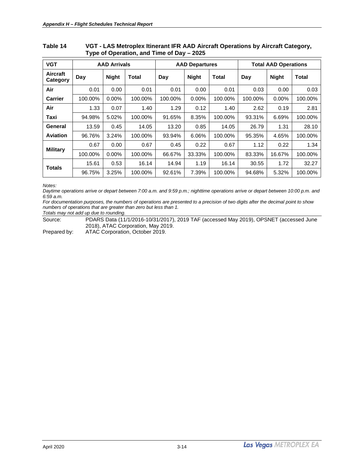| <b>VGT</b>                  |         | <b>AAD Arrivals</b> |         |         | <b>AAD Departures</b> |         | <b>Total AAD Operations</b> |              |              |  |
|-----------------------------|---------|---------------------|---------|---------|-----------------------|---------|-----------------------------|--------------|--------------|--|
| <b>Aircraft</b><br>Category | Day     | <b>Night</b>        | Total   | Day     | <b>Night</b>          | Total   | Day                         | <b>Night</b> | <b>Total</b> |  |
| Air                         | 0.01    | 0.00                | 0.01    | 0.01    | 0.00                  | 0.01    | 0.03                        | 0.00         | 0.03         |  |
| <b>Carrier</b>              | 100.00% | $0.00\%$            | 100.00% | 100.00% | $0.00\%$              | 100.00% | 100.00%                     | 0.00%        | 100.00%      |  |
| Air                         | 1.33    | 0.07                | 1.40    | 1.29    | 0.12                  | 1.40    | 2.62                        | 0.19         | 2.81         |  |
| Taxi                        | 94.98%  | 5.02%               | 100.00% | 91.65%  | 8.35%                 | 100.00% | 93.31%                      | 6.69%        | 100.00%      |  |
| General                     | 13.59   | 0.45                | 14.05   | 13.20   | 0.85                  | 14.05   | 26.79                       | 1.31         | 28.10        |  |
| Aviation                    | 96.76%  | 3.24%               | 100.00% | 93.94%  | 6.06%                 | 100.00% | 95.35%                      | 4.65%        | 100.00%      |  |
| <b>Military</b>             | 0.67    | 0.00                | 0.67    | 0.45    | 0.22                  | 0.67    | 1.12                        | 0.22         | 1.34         |  |
|                             | 100.00% | 0.00%               | 100.00% | 66.67%  | 33.33%                | 100.00% | 83.33%                      | 16.67%       | 100.00%      |  |
| <b>Totals</b>               | 15.61   | 0.53                | 16.14   | 14.94   | 1.19                  | 16.14   | 30.55                       | 1.72         | 32.27        |  |
|                             | 96.75%  | 3.25%               | 100.00% | 92.61%  | 7.39%                 | 100.00% | 94.68%                      | 5.32%        | 100.00%      |  |

#### <span id="page-19-0"></span>**Table 14 VGT - LAS Metroplex Itinerant IFR AAD Aircraft Operations by Aircraft Category, Type of Operation, and Time of Day – 2025**

*Notes:*

*Daytime operations arrive or depart between 7:00 a.m. and 9:59 p.m.; nighttime operations arrive or depart between 10:00 p.m. and 6:59 a.m.*

*For documentation purposes, the numbers of operations are presented to a precision of two digits after the decimal point to show numbers of operations that are greater than zero but less than 1. Totals may not add up due to rounding.*

Source: PDARS Data (11/1/2016-10/31/2017), 2019 TAF (accessed May 2019), OPSNET (accessed June 2018), ATAC Corporation, May 2019.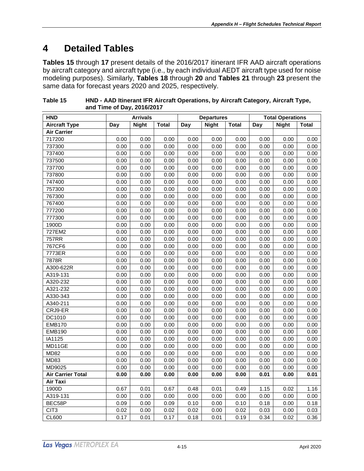## <span id="page-20-0"></span>**4 Detailed Tables**

**Tables 15** through **17** present details of the 2016/2017 itinerant IFR AAD aircraft operations by aircraft category and aircraft type (i.e., by each individual AEDT aircraft type used for noise modeling purposes). Similarly, **Tables 18** through **20** and **Tables 21** through **23** present the same data for forecast years 2020 and 2025, respectively.

| <b>HND</b>               |            | <b>Arrivals</b> |              |      | <b>Departures</b> |              | <b>Total Operations</b> |              |       |
|--------------------------|------------|-----------------|--------------|------|-------------------|--------------|-------------------------|--------------|-------|
| <b>Aircraft Type</b>     | <b>Day</b> | <b>Night</b>    | <b>Total</b> | Day  | <b>Night</b>      | <b>Total</b> | Day                     | <b>Night</b> | Total |
| <b>Air Carrier</b>       |            |                 |              |      |                   |              |                         |              |       |
| 717200                   | 0.00       | 0.00            | 0.00         | 0.00 | 0.00              | 0.00         | 0.00                    | 0.00         | 0.00  |
| 737300                   | 0.00       | 0.00            | 0.00         | 0.00 | 0.00              | 0.00         | 0.00                    | 0.00         | 0.00  |
| 737400                   | 0.00       | 0.00            | 0.00         | 0.00 | 0.00              | 0.00         | 0.00                    | 0.00         | 0.00  |
| 737500                   | 0.00       | 0.00            | 0.00         | 0.00 | 0.00              | 0.00         | 0.00                    | 0.00         | 0.00  |
| 737700                   | 0.00       | 0.00            | 0.00         | 0.00 | 0.00              | 0.00         | 0.00                    | 0.00         | 0.00  |
| 737800                   | 0.00       | 0.00            | 0.00         | 0.00 | 0.00              | 0.00         | 0.00                    | 0.00         | 0.00  |
| 747400                   | 0.00       | 0.00            | 0.00         | 0.00 | 0.00              | 0.00         | 0.00                    | 0.00         | 0.00  |
| 757300                   | 0.00       | 0.00            | 0.00         | 0.00 | 0.00              | 0.00         | 0.00                    | 0.00         | 0.00  |
| 767300                   | 0.00       | 0.00            | 0.00         | 0.00 | 0.00              | 0.00         | 0.00                    | 0.00         | 0.00  |
| 767400                   | 0.00       | 0.00            | 0.00         | 0.00 | 0.00              | 0.00         | 0.00                    | 0.00         | 0.00  |
| 777200                   | 0.00       | 0.00            | 0.00         | 0.00 | 0.00              | 0.00         | 0.00                    | 0.00         | 0.00  |
| 777300                   | 0.00       | 0.00            | 0.00         | 0.00 | 0.00              | 0.00         | 0.00                    | 0.00         | 0.00  |
| 1900D                    | 0.00       | 0.00            | 0.00         | 0.00 | 0.00              | 0.00         | 0.00                    | 0.00         | 0.00  |
| 727EM2                   | 0.00       | 0.00            | 0.00         | 0.00 | 0.00              | 0.00         | 0.00                    | 0.00         | 0.00  |
| <b>757RR</b>             | 0.00       | 0.00            | 0.00         | 0.00 | 0.00              | 0.00         | 0.00                    | 0.00         | 0.00  |
| 767CF6                   | 0.00       | 0.00            | 0.00         | 0.00 | 0.00              | 0.00         | 0.00                    | 0.00         | 0.00  |
| 7773ER                   | 0.00       | 0.00            | 0.00         | 0.00 | 0.00              | 0.00         | 0.00                    | 0.00         | 0.00  |
| 7878R                    | 0.00       | 0.00            | 0.00         | 0.00 | 0.00              | 0.00         | 0.00                    | 0.00         | 0.00  |
| A300-622R                | 0.00       | 0.00            | 0.00         | 0.00 | 0.00              | 0.00         | 0.00                    | 0.00         | 0.00  |
| A319-131                 | 0.00       | 0.00            | 0.00         | 0.00 | 0.00              | 0.00         | 0.00                    | 0.00         | 0.00  |
| A320-232                 | 0.00       | 0.00            | 0.00         | 0.00 | 0.00              | 0.00         | 0.00                    | 0.00         | 0.00  |
| A321-232                 | 0.00       | 0.00            | 0.00         | 0.00 | 0.00              | 0.00         | 0.00                    | 0.00         | 0.00  |
| A330-343                 | 0.00       | 0.00            | 0.00         | 0.00 | 0.00              | 0.00         | 0.00                    | 0.00         | 0.00  |
| A340-211                 | 0.00       | 0.00            | 0.00         | 0.00 | 0.00              | 0.00         | 0.00                    | 0.00         | 0.00  |
| CRJ9-ER                  | 0.00       | 0.00            | 0.00         | 0.00 | 0.00              | 0.00         | 0.00                    | 0.00         | 0.00  |
| DC1010                   | 0.00       | 0.00            | 0.00         | 0.00 | 0.00              | 0.00         | 0.00                    | 0.00         | 0.00  |
| <b>EMB170</b>            | 0.00       | 0.00            | 0.00         | 0.00 | 0.00              | 0.00         | 0.00                    | 0.00         | 0.00  |
| <b>EMB190</b>            | 0.00       | 0.00            | 0.00         | 0.00 | 0.00              | 0.00         | 0.00                    | 0.00         | 0.00  |
| IA1125                   | 0.00       | 0.00            | 0.00         | 0.00 | 0.00              | 0.00         | 0.00                    | 0.00         | 0.00  |
| MD11GE                   | 0.00       | 0.00            | 0.00         | 0.00 | 0.00              | 0.00         | 0.00                    | 0.00         | 0.00  |
| <b>MD82</b>              | 0.00       | 0.00            | 0.00         | 0.00 | 0.00              | 0.00         | 0.00                    | 0.00         | 0.00  |
| <b>MD83</b>              | 0.00       | 0.00            | 0.00         | 0.00 | 0.00              | 0.00         | 0.00                    | 0.00         | 0.00  |
| MD9025                   | 0.00       | 0.00            | 0.00         | 0.00 | 0.00              | 0.00         | 0.00                    | 0.00         | 0.00  |
| <b>Air Carrier Total</b> | 0.00       | 0.00            | 0.00         | 0.00 | 0.00              | 0.00         | 0.01                    | 0.00         | 0.01  |
| Air Taxi                 |            |                 |              |      |                   |              |                         |              |       |
| 1900D                    | 0.67       | 0.01            | 0.67         | 0.48 | 0.01              | 0.49         | 1.15                    | 0.02         | 1.16  |
| A319-131                 | 0.00       | 0.00            | 0.00         | 0.00 | 0.00              | 0.00         | 0.00                    | 0.00         | 0.00  |
| BEC58P                   | 0.09       | 0.00            | 0.09         | 0.10 | 0.00              | 0.10         | 0.18                    | 0.00         | 0.18  |
| CIT <sub>3</sub>         | 0.02       | 0.00            | 0.02         | 0.02 | 0.00              | 0.02         | 0.03                    | 0.00         | 0.03  |
| <b>CL600</b>             | 0.17       | 0.01            | 0.17         | 0.18 | 0.01              | 0.19         | 0.34                    | 0.02         | 0.36  |

<span id="page-20-1"></span>

| Table 15 | HND - AAD Itinerant IFR Aircraft Operations, by Aircraft Category, Aircraft Type, |
|----------|-----------------------------------------------------------------------------------|
|          | and Time of Day, 2016/2017                                                        |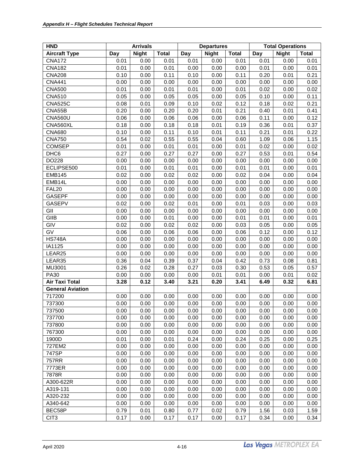| <b>Aircraft Type</b><br><b>Night</b><br><b>Total</b><br><b>Night</b><br><b>Total</b><br>Day<br><b>Night</b><br>Day<br>Day<br><b>Total</b><br>0.00<br><b>CNA172</b><br>0.01<br>0.01<br>0.01<br>0.00<br>0.01<br>0.01<br>0.00<br>0.01<br><b>CNA182</b><br>0.01<br>0.00<br>0.01<br>0.01<br>0.00<br>0.00<br>0.00<br>0.00<br>0.01<br><b>CNA208</b><br>0.10<br>0.00<br>0.11<br>0.10<br>0.11<br>0.20<br>0.21<br>0.00<br>0.01<br><b>CNA441</b><br>0.00<br>0.00<br>0.00<br>0.00<br>0.00<br>0.00<br>0.00<br>0.00<br>0.00<br><b>CNA500</b><br>0.01<br>0.00<br>0.02<br>0.01<br>0.01<br>0.00<br>0.01<br>0.00<br>0.02<br><b>CNA510</b><br>0.05<br>0.00<br>0.05<br>0.05<br>0.05<br>0.10<br>0.11<br>0.00<br>0.00<br><b>CNA525C</b><br>0.08<br>0.01<br>0.12<br>0.18<br>0.21<br>0.09<br>0.10<br>0.02<br>0.02<br>0.20<br>CNA55B<br>0.00<br>0.20<br>0.20<br>0.01<br>0.21<br>0.40<br>0.01<br>0.41<br><b>CNA560U</b><br>0.06<br>0.00<br>0.11<br>0.12<br>0.06<br>0.06<br>0.00<br>0.06<br>0.00<br>0.36<br>CNA560XL<br>0.18<br>0.00<br>0.18<br>0.18<br>0.01<br>0.19<br>0.01<br>0.37<br>0.10<br>0.00<br>0.21<br>0.22<br><b>CNA680</b><br>0.11<br>0.10<br>0.01<br>0.11<br>0.01<br><b>CNA750</b><br>0.54<br>0.02<br>0.55<br>0.55<br>0.04<br>0.60<br>1.09<br>1.15<br>0.06<br><b>COMSEP</b><br>0.00<br>0.02<br>0.01<br>0.01<br>0.01<br>0.00<br>0.01<br>0.00<br>0.02<br>0.27<br>0.53<br>DHC <sub>6</sub><br>0.00<br>0.27<br>0.27<br>0.27<br>0.01<br>0.54<br>0.00<br>DO228<br>0.00<br>0.00<br>0.00<br>0.00<br>0.00<br>0.00<br>0.00<br>0.00<br>0.00<br>ECLIPSE500<br>0.01<br>0.00<br>0.01<br>0.01<br>0.01<br>0.01<br>0.01<br>0.00<br>0.00<br>0.02<br>0.00<br>0.02<br>0.02<br>0.04<br>0.04<br><b>EMB145</b><br>0.02<br>0.00<br>0.00<br>EMB14L<br>0.00<br>0.00<br>0.00<br>0.00<br>0.00<br>0.00<br>0.00<br>0.00<br>0.00<br>FAL <sub>20</sub><br>0.00<br>0.00<br>0.00<br>0.00<br>0.00<br>0.00<br>0.00<br>0.00<br>0.00<br><b>GASEPF</b><br>0.00<br>0.00<br>0.00<br>0.00<br>0.00<br>0.00<br>0.00<br>0.00<br>0.00<br><b>GASEPV</b><br>0.02<br>0.00<br>0.02<br>0.01<br>0.01<br>0.03<br>0.03<br>0.00<br>0.00<br>GII<br>0.00<br>0.00<br>0.00<br>0.00<br>0.00<br>0.00<br>0.00<br>0.00<br>0.00<br>GIIB<br>0.00<br>0.00<br>0.01<br>0.00<br>0.00<br>0.01<br>0.01<br>0.00<br>0.01<br>GIV<br>0.02<br>0.00<br>0.05<br>0.02<br>0.02<br>0.00<br>0.03<br>0.00<br>0.05<br>GV<br>0.06<br>0.00<br>0.06<br>0.06<br>0.00<br>0.06<br>0.12<br>0.00<br>0.12<br><b>HS748A</b><br>0.00<br>0.00<br>0.00<br>0.00<br>0.00<br>0.00<br>0.00<br>0.00<br>0.00<br>IA1125<br>0.00<br>0.00<br>0.00<br>0.00<br>0.00<br>0.00<br>0.00<br>0.00<br>0.00<br>LEAR25<br>0.00<br>0.00<br>0.00<br>0.00<br>0.00<br>0.00<br>0.00<br>0.00<br>0.00<br>LEAR35<br>0.36<br>0.04<br>0.39<br>0.37<br>0.04<br>0.42<br>0.73<br>0.81<br>0.08<br>MU3001<br>0.26<br>0.02<br>0.27<br>0.30<br>0.53<br>0.57<br>0.28<br>0.03<br>0.05<br>PA30<br>0.00<br>0.00<br>0.00<br>0.00<br>0.00<br>0.01<br>0.01<br>0.01<br>0.02<br><b>Air Taxi Total</b><br>3.28<br>0.12<br>3.21<br>0.20<br>3.41<br>6.49<br>6.81<br>3.40<br>0.32<br><b>General Aviation</b><br>717200<br>0.00<br>0.00<br>0.00<br>0.00<br>0.00<br>0.00<br>0.00<br>0.00<br>0.00<br>737300<br>0.00<br>0.00<br>0.00<br>0.00<br>0.00<br>0.00<br>0.00<br>0.00<br>0.00<br>737500<br>0.00<br>0.00<br>0.00<br>0.00<br>0.00<br>0.00<br>0.00<br>0.00<br>0.00<br>737700<br>0.00<br>0.00<br>0.00<br>0.00<br>0.00<br>0.00<br>0.00<br>0.00<br>0.00<br>737800<br>0.00<br>0.00<br>0.00<br>0.00<br>0.00<br>0.00<br>0.00<br>0.00<br>0.00<br>767300<br>0.00<br>0.00<br>0.00<br>0.00<br>0.00<br>0.00<br>0.00<br>0.00<br>0.00<br>1900D<br>0.01<br>0.00<br>0.24<br>0.24<br>0.25<br>0.25<br>0.01<br>0.00<br>0.00<br>727EM2<br>0.00<br>0.00<br>0.00<br>0.00<br>0.00<br>0.00<br>0.00<br>0.00<br>0.00<br>747SP<br>0.00<br>0.00<br>0.00<br>0.00<br>0.00<br>0.00<br>0.00<br>0.00<br>0.00<br>757RR<br>0.00<br>0.00<br>0.00<br>0.00<br>0.00<br>0.00<br>0.00<br>0.00<br>0.00<br>7773ER<br>0.00<br>0.00<br>0.00<br>0.00<br>0.00<br>0.00<br>0.00<br>0.00<br>0.00<br>7878R<br>0.00<br>0.00<br>0.00<br>0.00<br>0.00<br>0.00<br>0.00<br>0.00<br>0.00<br>0.00<br>A300-622R<br>0.00<br>0.00<br>0.00<br>0.00<br>0.00<br>0.00<br>0.00<br>0.00<br>A319-131<br>0.00<br>0.00<br>0.00<br>0.00<br>0.00<br>0.00<br>0.00<br>0.00<br>0.00<br>A320-232<br>0.00<br>0.00<br>0.00<br>0.00<br>0.00<br>0.00<br>0.00<br>0.00<br>0.00<br>A340-642<br>0.00<br>0.00<br>0.00<br>0.00<br>0.00<br>0.00<br>0.00<br>0.00<br>0.00<br>BEC58P<br>0.79<br>1.56<br>0.01<br>0.80<br>0.77<br>0.02<br>0.79<br>0.03<br>1.59 | <b>HND</b>       | <b>Arrivals</b> |      |      |      | <b>Departures</b> |      | <b>Total Operations</b> |      |      |  |
|---------------------------------------------------------------------------------------------------------------------------------------------------------------------------------------------------------------------------------------------------------------------------------------------------------------------------------------------------------------------------------------------------------------------------------------------------------------------------------------------------------------------------------------------------------------------------------------------------------------------------------------------------------------------------------------------------------------------------------------------------------------------------------------------------------------------------------------------------------------------------------------------------------------------------------------------------------------------------------------------------------------------------------------------------------------------------------------------------------------------------------------------------------------------------------------------------------------------------------------------------------------------------------------------------------------------------------------------------------------------------------------------------------------------------------------------------------------------------------------------------------------------------------------------------------------------------------------------------------------------------------------------------------------------------------------------------------------------------------------------------------------------------------------------------------------------------------------------------------------------------------------------------------------------------------------------------------------------------------------------------------------------------------------------------------------------------------------------------------------------------------------------------------------------------------------------------------------------------------------------------------------------------------------------------------------------------------------------------------------------------------------------------------------------------------------------------------------------------------------------------------------------------------------------------------------------------------------------------------------------------------------------------------------------------------------------------------------------------------------------------------------------------------------------------------------------------------------------------------------------------------------------------------------------------------------------------------------------------------------------------------------------------------------------------------------------------------------------------------------------------------------------------------------------------------------------------------------------------------------------------------------------------------------------------------------------------------------------------------------------------------------------------------------------------------------------------------------------------------------------------------------------------------------------------------------------------------------------------------------------------------------------------------------------------------------------------------------------------------------------------------------------------------------------------------------------------------------------------------------------------------------------------------------------------------------------------------------------------------------------------------------------------------------------------------------------------------------------------------------------------------------------------------------------------------------------------------------------------------------------------------------------------------------------------------------------------------------------------------------------------------------------------------------------------------------------------------------------------------------------------|------------------|-----------------|------|------|------|-------------------|------|-------------------------|------|------|--|
|                                                                                                                                                                                                                                                                                                                                                                                                                                                                                                                                                                                                                                                                                                                                                                                                                                                                                                                                                                                                                                                                                                                                                                                                                                                                                                                                                                                                                                                                                                                                                                                                                                                                                                                                                                                                                                                                                                                                                                                                                                                                                                                                                                                                                                                                                                                                                                                                                                                                                                                                                                                                                                                                                                                                                                                                                                                                                                                                                                                                                                                                                                                                                                                                                                                                                                                                                                                                                                                                                                                                                                                                                                                                                                                                                                                                                                                                                                                                                                                                                                                                                                                                                                                                                                                                                                                                                                                                                                                                                                   |                  |                 |      |      |      |                   |      |                         |      |      |  |
|                                                                                                                                                                                                                                                                                                                                                                                                                                                                                                                                                                                                                                                                                                                                                                                                                                                                                                                                                                                                                                                                                                                                                                                                                                                                                                                                                                                                                                                                                                                                                                                                                                                                                                                                                                                                                                                                                                                                                                                                                                                                                                                                                                                                                                                                                                                                                                                                                                                                                                                                                                                                                                                                                                                                                                                                                                                                                                                                                                                                                                                                                                                                                                                                                                                                                                                                                                                                                                                                                                                                                                                                                                                                                                                                                                                                                                                                                                                                                                                                                                                                                                                                                                                                                                                                                                                                                                                                                                                                                                   |                  |                 |      |      |      |                   |      |                         |      |      |  |
|                                                                                                                                                                                                                                                                                                                                                                                                                                                                                                                                                                                                                                                                                                                                                                                                                                                                                                                                                                                                                                                                                                                                                                                                                                                                                                                                                                                                                                                                                                                                                                                                                                                                                                                                                                                                                                                                                                                                                                                                                                                                                                                                                                                                                                                                                                                                                                                                                                                                                                                                                                                                                                                                                                                                                                                                                                                                                                                                                                                                                                                                                                                                                                                                                                                                                                                                                                                                                                                                                                                                                                                                                                                                                                                                                                                                                                                                                                                                                                                                                                                                                                                                                                                                                                                                                                                                                                                                                                                                                                   |                  |                 |      |      |      |                   |      |                         |      |      |  |
|                                                                                                                                                                                                                                                                                                                                                                                                                                                                                                                                                                                                                                                                                                                                                                                                                                                                                                                                                                                                                                                                                                                                                                                                                                                                                                                                                                                                                                                                                                                                                                                                                                                                                                                                                                                                                                                                                                                                                                                                                                                                                                                                                                                                                                                                                                                                                                                                                                                                                                                                                                                                                                                                                                                                                                                                                                                                                                                                                                                                                                                                                                                                                                                                                                                                                                                                                                                                                                                                                                                                                                                                                                                                                                                                                                                                                                                                                                                                                                                                                                                                                                                                                                                                                                                                                                                                                                                                                                                                                                   |                  |                 |      |      |      |                   |      |                         |      |      |  |
|                                                                                                                                                                                                                                                                                                                                                                                                                                                                                                                                                                                                                                                                                                                                                                                                                                                                                                                                                                                                                                                                                                                                                                                                                                                                                                                                                                                                                                                                                                                                                                                                                                                                                                                                                                                                                                                                                                                                                                                                                                                                                                                                                                                                                                                                                                                                                                                                                                                                                                                                                                                                                                                                                                                                                                                                                                                                                                                                                                                                                                                                                                                                                                                                                                                                                                                                                                                                                                                                                                                                                                                                                                                                                                                                                                                                                                                                                                                                                                                                                                                                                                                                                                                                                                                                                                                                                                                                                                                                                                   |                  |                 |      |      |      |                   |      |                         |      |      |  |
|                                                                                                                                                                                                                                                                                                                                                                                                                                                                                                                                                                                                                                                                                                                                                                                                                                                                                                                                                                                                                                                                                                                                                                                                                                                                                                                                                                                                                                                                                                                                                                                                                                                                                                                                                                                                                                                                                                                                                                                                                                                                                                                                                                                                                                                                                                                                                                                                                                                                                                                                                                                                                                                                                                                                                                                                                                                                                                                                                                                                                                                                                                                                                                                                                                                                                                                                                                                                                                                                                                                                                                                                                                                                                                                                                                                                                                                                                                                                                                                                                                                                                                                                                                                                                                                                                                                                                                                                                                                                                                   |                  |                 |      |      |      |                   |      |                         |      |      |  |
|                                                                                                                                                                                                                                                                                                                                                                                                                                                                                                                                                                                                                                                                                                                                                                                                                                                                                                                                                                                                                                                                                                                                                                                                                                                                                                                                                                                                                                                                                                                                                                                                                                                                                                                                                                                                                                                                                                                                                                                                                                                                                                                                                                                                                                                                                                                                                                                                                                                                                                                                                                                                                                                                                                                                                                                                                                                                                                                                                                                                                                                                                                                                                                                                                                                                                                                                                                                                                                                                                                                                                                                                                                                                                                                                                                                                                                                                                                                                                                                                                                                                                                                                                                                                                                                                                                                                                                                                                                                                                                   |                  |                 |      |      |      |                   |      |                         |      |      |  |
|                                                                                                                                                                                                                                                                                                                                                                                                                                                                                                                                                                                                                                                                                                                                                                                                                                                                                                                                                                                                                                                                                                                                                                                                                                                                                                                                                                                                                                                                                                                                                                                                                                                                                                                                                                                                                                                                                                                                                                                                                                                                                                                                                                                                                                                                                                                                                                                                                                                                                                                                                                                                                                                                                                                                                                                                                                                                                                                                                                                                                                                                                                                                                                                                                                                                                                                                                                                                                                                                                                                                                                                                                                                                                                                                                                                                                                                                                                                                                                                                                                                                                                                                                                                                                                                                                                                                                                                                                                                                                                   |                  |                 |      |      |      |                   |      |                         |      |      |  |
|                                                                                                                                                                                                                                                                                                                                                                                                                                                                                                                                                                                                                                                                                                                                                                                                                                                                                                                                                                                                                                                                                                                                                                                                                                                                                                                                                                                                                                                                                                                                                                                                                                                                                                                                                                                                                                                                                                                                                                                                                                                                                                                                                                                                                                                                                                                                                                                                                                                                                                                                                                                                                                                                                                                                                                                                                                                                                                                                                                                                                                                                                                                                                                                                                                                                                                                                                                                                                                                                                                                                                                                                                                                                                                                                                                                                                                                                                                                                                                                                                                                                                                                                                                                                                                                                                                                                                                                                                                                                                                   |                  |                 |      |      |      |                   |      |                         |      |      |  |
|                                                                                                                                                                                                                                                                                                                                                                                                                                                                                                                                                                                                                                                                                                                                                                                                                                                                                                                                                                                                                                                                                                                                                                                                                                                                                                                                                                                                                                                                                                                                                                                                                                                                                                                                                                                                                                                                                                                                                                                                                                                                                                                                                                                                                                                                                                                                                                                                                                                                                                                                                                                                                                                                                                                                                                                                                                                                                                                                                                                                                                                                                                                                                                                                                                                                                                                                                                                                                                                                                                                                                                                                                                                                                                                                                                                                                                                                                                                                                                                                                                                                                                                                                                                                                                                                                                                                                                                                                                                                                                   |                  |                 |      |      |      |                   |      |                         |      |      |  |
|                                                                                                                                                                                                                                                                                                                                                                                                                                                                                                                                                                                                                                                                                                                                                                                                                                                                                                                                                                                                                                                                                                                                                                                                                                                                                                                                                                                                                                                                                                                                                                                                                                                                                                                                                                                                                                                                                                                                                                                                                                                                                                                                                                                                                                                                                                                                                                                                                                                                                                                                                                                                                                                                                                                                                                                                                                                                                                                                                                                                                                                                                                                                                                                                                                                                                                                                                                                                                                                                                                                                                                                                                                                                                                                                                                                                                                                                                                                                                                                                                                                                                                                                                                                                                                                                                                                                                                                                                                                                                                   |                  |                 |      |      |      |                   |      |                         |      |      |  |
|                                                                                                                                                                                                                                                                                                                                                                                                                                                                                                                                                                                                                                                                                                                                                                                                                                                                                                                                                                                                                                                                                                                                                                                                                                                                                                                                                                                                                                                                                                                                                                                                                                                                                                                                                                                                                                                                                                                                                                                                                                                                                                                                                                                                                                                                                                                                                                                                                                                                                                                                                                                                                                                                                                                                                                                                                                                                                                                                                                                                                                                                                                                                                                                                                                                                                                                                                                                                                                                                                                                                                                                                                                                                                                                                                                                                                                                                                                                                                                                                                                                                                                                                                                                                                                                                                                                                                                                                                                                                                                   |                  |                 |      |      |      |                   |      |                         |      |      |  |
|                                                                                                                                                                                                                                                                                                                                                                                                                                                                                                                                                                                                                                                                                                                                                                                                                                                                                                                                                                                                                                                                                                                                                                                                                                                                                                                                                                                                                                                                                                                                                                                                                                                                                                                                                                                                                                                                                                                                                                                                                                                                                                                                                                                                                                                                                                                                                                                                                                                                                                                                                                                                                                                                                                                                                                                                                                                                                                                                                                                                                                                                                                                                                                                                                                                                                                                                                                                                                                                                                                                                                                                                                                                                                                                                                                                                                                                                                                                                                                                                                                                                                                                                                                                                                                                                                                                                                                                                                                                                                                   |                  |                 |      |      |      |                   |      |                         |      |      |  |
|                                                                                                                                                                                                                                                                                                                                                                                                                                                                                                                                                                                                                                                                                                                                                                                                                                                                                                                                                                                                                                                                                                                                                                                                                                                                                                                                                                                                                                                                                                                                                                                                                                                                                                                                                                                                                                                                                                                                                                                                                                                                                                                                                                                                                                                                                                                                                                                                                                                                                                                                                                                                                                                                                                                                                                                                                                                                                                                                                                                                                                                                                                                                                                                                                                                                                                                                                                                                                                                                                                                                                                                                                                                                                                                                                                                                                                                                                                                                                                                                                                                                                                                                                                                                                                                                                                                                                                                                                                                                                                   |                  |                 |      |      |      |                   |      |                         |      |      |  |
|                                                                                                                                                                                                                                                                                                                                                                                                                                                                                                                                                                                                                                                                                                                                                                                                                                                                                                                                                                                                                                                                                                                                                                                                                                                                                                                                                                                                                                                                                                                                                                                                                                                                                                                                                                                                                                                                                                                                                                                                                                                                                                                                                                                                                                                                                                                                                                                                                                                                                                                                                                                                                                                                                                                                                                                                                                                                                                                                                                                                                                                                                                                                                                                                                                                                                                                                                                                                                                                                                                                                                                                                                                                                                                                                                                                                                                                                                                                                                                                                                                                                                                                                                                                                                                                                                                                                                                                                                                                                                                   |                  |                 |      |      |      |                   |      |                         |      |      |  |
|                                                                                                                                                                                                                                                                                                                                                                                                                                                                                                                                                                                                                                                                                                                                                                                                                                                                                                                                                                                                                                                                                                                                                                                                                                                                                                                                                                                                                                                                                                                                                                                                                                                                                                                                                                                                                                                                                                                                                                                                                                                                                                                                                                                                                                                                                                                                                                                                                                                                                                                                                                                                                                                                                                                                                                                                                                                                                                                                                                                                                                                                                                                                                                                                                                                                                                                                                                                                                                                                                                                                                                                                                                                                                                                                                                                                                                                                                                                                                                                                                                                                                                                                                                                                                                                                                                                                                                                                                                                                                                   |                  |                 |      |      |      |                   |      |                         |      |      |  |
|                                                                                                                                                                                                                                                                                                                                                                                                                                                                                                                                                                                                                                                                                                                                                                                                                                                                                                                                                                                                                                                                                                                                                                                                                                                                                                                                                                                                                                                                                                                                                                                                                                                                                                                                                                                                                                                                                                                                                                                                                                                                                                                                                                                                                                                                                                                                                                                                                                                                                                                                                                                                                                                                                                                                                                                                                                                                                                                                                                                                                                                                                                                                                                                                                                                                                                                                                                                                                                                                                                                                                                                                                                                                                                                                                                                                                                                                                                                                                                                                                                                                                                                                                                                                                                                                                                                                                                                                                                                                                                   |                  |                 |      |      |      |                   |      |                         |      |      |  |
|                                                                                                                                                                                                                                                                                                                                                                                                                                                                                                                                                                                                                                                                                                                                                                                                                                                                                                                                                                                                                                                                                                                                                                                                                                                                                                                                                                                                                                                                                                                                                                                                                                                                                                                                                                                                                                                                                                                                                                                                                                                                                                                                                                                                                                                                                                                                                                                                                                                                                                                                                                                                                                                                                                                                                                                                                                                                                                                                                                                                                                                                                                                                                                                                                                                                                                                                                                                                                                                                                                                                                                                                                                                                                                                                                                                                                                                                                                                                                                                                                                                                                                                                                                                                                                                                                                                                                                                                                                                                                                   |                  |                 |      |      |      |                   |      |                         |      |      |  |
|                                                                                                                                                                                                                                                                                                                                                                                                                                                                                                                                                                                                                                                                                                                                                                                                                                                                                                                                                                                                                                                                                                                                                                                                                                                                                                                                                                                                                                                                                                                                                                                                                                                                                                                                                                                                                                                                                                                                                                                                                                                                                                                                                                                                                                                                                                                                                                                                                                                                                                                                                                                                                                                                                                                                                                                                                                                                                                                                                                                                                                                                                                                                                                                                                                                                                                                                                                                                                                                                                                                                                                                                                                                                                                                                                                                                                                                                                                                                                                                                                                                                                                                                                                                                                                                                                                                                                                                                                                                                                                   |                  |                 |      |      |      |                   |      |                         |      |      |  |
|                                                                                                                                                                                                                                                                                                                                                                                                                                                                                                                                                                                                                                                                                                                                                                                                                                                                                                                                                                                                                                                                                                                                                                                                                                                                                                                                                                                                                                                                                                                                                                                                                                                                                                                                                                                                                                                                                                                                                                                                                                                                                                                                                                                                                                                                                                                                                                                                                                                                                                                                                                                                                                                                                                                                                                                                                                                                                                                                                                                                                                                                                                                                                                                                                                                                                                                                                                                                                                                                                                                                                                                                                                                                                                                                                                                                                                                                                                                                                                                                                                                                                                                                                                                                                                                                                                                                                                                                                                                                                                   |                  |                 |      |      |      |                   |      |                         |      |      |  |
|                                                                                                                                                                                                                                                                                                                                                                                                                                                                                                                                                                                                                                                                                                                                                                                                                                                                                                                                                                                                                                                                                                                                                                                                                                                                                                                                                                                                                                                                                                                                                                                                                                                                                                                                                                                                                                                                                                                                                                                                                                                                                                                                                                                                                                                                                                                                                                                                                                                                                                                                                                                                                                                                                                                                                                                                                                                                                                                                                                                                                                                                                                                                                                                                                                                                                                                                                                                                                                                                                                                                                                                                                                                                                                                                                                                                                                                                                                                                                                                                                                                                                                                                                                                                                                                                                                                                                                                                                                                                                                   |                  |                 |      |      |      |                   |      |                         |      |      |  |
|                                                                                                                                                                                                                                                                                                                                                                                                                                                                                                                                                                                                                                                                                                                                                                                                                                                                                                                                                                                                                                                                                                                                                                                                                                                                                                                                                                                                                                                                                                                                                                                                                                                                                                                                                                                                                                                                                                                                                                                                                                                                                                                                                                                                                                                                                                                                                                                                                                                                                                                                                                                                                                                                                                                                                                                                                                                                                                                                                                                                                                                                                                                                                                                                                                                                                                                                                                                                                                                                                                                                                                                                                                                                                                                                                                                                                                                                                                                                                                                                                                                                                                                                                                                                                                                                                                                                                                                                                                                                                                   |                  |                 |      |      |      |                   |      |                         |      |      |  |
|                                                                                                                                                                                                                                                                                                                                                                                                                                                                                                                                                                                                                                                                                                                                                                                                                                                                                                                                                                                                                                                                                                                                                                                                                                                                                                                                                                                                                                                                                                                                                                                                                                                                                                                                                                                                                                                                                                                                                                                                                                                                                                                                                                                                                                                                                                                                                                                                                                                                                                                                                                                                                                                                                                                                                                                                                                                                                                                                                                                                                                                                                                                                                                                                                                                                                                                                                                                                                                                                                                                                                                                                                                                                                                                                                                                                                                                                                                                                                                                                                                                                                                                                                                                                                                                                                                                                                                                                                                                                                                   |                  |                 |      |      |      |                   |      |                         |      |      |  |
|                                                                                                                                                                                                                                                                                                                                                                                                                                                                                                                                                                                                                                                                                                                                                                                                                                                                                                                                                                                                                                                                                                                                                                                                                                                                                                                                                                                                                                                                                                                                                                                                                                                                                                                                                                                                                                                                                                                                                                                                                                                                                                                                                                                                                                                                                                                                                                                                                                                                                                                                                                                                                                                                                                                                                                                                                                                                                                                                                                                                                                                                                                                                                                                                                                                                                                                                                                                                                                                                                                                                                                                                                                                                                                                                                                                                                                                                                                                                                                                                                                                                                                                                                                                                                                                                                                                                                                                                                                                                                                   |                  |                 |      |      |      |                   |      |                         |      |      |  |
|                                                                                                                                                                                                                                                                                                                                                                                                                                                                                                                                                                                                                                                                                                                                                                                                                                                                                                                                                                                                                                                                                                                                                                                                                                                                                                                                                                                                                                                                                                                                                                                                                                                                                                                                                                                                                                                                                                                                                                                                                                                                                                                                                                                                                                                                                                                                                                                                                                                                                                                                                                                                                                                                                                                                                                                                                                                                                                                                                                                                                                                                                                                                                                                                                                                                                                                                                                                                                                                                                                                                                                                                                                                                                                                                                                                                                                                                                                                                                                                                                                                                                                                                                                                                                                                                                                                                                                                                                                                                                                   |                  |                 |      |      |      |                   |      |                         |      |      |  |
|                                                                                                                                                                                                                                                                                                                                                                                                                                                                                                                                                                                                                                                                                                                                                                                                                                                                                                                                                                                                                                                                                                                                                                                                                                                                                                                                                                                                                                                                                                                                                                                                                                                                                                                                                                                                                                                                                                                                                                                                                                                                                                                                                                                                                                                                                                                                                                                                                                                                                                                                                                                                                                                                                                                                                                                                                                                                                                                                                                                                                                                                                                                                                                                                                                                                                                                                                                                                                                                                                                                                                                                                                                                                                                                                                                                                                                                                                                                                                                                                                                                                                                                                                                                                                                                                                                                                                                                                                                                                                                   |                  |                 |      |      |      |                   |      |                         |      |      |  |
|                                                                                                                                                                                                                                                                                                                                                                                                                                                                                                                                                                                                                                                                                                                                                                                                                                                                                                                                                                                                                                                                                                                                                                                                                                                                                                                                                                                                                                                                                                                                                                                                                                                                                                                                                                                                                                                                                                                                                                                                                                                                                                                                                                                                                                                                                                                                                                                                                                                                                                                                                                                                                                                                                                                                                                                                                                                                                                                                                                                                                                                                                                                                                                                                                                                                                                                                                                                                                                                                                                                                                                                                                                                                                                                                                                                                                                                                                                                                                                                                                                                                                                                                                                                                                                                                                                                                                                                                                                                                                                   |                  |                 |      |      |      |                   |      |                         |      |      |  |
|                                                                                                                                                                                                                                                                                                                                                                                                                                                                                                                                                                                                                                                                                                                                                                                                                                                                                                                                                                                                                                                                                                                                                                                                                                                                                                                                                                                                                                                                                                                                                                                                                                                                                                                                                                                                                                                                                                                                                                                                                                                                                                                                                                                                                                                                                                                                                                                                                                                                                                                                                                                                                                                                                                                                                                                                                                                                                                                                                                                                                                                                                                                                                                                                                                                                                                                                                                                                                                                                                                                                                                                                                                                                                                                                                                                                                                                                                                                                                                                                                                                                                                                                                                                                                                                                                                                                                                                                                                                                                                   |                  |                 |      |      |      |                   |      |                         |      |      |  |
|                                                                                                                                                                                                                                                                                                                                                                                                                                                                                                                                                                                                                                                                                                                                                                                                                                                                                                                                                                                                                                                                                                                                                                                                                                                                                                                                                                                                                                                                                                                                                                                                                                                                                                                                                                                                                                                                                                                                                                                                                                                                                                                                                                                                                                                                                                                                                                                                                                                                                                                                                                                                                                                                                                                                                                                                                                                                                                                                                                                                                                                                                                                                                                                                                                                                                                                                                                                                                                                                                                                                                                                                                                                                                                                                                                                                                                                                                                                                                                                                                                                                                                                                                                                                                                                                                                                                                                                                                                                                                                   |                  |                 |      |      |      |                   |      |                         |      |      |  |
|                                                                                                                                                                                                                                                                                                                                                                                                                                                                                                                                                                                                                                                                                                                                                                                                                                                                                                                                                                                                                                                                                                                                                                                                                                                                                                                                                                                                                                                                                                                                                                                                                                                                                                                                                                                                                                                                                                                                                                                                                                                                                                                                                                                                                                                                                                                                                                                                                                                                                                                                                                                                                                                                                                                                                                                                                                                                                                                                                                                                                                                                                                                                                                                                                                                                                                                                                                                                                                                                                                                                                                                                                                                                                                                                                                                                                                                                                                                                                                                                                                                                                                                                                                                                                                                                                                                                                                                                                                                                                                   |                  |                 |      |      |      |                   |      |                         |      |      |  |
|                                                                                                                                                                                                                                                                                                                                                                                                                                                                                                                                                                                                                                                                                                                                                                                                                                                                                                                                                                                                                                                                                                                                                                                                                                                                                                                                                                                                                                                                                                                                                                                                                                                                                                                                                                                                                                                                                                                                                                                                                                                                                                                                                                                                                                                                                                                                                                                                                                                                                                                                                                                                                                                                                                                                                                                                                                                                                                                                                                                                                                                                                                                                                                                                                                                                                                                                                                                                                                                                                                                                                                                                                                                                                                                                                                                                                                                                                                                                                                                                                                                                                                                                                                                                                                                                                                                                                                                                                                                                                                   |                  |                 |      |      |      |                   |      |                         |      |      |  |
|                                                                                                                                                                                                                                                                                                                                                                                                                                                                                                                                                                                                                                                                                                                                                                                                                                                                                                                                                                                                                                                                                                                                                                                                                                                                                                                                                                                                                                                                                                                                                                                                                                                                                                                                                                                                                                                                                                                                                                                                                                                                                                                                                                                                                                                                                                                                                                                                                                                                                                                                                                                                                                                                                                                                                                                                                                                                                                                                                                                                                                                                                                                                                                                                                                                                                                                                                                                                                                                                                                                                                                                                                                                                                                                                                                                                                                                                                                                                                                                                                                                                                                                                                                                                                                                                                                                                                                                                                                                                                                   |                  |                 |      |      |      |                   |      |                         |      |      |  |
|                                                                                                                                                                                                                                                                                                                                                                                                                                                                                                                                                                                                                                                                                                                                                                                                                                                                                                                                                                                                                                                                                                                                                                                                                                                                                                                                                                                                                                                                                                                                                                                                                                                                                                                                                                                                                                                                                                                                                                                                                                                                                                                                                                                                                                                                                                                                                                                                                                                                                                                                                                                                                                                                                                                                                                                                                                                                                                                                                                                                                                                                                                                                                                                                                                                                                                                                                                                                                                                                                                                                                                                                                                                                                                                                                                                                                                                                                                                                                                                                                                                                                                                                                                                                                                                                                                                                                                                                                                                                                                   |                  |                 |      |      |      |                   |      |                         |      |      |  |
|                                                                                                                                                                                                                                                                                                                                                                                                                                                                                                                                                                                                                                                                                                                                                                                                                                                                                                                                                                                                                                                                                                                                                                                                                                                                                                                                                                                                                                                                                                                                                                                                                                                                                                                                                                                                                                                                                                                                                                                                                                                                                                                                                                                                                                                                                                                                                                                                                                                                                                                                                                                                                                                                                                                                                                                                                                                                                                                                                                                                                                                                                                                                                                                                                                                                                                                                                                                                                                                                                                                                                                                                                                                                                                                                                                                                                                                                                                                                                                                                                                                                                                                                                                                                                                                                                                                                                                                                                                                                                                   |                  |                 |      |      |      |                   |      |                         |      |      |  |
|                                                                                                                                                                                                                                                                                                                                                                                                                                                                                                                                                                                                                                                                                                                                                                                                                                                                                                                                                                                                                                                                                                                                                                                                                                                                                                                                                                                                                                                                                                                                                                                                                                                                                                                                                                                                                                                                                                                                                                                                                                                                                                                                                                                                                                                                                                                                                                                                                                                                                                                                                                                                                                                                                                                                                                                                                                                                                                                                                                                                                                                                                                                                                                                                                                                                                                                                                                                                                                                                                                                                                                                                                                                                                                                                                                                                                                                                                                                                                                                                                                                                                                                                                                                                                                                                                                                                                                                                                                                                                                   |                  |                 |      |      |      |                   |      |                         |      |      |  |
|                                                                                                                                                                                                                                                                                                                                                                                                                                                                                                                                                                                                                                                                                                                                                                                                                                                                                                                                                                                                                                                                                                                                                                                                                                                                                                                                                                                                                                                                                                                                                                                                                                                                                                                                                                                                                                                                                                                                                                                                                                                                                                                                                                                                                                                                                                                                                                                                                                                                                                                                                                                                                                                                                                                                                                                                                                                                                                                                                                                                                                                                                                                                                                                                                                                                                                                                                                                                                                                                                                                                                                                                                                                                                                                                                                                                                                                                                                                                                                                                                                                                                                                                                                                                                                                                                                                                                                                                                                                                                                   |                  |                 |      |      |      |                   |      |                         |      |      |  |
|                                                                                                                                                                                                                                                                                                                                                                                                                                                                                                                                                                                                                                                                                                                                                                                                                                                                                                                                                                                                                                                                                                                                                                                                                                                                                                                                                                                                                                                                                                                                                                                                                                                                                                                                                                                                                                                                                                                                                                                                                                                                                                                                                                                                                                                                                                                                                                                                                                                                                                                                                                                                                                                                                                                                                                                                                                                                                                                                                                                                                                                                                                                                                                                                                                                                                                                                                                                                                                                                                                                                                                                                                                                                                                                                                                                                                                                                                                                                                                                                                                                                                                                                                                                                                                                                                                                                                                                                                                                                                                   |                  |                 |      |      |      |                   |      |                         |      |      |  |
|                                                                                                                                                                                                                                                                                                                                                                                                                                                                                                                                                                                                                                                                                                                                                                                                                                                                                                                                                                                                                                                                                                                                                                                                                                                                                                                                                                                                                                                                                                                                                                                                                                                                                                                                                                                                                                                                                                                                                                                                                                                                                                                                                                                                                                                                                                                                                                                                                                                                                                                                                                                                                                                                                                                                                                                                                                                                                                                                                                                                                                                                                                                                                                                                                                                                                                                                                                                                                                                                                                                                                                                                                                                                                                                                                                                                                                                                                                                                                                                                                                                                                                                                                                                                                                                                                                                                                                                                                                                                                                   |                  |                 |      |      |      |                   |      |                         |      |      |  |
|                                                                                                                                                                                                                                                                                                                                                                                                                                                                                                                                                                                                                                                                                                                                                                                                                                                                                                                                                                                                                                                                                                                                                                                                                                                                                                                                                                                                                                                                                                                                                                                                                                                                                                                                                                                                                                                                                                                                                                                                                                                                                                                                                                                                                                                                                                                                                                                                                                                                                                                                                                                                                                                                                                                                                                                                                                                                                                                                                                                                                                                                                                                                                                                                                                                                                                                                                                                                                                                                                                                                                                                                                                                                                                                                                                                                                                                                                                                                                                                                                                                                                                                                                                                                                                                                                                                                                                                                                                                                                                   |                  |                 |      |      |      |                   |      |                         |      |      |  |
|                                                                                                                                                                                                                                                                                                                                                                                                                                                                                                                                                                                                                                                                                                                                                                                                                                                                                                                                                                                                                                                                                                                                                                                                                                                                                                                                                                                                                                                                                                                                                                                                                                                                                                                                                                                                                                                                                                                                                                                                                                                                                                                                                                                                                                                                                                                                                                                                                                                                                                                                                                                                                                                                                                                                                                                                                                                                                                                                                                                                                                                                                                                                                                                                                                                                                                                                                                                                                                                                                                                                                                                                                                                                                                                                                                                                                                                                                                                                                                                                                                                                                                                                                                                                                                                                                                                                                                                                                                                                                                   |                  |                 |      |      |      |                   |      |                         |      |      |  |
|                                                                                                                                                                                                                                                                                                                                                                                                                                                                                                                                                                                                                                                                                                                                                                                                                                                                                                                                                                                                                                                                                                                                                                                                                                                                                                                                                                                                                                                                                                                                                                                                                                                                                                                                                                                                                                                                                                                                                                                                                                                                                                                                                                                                                                                                                                                                                                                                                                                                                                                                                                                                                                                                                                                                                                                                                                                                                                                                                                                                                                                                                                                                                                                                                                                                                                                                                                                                                                                                                                                                                                                                                                                                                                                                                                                                                                                                                                                                                                                                                                                                                                                                                                                                                                                                                                                                                                                                                                                                                                   |                  |                 |      |      |      |                   |      |                         |      |      |  |
|                                                                                                                                                                                                                                                                                                                                                                                                                                                                                                                                                                                                                                                                                                                                                                                                                                                                                                                                                                                                                                                                                                                                                                                                                                                                                                                                                                                                                                                                                                                                                                                                                                                                                                                                                                                                                                                                                                                                                                                                                                                                                                                                                                                                                                                                                                                                                                                                                                                                                                                                                                                                                                                                                                                                                                                                                                                                                                                                                                                                                                                                                                                                                                                                                                                                                                                                                                                                                                                                                                                                                                                                                                                                                                                                                                                                                                                                                                                                                                                                                                                                                                                                                                                                                                                                                                                                                                                                                                                                                                   |                  |                 |      |      |      |                   |      |                         |      |      |  |
|                                                                                                                                                                                                                                                                                                                                                                                                                                                                                                                                                                                                                                                                                                                                                                                                                                                                                                                                                                                                                                                                                                                                                                                                                                                                                                                                                                                                                                                                                                                                                                                                                                                                                                                                                                                                                                                                                                                                                                                                                                                                                                                                                                                                                                                                                                                                                                                                                                                                                                                                                                                                                                                                                                                                                                                                                                                                                                                                                                                                                                                                                                                                                                                                                                                                                                                                                                                                                                                                                                                                                                                                                                                                                                                                                                                                                                                                                                                                                                                                                                                                                                                                                                                                                                                                                                                                                                                                                                                                                                   |                  |                 |      |      |      |                   |      |                         |      |      |  |
|                                                                                                                                                                                                                                                                                                                                                                                                                                                                                                                                                                                                                                                                                                                                                                                                                                                                                                                                                                                                                                                                                                                                                                                                                                                                                                                                                                                                                                                                                                                                                                                                                                                                                                                                                                                                                                                                                                                                                                                                                                                                                                                                                                                                                                                                                                                                                                                                                                                                                                                                                                                                                                                                                                                                                                                                                                                                                                                                                                                                                                                                                                                                                                                                                                                                                                                                                                                                                                                                                                                                                                                                                                                                                                                                                                                                                                                                                                                                                                                                                                                                                                                                                                                                                                                                                                                                                                                                                                                                                                   |                  |                 |      |      |      |                   |      |                         |      |      |  |
|                                                                                                                                                                                                                                                                                                                                                                                                                                                                                                                                                                                                                                                                                                                                                                                                                                                                                                                                                                                                                                                                                                                                                                                                                                                                                                                                                                                                                                                                                                                                                                                                                                                                                                                                                                                                                                                                                                                                                                                                                                                                                                                                                                                                                                                                                                                                                                                                                                                                                                                                                                                                                                                                                                                                                                                                                                                                                                                                                                                                                                                                                                                                                                                                                                                                                                                                                                                                                                                                                                                                                                                                                                                                                                                                                                                                                                                                                                                                                                                                                                                                                                                                                                                                                                                                                                                                                                                                                                                                                                   |                  |                 |      |      |      |                   |      |                         |      |      |  |
|                                                                                                                                                                                                                                                                                                                                                                                                                                                                                                                                                                                                                                                                                                                                                                                                                                                                                                                                                                                                                                                                                                                                                                                                                                                                                                                                                                                                                                                                                                                                                                                                                                                                                                                                                                                                                                                                                                                                                                                                                                                                                                                                                                                                                                                                                                                                                                                                                                                                                                                                                                                                                                                                                                                                                                                                                                                                                                                                                                                                                                                                                                                                                                                                                                                                                                                                                                                                                                                                                                                                                                                                                                                                                                                                                                                                                                                                                                                                                                                                                                                                                                                                                                                                                                                                                                                                                                                                                                                                                                   |                  |                 |      |      |      |                   |      |                         |      |      |  |
|                                                                                                                                                                                                                                                                                                                                                                                                                                                                                                                                                                                                                                                                                                                                                                                                                                                                                                                                                                                                                                                                                                                                                                                                                                                                                                                                                                                                                                                                                                                                                                                                                                                                                                                                                                                                                                                                                                                                                                                                                                                                                                                                                                                                                                                                                                                                                                                                                                                                                                                                                                                                                                                                                                                                                                                                                                                                                                                                                                                                                                                                                                                                                                                                                                                                                                                                                                                                                                                                                                                                                                                                                                                                                                                                                                                                                                                                                                                                                                                                                                                                                                                                                                                                                                                                                                                                                                                                                                                                                                   |                  |                 |      |      |      |                   |      |                         |      |      |  |
|                                                                                                                                                                                                                                                                                                                                                                                                                                                                                                                                                                                                                                                                                                                                                                                                                                                                                                                                                                                                                                                                                                                                                                                                                                                                                                                                                                                                                                                                                                                                                                                                                                                                                                                                                                                                                                                                                                                                                                                                                                                                                                                                                                                                                                                                                                                                                                                                                                                                                                                                                                                                                                                                                                                                                                                                                                                                                                                                                                                                                                                                                                                                                                                                                                                                                                                                                                                                                                                                                                                                                                                                                                                                                                                                                                                                                                                                                                                                                                                                                                                                                                                                                                                                                                                                                                                                                                                                                                                                                                   |                  |                 |      |      |      |                   |      |                         |      |      |  |
|                                                                                                                                                                                                                                                                                                                                                                                                                                                                                                                                                                                                                                                                                                                                                                                                                                                                                                                                                                                                                                                                                                                                                                                                                                                                                                                                                                                                                                                                                                                                                                                                                                                                                                                                                                                                                                                                                                                                                                                                                                                                                                                                                                                                                                                                                                                                                                                                                                                                                                                                                                                                                                                                                                                                                                                                                                                                                                                                                                                                                                                                                                                                                                                                                                                                                                                                                                                                                                                                                                                                                                                                                                                                                                                                                                                                                                                                                                                                                                                                                                                                                                                                                                                                                                                                                                                                                                                                                                                                                                   |                  |                 |      |      |      |                   |      |                         |      |      |  |
|                                                                                                                                                                                                                                                                                                                                                                                                                                                                                                                                                                                                                                                                                                                                                                                                                                                                                                                                                                                                                                                                                                                                                                                                                                                                                                                                                                                                                                                                                                                                                                                                                                                                                                                                                                                                                                                                                                                                                                                                                                                                                                                                                                                                                                                                                                                                                                                                                                                                                                                                                                                                                                                                                                                                                                                                                                                                                                                                                                                                                                                                                                                                                                                                                                                                                                                                                                                                                                                                                                                                                                                                                                                                                                                                                                                                                                                                                                                                                                                                                                                                                                                                                                                                                                                                                                                                                                                                                                                                                                   |                  |                 |      |      |      |                   |      |                         |      |      |  |
|                                                                                                                                                                                                                                                                                                                                                                                                                                                                                                                                                                                                                                                                                                                                                                                                                                                                                                                                                                                                                                                                                                                                                                                                                                                                                                                                                                                                                                                                                                                                                                                                                                                                                                                                                                                                                                                                                                                                                                                                                                                                                                                                                                                                                                                                                                                                                                                                                                                                                                                                                                                                                                                                                                                                                                                                                                                                                                                                                                                                                                                                                                                                                                                                                                                                                                                                                                                                                                                                                                                                                                                                                                                                                                                                                                                                                                                                                                                                                                                                                                                                                                                                                                                                                                                                                                                                                                                                                                                                                                   |                  |                 |      |      |      |                   |      |                         |      |      |  |
|                                                                                                                                                                                                                                                                                                                                                                                                                                                                                                                                                                                                                                                                                                                                                                                                                                                                                                                                                                                                                                                                                                                                                                                                                                                                                                                                                                                                                                                                                                                                                                                                                                                                                                                                                                                                                                                                                                                                                                                                                                                                                                                                                                                                                                                                                                                                                                                                                                                                                                                                                                                                                                                                                                                                                                                                                                                                                                                                                                                                                                                                                                                                                                                                                                                                                                                                                                                                                                                                                                                                                                                                                                                                                                                                                                                                                                                                                                                                                                                                                                                                                                                                                                                                                                                                                                                                                                                                                                                                                                   | CIT <sub>3</sub> | 0.17            | 0.00 | 0.17 | 0.17 | 0.00              | 0.17 | 0.34                    | 0.00 | 0.34 |  |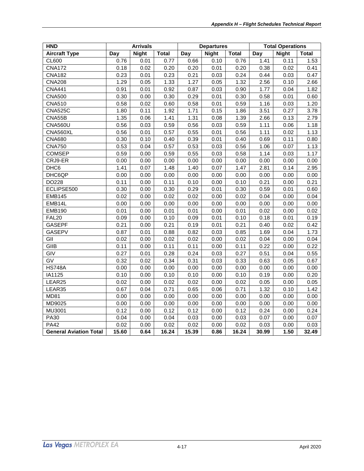| <b>HND</b>                    |       | <b>Arrivals</b> |              | <b>Departures</b> |              |              | <b>Total Operations</b> |              |              |
|-------------------------------|-------|-----------------|--------------|-------------------|--------------|--------------|-------------------------|--------------|--------------|
| <b>Aircraft Type</b>          | Day   | <b>Night</b>    | <b>Total</b> | Day               | <b>Night</b> | <b>Total</b> | Day                     | <b>Night</b> | <b>Total</b> |
| CL600                         | 0.76  | 0.01            | 0.77         | 0.66              | 0.10         | 0.76         | 1.41                    | 0.11         | 1.53         |
| <b>CNA172</b>                 | 0.18  | 0.02            | 0.20         | 0.20              | 0.01         | 0.20         | 0.38                    | 0.02         | 0.41         |
| <b>CNA182</b>                 | 0.23  | 0.01            | 0.23         | 0.21              | 0.03         | 0.24         | 0.44                    | 0.03         | 0.47         |
| <b>CNA208</b>                 | 1.29  | 0.05            | 1.33         | 1.27              | 0.05         | 1.32         | 2.56                    | 0.10         | 2.66         |
| <b>CNA441</b>                 | 0.91  | 0.01            | 0.92         | 0.87              | 0.03         | 0.90         | 1.77                    | 0.04         | 1.82         |
| <b>CNA500</b>                 | 0.30  | 0.00            | 0.30         | 0.29              | 0.01         | 0.30         | 0.58                    | 0.01         | 0.60         |
| <b>CNA510</b>                 | 0.58  | 0.02            | 0.60         | 0.58              | 0.01         | 0.59         | 1.16                    | 0.03         | 1.20         |
| <b>CNA525C</b>                | 1.80  | 0.11            | 1.92         | 1.71              | 0.15         | 1.86         | 3.51                    | 0.27         | 3.78         |
| CNA55B                        | 1.35  | 0.06            | 1.41         | 1.31              | 0.08         | 1.39         | 2.66                    | 0.13         | 2.79         |
| <b>CNA560U</b>                | 0.56  | 0.03            | 0.59         | 0.56              | 0.03         | 0.59         | 1.11                    | 0.06         | 1.18         |
| CNA560XL                      | 0.56  | 0.01            | 0.57         | 0.55              | 0.01         | 0.56         | 1.11                    | 0.02         | 1.13         |
| <b>CNA680</b>                 | 0.30  | 0.10            | 0.40         | 0.39              | 0.01         | 0.40         | 0.69                    | 0.11         | 0.80         |
| <b>CNA750</b>                 | 0.53  | 0.04            | 0.57         | 0.53              | 0.03         | 0.56         | 1.06                    | 0.07         | 1.13         |
| <b>COMSEP</b>                 | 0.59  | 0.00            | 0.59         | 0.55              | 0.03         | 0.58         | 1.14                    | 0.03         | 1.17         |
| CRJ9-ER                       | 0.00  | 0.00            | 0.00         | 0.00              | 0.00         | 0.00         | 0.00                    | 0.00         | 0.00         |
| DHC6                          | 1.41  | 0.07            | 1.48         | 1.40              | 0.07         | 1.47         | 2.81                    | 0.14         | 2.95         |
| DHC6QP                        | 0.00  | 0.00            | 0.00         | 0.00              | 0.00         | 0.00         | 0.00                    | 0.00         | 0.00         |
| DO228                         | 0.11  | 0.00            | 0.11         | 0.10              | 0.00         | 0.10         | 0.21                    | 0.00         | 0.21         |
| ECLIPSE500                    | 0.30  | 0.00            | 0.30         | 0.29              | 0.01         | 0.30         | 0.59                    | 0.01         | 0.60         |
| <b>EMB145</b>                 | 0.02  | 0.00            | 0.02         | 0.02              | 0.00         | 0.02         | 0.04                    | 0.00         | 0.04         |
| EMB14L                        | 0.00  | 0.00            | 0.00         | 0.00              | 0.00         | 0.00         | 0.00                    | 0.00         | 0.00         |
| <b>EMB190</b>                 | 0.01  | 0.00            | 0.01         | 0.01              | 0.00         | 0.01         | 0.02                    | 0.00         | 0.02         |
| <b>FAL20</b>                  | 0.09  | 0.00            | 0.10         | 0.09              | 0.01         | 0.10         | 0.18                    | 0.01         | 0.19         |
| <b>GASEPF</b>                 | 0.21  | 0.00            | 0.21         | 0.19              | 0.01         | 0.21         | 0.40                    | 0.02         | 0.42         |
| <b>GASEPV</b>                 | 0.87  | 0.01            | 0.88         | 0.82              | 0.03         | 0.85         | 1.69                    | 0.04         | 1.73         |
| GII                           | 0.02  | 0.00            | 0.02         | 0.02              | 0.00         | 0.02         | 0.04                    | 0.00         | 0.04         |
| GIIB                          | 0.11  | 0.00            | 0.11         | 0.11              | 0.00         | 0.11         | 0.22                    | 0.00         | 0.22         |
| GIV                           | 0.27  | 0.01            | 0.28         | 0.24              | 0.03         | 0.27         | 0.51                    | 0.04         | 0.55         |
| $\overline{GV}$               | 0.32  | 0.02            | 0.34         | 0.31              | 0.03         | 0.33         | 0.63                    | 0.05         | 0.67         |
| <b>HS748A</b>                 | 0.00  | 0.00            | 0.00         | 0.00              | 0.00         | 0.00         | 0.00                    | 0.00         | 0.00         |
| IA1125                        | 0.10  | 0.00            | 0.10         | 0.10              | 0.00         | 0.10         | 0.19                    | 0.00         | 0.20         |
| LEAR25                        | 0.02  | 0.00            | 0.02         | 0.02              | 0.00         | 0.02         | 0.05                    | 0.00         | 0.05         |
| LEAR35                        | 0.67  | 0.04            | 0.71         | 0.65              | 0.06         | 0.71         | 1.32                    | 0.10         | 1.42         |
| <b>MD81</b>                   | 0.00  | 0.00            | 0.00         | 0.00              | 0.00         | 0.00         | 0.00                    | 0.00         | 0.00         |
| MD9025                        | 0.00  | 0.00            | 0.00         | 0.00              | 0.00         | 0.00         | 0.00                    | 0.00         | 0.00         |
| MU3001                        | 0.12  | 0.00            | 0.12         | 0.12              | 0.00         | 0.12         | 0.24                    | 0.00         | 0.24         |
| <b>PA30</b>                   | 0.04  | 0.00            | 0.04         | 0.03              | 0.00         | 0.03         | 0.07                    | 0.00         | 0.07         |
| <b>PA42</b>                   | 0.02  | 0.00            | 0.02         | 0.02              | 0.00         | 0.02         | 0.03                    | 0.00         | 0.03         |
| <b>General Aviation Total</b> | 15.60 | 0.64            | 16.24        | 15.39             | 0.86         | 16.24        | 30.99                   | 1.50         | 32.49        |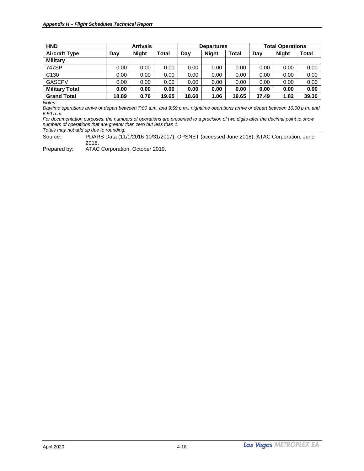| <b>HND</b>            | <b>Arrivals</b> |              |              | <b>Departures</b> |              |              | <b>Total Operations</b> |              |              |
|-----------------------|-----------------|--------------|--------------|-------------------|--------------|--------------|-------------------------|--------------|--------------|
| <b>Aircraft Type</b>  | Day             | <b>Night</b> | <b>Total</b> | Day               | <b>Night</b> | <b>Total</b> | Day                     | <b>Night</b> | <b>Total</b> |
| <b>Military</b>       |                 |              |              |                   |              |              |                         |              |              |
| 747SP                 | 0.00            | 0.00         | 0.00         | 0.00              | 0.00         | 0.00         | 0.00                    | 0.00         | 0.00         |
| C <sub>130</sub>      | 0.00            | 0.00         | 0.00         | 0.00              | 0.00         | 0.00         | 0.00                    | 0.00         | 0.00         |
| <b>GASEPV</b>         | 0.00            | 0.00         | 0.00         | 0.00              | 0.00         | 0.00         | 0.00                    | 0.00         | 0.00         |
| <b>Military Total</b> | 0.00            | 0.00         | 0.00         | 0.00              | 0.00         | 0.00         | 0.00                    | 0.00         | 0.00         |
| <b>Grand Total</b>    | 18.89           | 0.76         | 19.65        | 18.60             | 1.06         | 19.65        | 37.49                   | 1.82         | 39.30        |

*Daytime operations arrive or depart between 7:00 a.m. and 9:59 p.m.; nighttime operations arrive or depart between 10:00 p.m. and 6:59 a.m.*

*For documentation purposes, the numbers of operations are presented to a precision of two digits after the decimal point to show numbers of operations that are greater than zero but less than 1. Totals may not add up due to rounding.*

Source: PDARS Data (11/1/2016-10/31/2017), OPSNET (accessed June 2018), ATAC Corporation, June 2018.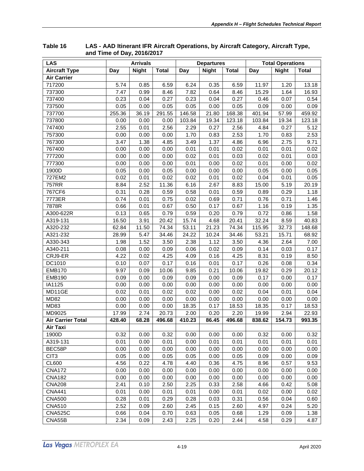| <b>LAS</b>               |        | <b>Arrivals</b> |              |        | <b>Departures</b> |              |        | <b>Total Operations</b> |              |
|--------------------------|--------|-----------------|--------------|--------|-------------------|--------------|--------|-------------------------|--------------|
| <b>Aircraft Type</b>     | Day    | <b>Night</b>    | <b>Total</b> | Day    | <b>Night</b>      | <b>Total</b> | Day    | <b>Night</b>            | <b>Total</b> |
| <b>Air Carrier</b>       |        |                 |              |        |                   |              |        |                         |              |
| 717200                   | 5.74   | 0.85            | 6.59         | 6.24   | 0.35              | 6.59         | 11.97  | 1.20                    | 13.18        |
| 737300                   | 7.47   | 0.99            | 8.46         | 7.82   | 0.64              | 8.46         | 15.29  | 1.64                    | 16.93        |
| 737400                   | 0.23   | 0.04            | 0.27         | 0.23   | 0.04              | 0.27         | 0.46   | 0.07                    | 0.54         |
| 737500                   | 0.05   | 0.00            | 0.05         | 0.05   | 0.00              | 0.05         | 0.09   | 0.00                    | 0.09         |
| 737700                   | 255.36 | 36.19           | 291.55       | 146.58 | 21.80             | 168.38       | 401.94 | 57.99                   | 459.92       |
| 737800                   | 0.00   | 0.00            | 0.00         | 103.84 | 19.34             | 123.18       | 103.84 | 19.34                   | 123.18       |
| 747400                   | 2.55   | 0.01            | 2.56         | 2.29   | 0.27              | 2.56         | 4.84   | 0.27                    | 5.12         |
| 757300                   | 0.00   | 0.00            | 0.00         | 1.70   | 0.83              | 2.53         | 1.70   | 0.83                    | 2.53         |
| 767300                   | 3.47   | 1.38            | 4.85         | 3.49   | 1.37              | 4.86         | 6.96   | 2.75                    | 9.71         |
| 767400                   | 0.00   | 0.00            | 0.00         | 0.01   | 0.01              | 0.02         | 0.01   | 0.01                    | 0.02         |
| 777200                   | 0.00   | 0.00            | 0.00         | 0.02   | 0.01              | 0.03         | 0.02   | 0.01                    | 0.03         |
| 777300                   | 0.00   | 0.00            | 0.00         | 0.01   | 0.00              | 0.02         | 0.01   | 0.00                    | 0.02         |
| 1900D                    | 0.05   | 0.00            | 0.05         | 0.00   | 0.00              | 0.00         | 0.05   | 0.00                    | 0.05         |
| 727EM2                   | 0.02   | 0.01            | 0.02         | 0.02   | 0.01              | 0.02         | 0.04   | 0.01                    | 0.05         |
| <b>757RR</b>             | 8.84   | 2.52            | 11.36        | 6.16   | 2.67              | 8.83         | 15.00  | 5.19                    | 20.19        |
| 767CF6                   | 0.31   | 0.28            | 0.59         | 0.58   | 0.01              | 0.59         | 0.89   | 0.29                    | 1.18         |
| 7773ER                   | 0.74   | 0.01            | 0.75         | 0.02   | 0.69              | 0.71         | 0.76   | 0.71                    | 1.46         |
| 7878R                    | 0.66   | 0.01            | 0.67         | 0.50   | 0.17              | 0.67         | 1.16   | 0.19                    | 1.35         |
| A300-622R                | 0.13   | 0.65            | 0.79         | 0.59   | 0.20              | 0.79         | 0.72   | 0.86                    | 1.58         |
| A319-131                 | 16.50  | 3.91            | 20.42        | 15.74  | 4.68              | 20.41        | 32.24  | 8.59                    | 40.83        |
| A320-232                 | 62.84  | 11.50           | 74.34        | 53.11  | 21.23             | 74.34        | 115.95 | 32.73                   | 148.68       |
| A321-232                 | 28.99  | 5.47            | 34.46        | 24.22  | 10.24             | 34.46        | 53.21  | 15.71                   | 68.92        |
| A330-343                 | 1.98   | 1.52            | 3.50         | 2.38   | 1.12              | 3.50         | 4.36   | 2.64                    | 7.00         |
| A340-211                 | 0.08   | 0.00            | 0.09         | 0.06   | 0.02              | 0.09         | 0.14   | 0.03                    | 0.17         |
| CRJ9-ER                  | 4.22   | 0.02            | 4.25         | 4.09   | 0.16              | 4.25         | 8.31   | 0.19                    | 8.50         |
| DC1010                   | 0.10   | 0.07            | 0.17         | 0.16   | 0.01              | 0.17         | 0.26   | 0.08                    | 0.34         |
| <b>EMB170</b>            | 9.97   | 0.09            | 10.06        | 9.85   | 0.21              | 10.06        | 19.82  | 0.29                    | 20.12        |
| <b>EMB190</b>            | 0.09   | 0.00            | 0.09         | 0.09   | 0.00              | 0.09         | 0.17   | 0.00                    | 0.17         |
| IA1125                   | 0.00   | 0.00            | 0.00         | 0.00   | 0.00              | 0.00         | 0.00   | 0.00                    | 0.00         |
| MD11GE                   | 0.02   | 0.01            | 0.02         | 0.02   | 0.00              | 0.02         | 0.04   | 0.01                    | 0.04         |
| <b>MD82</b>              | 0.00   | 0.00            | 0.00         | 0.00   | 0.00              | 0.00         | 0.00   | 0.00                    | 0.00         |
| MD83                     | 0.00   | 0.00            | 0.00         | 18.35  | 0.17              | 18.53        | 18.35  | 0.17                    | 18.53        |
| MD9025                   | 17.99  | 2.74            | 20.73        | 2.00   | 0.20              | 2.20         | 19.99  | 2.94                    | 22.93        |
| <b>Air Carrier Total</b> | 428.40 | 68.28           | 496.68       | 410.23 | 86.45             | 496.68       | 838.62 | 154.73                  | 993.35       |
| Air Taxi                 |        |                 |              |        |                   |              |        |                         |              |
| 1900D                    | 0.32   | 0.00            | 0.32         | 0.00   | 0.00              | 0.00         | 0.32   | 0.00                    | 0.32         |
| A319-131                 | 0.01   | 0.00            | 0.01         | 0.00   | 0.01              | 0.01         | 0.01   | 0.01                    | 0.01         |
| BEC58P                   | 0.00   | 0.00            | 0.00         | 0.00   | 0.00              | 0.00         | 0.00   | 0.00                    | 0.00         |
| CIT <sub>3</sub>         | 0.05   | 0.00            | 0.05         | 0.05   | 0.00              | 0.05         | 0.09   | 0.00                    | 0.09         |
| <b>CL600</b>             | 4.56   | 0.22            | 4.78         | 4.40   | 0.36              | 4.75         | 8.96   | 0.57                    | 9.53         |
| <b>CNA172</b>            | 0.00   | 0.00            | 0.00         | 0.00   | 0.00              | 0.00         | 0.00   | 0.00                    | 0.00         |
| <b>CNA182</b>            | 0.00   | 0.00            | 0.00         | 0.00   | 0.00              | 0.00         | 0.00   | 0.00                    | 0.00         |
| <b>CNA208</b>            | 2.41   | 0.10            | 2.50         | 2.25   | 0.33              | 2.58         | 4.66   | 0.42                    | 5.08         |
| <b>CNA441</b>            | 0.01   | 0.00            | 0.01         | 0.01   | 0.00              | 0.01         | 0.02   | 0.00                    | 0.02         |
| <b>CNA500</b>            | 0.28   | 0.01            | 0.29         | 0.28   | 0.03              | 0.31         | 0.56   | 0.04                    | 0.60         |
| <b>CNA510</b>            | 2.52   | 0.09            | 2.60         | 2.45   | 0.15              | 2.60         | 4.97   | 0.24                    | 5.20         |
| <b>CNA525C</b>           | 0.66   | 0.04            | 0.70         | 0.63   | 0.05              | 0.68         | 1.29   | 0.09                    | 1.38         |
| CNA55B                   | 2.34   | 0.09            | 2.43         | 2.25   | 0.20              | 2.44         | 4.58   | 0.29                    | 4.87         |

<span id="page-24-0"></span>**Table 16 LAS - AAD Itinerant IFR Aircraft Operations, by Aircraft Category, Aircraft Type, and Time of Day, 2016/2017**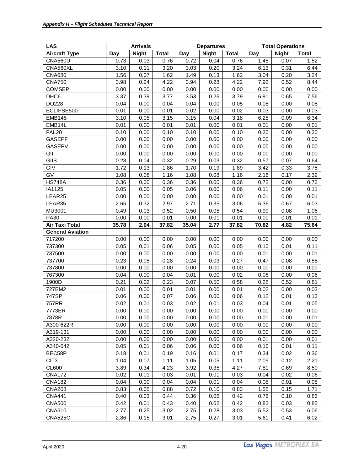| <b>LAS</b>              |       | <b>Arrivals</b> |              |       | <b>Departures</b> |              | <b>Total Operations</b> |              |              |  |
|-------------------------|-------|-----------------|--------------|-------|-------------------|--------------|-------------------------|--------------|--------------|--|
| <b>Aircraft Type</b>    | Day   | <b>Night</b>    | <b>Total</b> | Day   | <b>Night</b>      | <b>Total</b> | Day                     | <b>Night</b> | <b>Total</b> |  |
| <b>CNA560U</b>          | 0.73  | 0.03            | 0.76         | 0.72  | 0.04              | 0.76         | 1.45                    | 0.07         | 1.52         |  |
| CNA560XL                | 3.10  | 0.11            | 3.20         | 3.03  | 0.20              | 3.24         | 6.13                    | 0.31         | 6.44         |  |
| <b>CNA680</b>           | 1.56  | 0.07            | 1.62         | 1.49  | 0.13              | 1.62         | 3.04                    | 0.20         | 3.24         |  |
| <b>CNA750</b>           | 3.98  | 0.24            | 4.22         | 3.94  | 0.28              | 4.22         | 7.92                    | 0.52         | 8.44         |  |
| <b>COMSEP</b>           | 0.00  | 0.00            | 0.00         | 0.00  | 0.00              | 0.00         | 0.00                    | 0.00         | 0.00         |  |
| DHC <sub>6</sub>        | 3.37  | 0.39            | 3.77         | 3.53  | 0.26              | 3.79         | 6.91                    | 0.65         | 7.56         |  |
| DO228                   | 0.04  | 0.00            | 0.04         | 0.04  | 0.00              | 0.05         | 0.08                    | 0.00         | 0.08         |  |
| ECLIPSE500              | 0.01  | 0.00            | 0.01         | 0.02  | 0.00              | 0.02         | 0.03                    | 0.00         | 0.03         |  |
| <b>EMB145</b>           | 3.10  | 0.05            | 3.15         | 3.15  | 0.04              | 3.18         | 6.25                    | 0.09         | 6.34         |  |
| EMB14L                  | 0.01  | 0.00            | 0.01         | 0.01  | 0.00              | 0.01         | 0.01                    | 0.00         | 0.01         |  |
| FAL <sub>20</sub>       | 0.10  | 0.00            | 0.10         | 0.10  | 0.00              | 0.10         | 0.20                    | 0.00         | 0.20         |  |
| <b>GASEPF</b>           | 0.00  | 0.00            | 0.00         | 0.00  | 0.00              | 0.00         | 0.00                    | 0.00         | 0.00         |  |
| <b>GASEPV</b>           | 0.00  | 0.00            | 0.00         | 0.00  | 0.00              | 0.00         | 0.00                    | 0.00         | 0.00         |  |
| GII                     | 0.00  | 0.00            | 0.00         | 0.00  | 0.00              | 0.00         | 0.00                    | 0.00         | 0.00         |  |
| GIIB                    | 0.28  | 0.04            | 0.32         | 0.29  | 0.03              | 0.32         | 0.57                    | 0.07         | 0.64         |  |
| GIV                     | 1.72  | 0.13            | 1.86         | 1.70  | 0.19              | 1.89         | 3.42                    | 0.33         | 3.75         |  |
| GV                      | 1.08  | 0.08            | 1.16         | 1.08  | 0.08              | 1.16         | 2.16                    | 0.17         | 2.32         |  |
| <b>HS748A</b>           | 0.36  | 0.00            | 0.36         | 0.36  | 0.00              | 0.36         | 0.72                    | 0.00         | 0.73         |  |
| IA1125                  | 0.05  | 0.00            | 0.05         | 0.06  | 0.00              | 0.06         | 0.11                    | 0.00         | 0.11         |  |
| LEAR25                  | 0.00  | 0.00            | 0.00         | 0.00  | 0.00              | 0.00         | 0.01                    | 0.00         | 0.01         |  |
| LEAR35                  | 2.65  | 0.32            | 2.97         | 2.71  | 0.35              | 3.06         | 5.36                    | 0.67         | 6.03         |  |
| MU3001                  | 0.49  | 0.03            | 0.52         | 0.50  | 0.05              | 0.54         | 0.99                    | 0.08         | 1.06         |  |
| <b>PA30</b>             | 0.00  | 0.00            | 0.01         | 0.00  | 0.01              | 0.01         | 0.00                    | 0.01         | 0.01         |  |
| <b>Air Taxi Total</b>   | 35.78 | 2.04            | 37.82        | 35.04 | 2.77              | 37.82        | 70.82                   | 4.82         | 75.64        |  |
| <b>General Aviation</b> |       |                 |              |       |                   |              |                         |              |              |  |
| 717200                  | 0.00  | 0.00            | 0.00         | 0.00  | 0.00              | 0.00         | 0.00                    | 0.00         | 0.00         |  |
| 737300                  | 0.05  | 0.01            | 0.06         | 0.05  | 0.00              | 0.05         | 0.10                    | 0.01         | 0.11         |  |
| 737500                  | 0.00  | 0.00            | 0.00         | 0.00  | 0.00              | 0.00         | 0.01                    | 0.00         | 0.01         |  |
| 737700                  | 0.23  | 0.05            | 0.28         | 0.24  | 0.03              | 0.27         | 0.47                    | 0.08         | 0.55         |  |
| 737800                  | 0.00  | 0.00            | 0.00         | 0.00  | 0.00              | 0.00         | 0.00                    | 0.00         | 0.00         |  |
| 767300                  | 0.04  | 0.00            | 0.04         | 0.01  | 0.00              | 0.02         | 0.06                    | 0.00         | 0.06         |  |
| 1900D                   | 0.21  | 0.02            | 0.23         | 0.07  | 0.50              | 0.58         | 0.28                    | 0.52         | 0.81         |  |
| 727EM2                  | 0.01  | 0.00            | 0.01         | 0.01  | 0.00              | 0.01         | 0.02                    | 0.00         | 0.03         |  |
| 747SP                   | 0.06  | 0.00            | 0.07         | 0.06  | 0.00              | 0.06         | 0.12                    | 0.01         | 0.13         |  |
| 757RR                   | 0.02  | 0.01            | 0.03         | 0.02  | 0.01              | 0.03         | 0.04                    | 0.01         | 0.05         |  |
| 7773ER                  | 0.00  | 0.00            | 0.00         | 0.00  | 0.00              | 0.00         | 0.00                    | 0.00         | 0.00         |  |
| 7878R                   | 0.00  | 0.00            | 0.00         | 0.00  | 0.00              | 0.00         | 0.01                    | 0.00         | 0.01         |  |
| A300-622R               | 0.00  | 0.00            | 0.00         | 0.00  | 0.00              | 0.00         | 0.00                    | 0.00         | 0.00         |  |
| A319-131                | 0.00  | 0.00            | 0.00         | 0.00  | 0.00              | 0.00         | 0.00                    | 0.00         | 0.00         |  |
| A320-232                | 0.00  | 0.00            | 0.00         | 0.00  | 0.00              | 0.00         | 0.01                    | 0.00         | 0.01         |  |
| A340-642                | 0.05  | 0.01            | 0.06         | 0.06  | 0.00              | 0.06         | 0.10                    | 0.01         | 0.11         |  |
| BEC58P                  | 0.18  | 0.01            | 0.19         | 0.16  | 0.01              | 0.17         | 0.34                    | 0.02         | 0.36         |  |
| CIT <sub>3</sub>        | 1.04  | 0.07            | 1.11         | 1.05  | 0.05              | 1.11         | 2.09                    | 0.12         | 2.21         |  |
| <b>CL600</b>            | 3.89  | 0.34            | 4.23         | 3.92  | 0.35              | 4.27         | 7.81                    | 0.69         | 8.50         |  |
| <b>CNA172</b>           | 0.02  | 0.01            | 0.03         | 0.01  | 0.01              | 0.03         | 0.04                    | 0.02         | 0.06         |  |
| <b>CNA182</b>           | 0.04  | 0.00            | 0.04         | 0.04  | 0.01              | 0.04         | 0.08                    | 0.01         | 0.08         |  |
| <b>CNA208</b>           | 0.83  | 0.05            | 0.88         | 0.72  | 0.10              | 0.83         | 1.55                    | 0.15         | 1.71         |  |
| <b>CNA441</b>           | 0.40  | 0.03            | 0.44         | 0.36  | 0.06              | 0.42         | 0.76                    | 0.10         | 0.86         |  |
| <b>CNA500</b>           | 0.42  | 0.01            | 0.43         | 0.40  | 0.02              | 0.42         | 0.82                    | 0.03         | 0.85         |  |
| <b>CNA510</b>           | 2.77  | 0.25            | 3.02         | 2.75  | 0.28              | 3.03         | 5.52                    | 0.53         | 6.06         |  |
| <b>CNA525C</b>          | 2.86  | 0.15            | 3.01         | 2.75  | 0.27              | 3.01         | 5.61                    | 0.41         | 6.02         |  |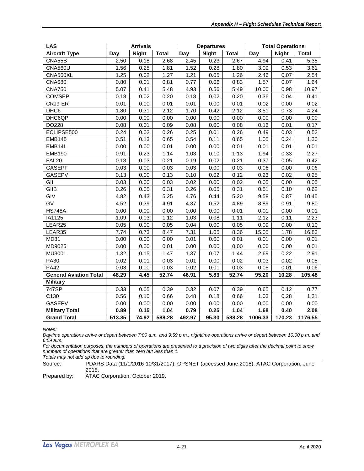| <b>LAS</b>                    |        | <b>Arrivals</b> |              |        | <b>Departures</b> |              | <b>Total Operations</b> |              |              |
|-------------------------------|--------|-----------------|--------------|--------|-------------------|--------------|-------------------------|--------------|--------------|
| <b>Aircraft Type</b>          | Day    | <b>Night</b>    | <b>Total</b> | Day    | <b>Night</b>      | <b>Total</b> | Day                     | <b>Night</b> | <b>Total</b> |
| CNA55B                        | 2.50   | 0.18            | 2.68         | 2.45   | 0.23              | 2.67         | 4.94                    | 0.41         | 5.35         |
| <b>CNA560U</b>                | 1.56   | 0.25            | 1.81         | 1.52   | 0.28              | 1.80         | 3.09                    | 0.53         | 3.61         |
| CNA560XL                      | 1.25   | 0.02            | 1.27         | 1.21   | 0.05              | 1.26         | 2.46                    | 0.07         | 2.54         |
| <b>CNA680</b>                 | 0.80   | 0.01            | 0.81         | 0.77   | 0.06              | 0.83         | 1.57                    | 0.07         | 1.64         |
| <b>CNA750</b>                 | 5.07   | 0.41            | 5.48         | 4.93   | 0.56              | 5.49         | 10.00                   | 0.98         | 10.97        |
| <b>COMSEP</b>                 | 0.18   | 0.02            | 0.20         | 0.18   | 0.02              | 0.20         | 0.36                    | 0.04         | 0.41         |
| CRJ9-ER                       | 0.01   | 0.00            | 0.01         | 0.01   | 0.00              | 0.01         | 0.02                    | 0.00         | 0.02         |
| DHC6                          | 1.80   | 0.31            | 2.12         | 1.70   | 0.42              | 2.12         | 3.51                    | 0.73         | 4.24         |
| DHC6QP                        | 0.00   | 0.00            | 0.00         | 0.00   | 0.00              | 0.00         | 0.00                    | 0.00         | 0.00         |
| DO228                         | 0.08   | 0.01            | 0.09         | 0.08   | 0.00              | 0.08         | 0.16                    | 0.01         | 0.17         |
| ECLIPSE500                    | 0.24   | 0.02            | 0.26         | 0.25   | 0.01              | 0.26         | 0.49                    | 0.03         | 0.52         |
| <b>EMB145</b>                 | 0.51   | 0.13            | 0.65         | 0.54   | 0.11              | 0.65         | 1.05                    | 0.24         | 1.30         |
| EMB14L                        | 0.00   | 0.00            | 0.01         | 0.00   | 0.00              | 0.01         | 0.01                    | 0.01         | 0.01         |
| <b>EMB190</b>                 | 0.91   | 0.23            | 1.14         | 1.03   | 0.10              | 1.13         | 1.94                    | 0.33         | 2.27         |
| <b>FAL20</b>                  | 0.18   | 0.03            | 0.21         | 0.19   | 0.02              | 0.21         | 0.37                    | 0.05         | 0.42         |
| <b>GASEPF</b>                 | 0.03   | 0.00            | 0.03         | 0.03   | 0.00              | 0.03         | 0.06                    | 0.00         | 0.06         |
| <b>GASEPV</b>                 | 0.13   | 0.00            | 0.13         | 0.10   | 0.02              | 0.12         | 0.23                    | 0.02         | 0.25         |
| GII                           | 0.03   | 0.00            | 0.03         | 0.02   | 0.00              | 0.02         | 0.05                    | 0.00         | 0.05         |
| GIIB                          | 0.26   | 0.05            | 0.31         | 0.26   | 0.05              | 0.31         | 0.51                    | 0.10         | 0.62         |
| GIV                           | 4.82   | 0.43            | 5.25         | 4.76   | 0.44              | 5.20         | 9.58                    | 0.87         | 10.45        |
| $\overline{GV}$               | 4.52   | 0.39            | 4.91         | 4.37   | 0.52              | 4.89         | 8.89                    | 0.91         | 9.80         |
| <b>HS748A</b>                 | 0.00   | 0.00            | 0.00         | 0.00   | 0.00              | 0.01         | 0.01                    | 0.00         | 0.01         |
| IA1125                        | 1.09   | 0.03            | 1.12         | 1.03   | 0.08              | 1.11         | 2.12                    | 0.11         | 2.23         |
| LEAR25                        | 0.05   | 0.00            | 0.05         | 0.04   | 0.00              | 0.05         | 0.09                    | 0.00         | 0.10         |
| LEAR35                        | 7.74   | 0.73            | 8.47         | 7.31   | 1.05              | 8.36         | 15.05                   | 1.78         | 16.83        |
| <b>MD81</b>                   | 0.00   | 0.00            | 0.00         | 0.01   | 0.00              | 0.01         | 0.01                    | 0.00         | 0.01         |
| MD9025                        | 0.00   | 0.00            | 0.01         | 0.00   | 0.00              | 0.00         | 0.00                    | 0.00         | 0.01         |
| MU3001                        | 1.32   | 0.15            | 1.47         | 1.37   | 0.07              | 1.44         | 2.69                    | 0.22         | 2.91         |
| <b>PA30</b>                   | 0.02   | 0.01            | 0.03         | 0.01   | 0.00              | 0.02         | 0.03                    | 0.02         | 0.05         |
| <b>PA42</b>                   | 0.03   | 0.00            | 0.03         | 0.02   | 0.01              | 0.03         | 0.05                    | 0.01         | 0.06         |
| <b>General Aviation Total</b> | 48.29  | 4.45            | 52.74        | 46.91  | 5.83              | 52.74        | 95.20                   | 10.28        | 105.48       |
| <b>Military</b>               |        |                 |              |        |                   |              |                         |              |              |
| 747SP                         | 0.33   | 0.05            | 0.39         | 0.32   | 0.07              | 0.39         | 0.65                    | 0.12         | 0.77         |
| C130                          | 0.56   | 0.10            | 0.66         | 0.48   | 0.18              | 0.66         | 1.03                    | 0.28         | 1.31         |
| <b>GASEPV</b>                 | 0.00   | 0.00            | 0.00         | 0.00   | 0.00              | 0.00         | 0.00                    | 0.00         | 0.00         |
| <b>Military Total</b>         | 0.89   | 0.15            | 1.04         | 0.79   | 0.25              | 1.04         | 1.68                    | 0.40         | 2.08         |
| <b>Grand Total</b>            | 513.35 | 74.92           | 588.28       | 492.97 | 95.30             | 588.28       | 1006.33                 | 170.23       | 1176.55      |

*Daytime operations arrive or depart between 7:00 a.m. and 9:59 p.m.; nighttime operations arrive or depart between 10:00 p.m. and 6:59 a.m.*

*For documentation purposes, the numbers of operations are presented to a precision of two digits after the decimal point to show numbers of operations that are greater than zero but less than 1.*

*Totals may not add up due to rounding.*

Source: PDARS Data (11/1/2016-10/31/2017), OPSNET (accessed June 2018), ATAC Corporation, June 2018.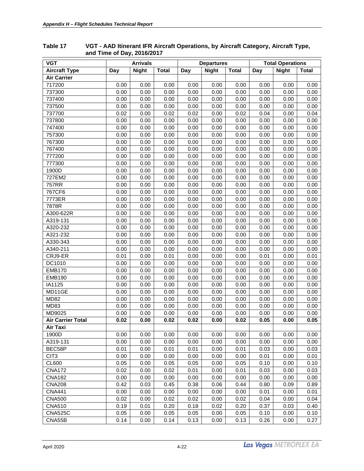| <b>VGT</b>               | <b>Arrivals</b> |              |              | <b>Departures</b> |              |              | <b>Total Operations</b> |              |              |
|--------------------------|-----------------|--------------|--------------|-------------------|--------------|--------------|-------------------------|--------------|--------------|
| <b>Aircraft Type</b>     | Day             | <b>Night</b> | <b>Total</b> | Day               | <b>Night</b> | <b>Total</b> | Day                     | <b>Night</b> | <b>Total</b> |
| <b>Air Carrier</b>       |                 |              |              |                   |              |              |                         |              |              |
| 717200                   | 0.00            | 0.00         | 0.00         | 0.00              | 0.00         | 0.00         | 0.00                    | 0.00         | 0.00         |
| 737300                   | 0.00            | 0.00         | 0.00         | 0.00              | 0.00         | 0.00         | 0.00                    | 0.00         | 0.00         |
| 737400                   | 0.00            | 0.00         | 0.00         | 0.00              | 0.00         | 0.00         | 0.00                    | 0.00         | 0.00         |
| 737500                   | 0.00            | 0.00         | 0.00         | 0.00              | 0.00         | 0.00         | 0.00                    | 0.00         | 0.00         |
| 737700                   | 0.02            | 0.00         | 0.02         | 0.02              | 0.00         | 0.02         | 0.04                    | 0.00         | 0.04         |
| 737800                   | 0.00            | 0.00         | 0.00         | 0.00              | 0.00         | 0.00         | 0.00                    | 0.00         | 0.00         |
| 747400                   | 0.00            | 0.00         | 0.00         | 0.00              | 0.00         | 0.00         | 0.00                    | 0.00         | 0.00         |
| 757300                   | 0.00            | 0.00         | 0.00         | 0.00              | 0.00         | 0.00         | 0.00                    | 0.00         | 0.00         |
| 767300                   | 0.00            | 0.00         | 0.00         | 0.00              | 0.00         | 0.00         | 0.00                    | 0.00         | 0.00         |
| 767400                   | 0.00            | 0.00         | 0.00         | 0.00              | 0.00         | 0.00         | 0.00                    | 0.00         | 0.00         |
| 777200                   | 0.00            | 0.00         | 0.00         | 0.00              | 0.00         | 0.00         | 0.00                    | 0.00         | 0.00         |
| 777300                   | 0.00            | 0.00         | 0.00         | 0.00              | 0.00         | 0.00         | 0.00                    | 0.00         | 0.00         |
| 1900D                    | 0.00            | 0.00         | 0.00         | 0.00              | 0.00         | 0.00         | 0.00                    | 0.00         | 0.00         |
| 727EM2                   | 0.00            | 0.00         | 0.00         | 0.00              | 0.00         | 0.00         | 0.00                    | 0.00         | 0.00         |
| 757RR                    | 0.00            | 0.00         | 0.00         | 0.00              | 0.00         | 0.00         | 0.00                    | 0.00         | 0.00         |
| 767CF6                   | 0.00            | 0.00         | 0.00         | 0.00              | 0.00         | 0.00         | 0.00                    | 0.00         | 0.00         |
| 7773ER                   | 0.00            | 0.00         | 0.00         | 0.00              | 0.00         | 0.00         | 0.00                    | 0.00         | 0.00         |
| 7878R                    | 0.00            | 0.00         | 0.00         | 0.00              | 0.00         | 0.00         | 0.00                    | 0.00         | 0.00         |
| A300-622R                | 0.00            | 0.00         | 0.00         | 0.00              | 0.00         | 0.00         | 0.00                    | 0.00         | 0.00         |
| A319-131                 | 0.00            | 0.00         | 0.00         | 0.00              | 0.00         | 0.00         | 0.00                    | 0.00         | 0.00         |
| A320-232                 | 0.00            | 0.00         | 0.00         | 0.00              | 0.00         | 0.00         | 0.00                    | 0.00         | 0.00         |
| A321-232                 | 0.00            | 0.00         | 0.00         | 0.00              | 0.00         | 0.00         | 0.00                    | 0.00         | 0.00         |
| A330-343                 | 0.00            | 0.00         | 0.00         | 0.00              | 0.00         | 0.00         | 0.00                    | 0.00         | 0.00         |
| A340-211                 | 0.00            | 0.00         | 0.00         | 0.00              | 0.00         | 0.00         | 0.00                    | 0.00         | 0.00         |
| CRJ9-ER                  | 0.01            | 0.00         | 0.01         | 0.00              | 0.00         | 0.00         | 0.01                    | 0.00         | 0.01         |
| DC1010                   | 0.00            | 0.00         | 0.00         | 0.00              | 0.00         | 0.00         | 0.00                    | 0.00         | 0.00         |
| <b>EMB170</b>            | 0.00            | 0.00         | 0.00         | 0.00              | 0.00         | 0.00         | 0.00                    | 0.00         | 0.00         |
| <b>EMB190</b>            | 0.00            | 0.00         | 0.00         | 0.00              | 0.00         | 0.00         | 0.00                    | 0.00         | 0.00         |
| IA1125                   | 0.00            | 0.00         | 0.00         | 0.00              | 0.00         | 0.00         | 0.00                    | 0.00         | 0.00         |
| MD11GE                   | 0.00            | 0.00         | 0.00         | 0.00              | 0.00         | 0.00         | 0.00                    | 0.00         | 0.00         |
| <b>MD82</b>              | 0.00            | 0.00         | 0.00         | 0.00              | 0.00         | 0.00         | 0.00                    | 0.00         | 0.00         |
| MD83                     | 0.00            | 0.00         | 0.00         | 0.00              | 0.00         | 0.00         | 0.00                    | 0.00         | 0.00         |
| MD9025                   | 0.00            | 0.00         | 0.00         | 0.00              | 0.00         | 0.00         | 0.00                    | 0.00         | 0.00         |
| <b>Air Carrier Total</b> | 0.02            | 0.00         | 0.02         | 0.02              | 0.00         | 0.02         | 0.05                    | 0.00         | 0.05         |
| Air Taxi                 |                 |              |              |                   |              |              |                         |              |              |
| 1900D                    | 0.00            | 0.00         | 0.00         | 0.00              | 0.00         | 0.00         | 0.00                    | 0.00         | 0.00         |
| A319-131                 | 0.00            | 0.00         | 0.00         | 0.00              | 0.00         | 0.00         | 0.00                    | 0.00         | 0.00         |
| BEC58P                   | 0.01            | 0.00         | 0.01         | 0.01              | 0.00         | 0.01         | 0.03                    | 0.00         | 0.03         |
| CIT <sub>3</sub>         | 0.00            | 0.00         | 0.00         | 0.00              | 0.00         | 0.00         | 0.01                    | 0.00         | 0.01         |
| <b>CL600</b>             | 0.05            | 0.00         | 0.05         | 0.05              | 0.00         | 0.05         | 0.10                    | 0.00         | 0.10         |
| <b>CNA172</b>            | 0.02            | 0.00         | 0.02         | 0.01              | 0.00         | 0.01         | 0.03                    | 0.00         | 0.03         |
| <b>CNA182</b>            | 0.00            | 0.00         | 0.00         | 0.00              | 0.00         | 0.00         | 0.00                    | 0.00         | 0.00         |
| <b>CNA208</b>            | 0.42            | 0.03         | 0.45         | 0.38              | 0.06         | 0.44         | 0.80                    | 0.09         | 0.89         |
| <b>CNA441</b>            | 0.00            | 0.00         | 0.00         | 0.00              | 0.00         | 0.00         | 0.01                    | 0.00         | 0.01         |
| <b>CNA500</b>            | 0.02            | 0.00         | 0.02         | 0.02              | 0.00         | 0.02         | 0.04                    | 0.00         | 0.04         |
| <b>CNA510</b>            | 0.19            | 0.01         | 0.20         | 0.18              | 0.02         | 0.20         | 0.37                    | 0.03         | 0.40         |
| <b>CNA525C</b>           | 0.05            | 0.00         | 0.05         | 0.05              | 0.00         | 0.05         | 0.10                    | 0.00         | 0.10         |
| CNA55B                   | 0.14            | 0.00         | 0.14         | 0.13              | 0.00         | 0.13         | 0.26                    | 0.00         | 0.27         |

#### <span id="page-27-0"></span>**Table 17 VGT - AAD Itinerant IFR Aircraft Operations, by Aircraft Category, Aircraft Type, and Time of Day, 2016/2017**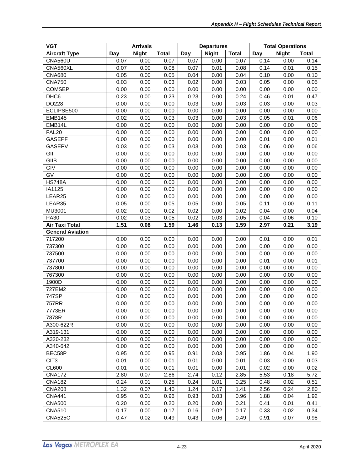| <b>VGT</b>              | <b>Arrivals</b> |              | <b>Departures</b> |      |              | <b>Total Operations</b> |      |              |              |
|-------------------------|-----------------|--------------|-------------------|------|--------------|-------------------------|------|--------------|--------------|
| <b>Aircraft Type</b>    | Day             | <b>Night</b> | <b>Total</b>      | Day  | <b>Night</b> | <b>Total</b>            | Day  | <b>Night</b> | <b>Total</b> |
| <b>CNA560U</b>          | 0.07            | 0.00         | 0.07              | 0.07 | 0.00         | 0.07                    | 0.14 | 0.00         | 0.14         |
| CNA560XL                | 0.07            | 0.00         | 0.08              | 0.07 | 0.01         | 0.08                    | 0.14 | 0.01         | 0.15         |
| <b>CNA680</b>           | 0.05            | 0.00         | 0.05              | 0.04 | 0.00         | 0.04                    | 0.10 | 0.00         | 0.10         |
| <b>CNA750</b>           | 0.03            | 0.00         | 0.03              | 0.02 | 0.00         | 0.03                    | 0.05 | 0.00         | 0.05         |
| <b>COMSEP</b>           | 0.00            | 0.00         | 0.00              | 0.00 | 0.00         | 0.00                    | 0.00 | 0.00         | 0.00         |
| DHC <sub>6</sub>        | 0.23            | 0.00         | 0.23              | 0.23 | 0.00         | 0.24                    | 0.46 | 0.01         | 0.47         |
| DO228                   | 0.00            | 0.00         | 0.00              | 0.03 | 0.00         | 0.03                    | 0.03 | 0.00         | 0.03         |
| ECLIPSE500              | 0.00            | 0.00         | 0.00              | 0.00 | 0.00         | 0.00                    | 0.00 | 0.00         | 0.00         |
| <b>EMB145</b>           | 0.02            | 0.01         | 0.03              | 0.03 | 0.00         | 0.03                    | 0.05 | 0.01         | 0.06         |
| EMB14L                  | 0.00            | 0.00         | 0.00              | 0.00 | 0.00         | 0.00                    | 0.00 | 0.00         | 0.00         |
| <b>FAL20</b>            | 0.00            | 0.00         | 0.00              | 0.00 | 0.00         | 0.00                    | 0.00 | 0.00         | 0.00         |
| <b>GASEPF</b>           | 0.00            | 0.00         | 0.00              | 0.00 | 0.00         | 0.00                    | 0.01 | 0.00         | 0.01         |
| <b>GASEPV</b>           | 0.03            | 0.00         | 0.03              | 0.03 | 0.00         | 0.03                    | 0.06 | 0.00         | 0.06         |
| GII                     | 0.00            | 0.00         | 0.00              | 0.00 | 0.00         | 0.00                    | 0.00 | 0.00         | 0.00         |
| GIIB                    | 0.00            | 0.00         | 0.00              | 0.00 | 0.00         | 0.00                    | 0.00 | 0.00         | 0.00         |
| GIV                     | 0.00            | 0.00         | 0.00              | 0.00 | 0.00         | 0.00                    | 0.00 | 0.00         | 0.00         |
| GV                      | 0.00            | 0.00         | 0.00              | 0.00 | 0.00         | 0.00                    | 0.00 | 0.00         | 0.00         |
| <b>HS748A</b>           | 0.00            | 0.00         | 0.00              | 0.00 | 0.00         | 0.00                    | 0.00 | 0.00         | 0.00         |
| IA1125                  | 0.00            | 0.00         | 0.00              | 0.00 | 0.00         | 0.00                    | 0.00 | 0.00         | 0.00         |
| LEAR25                  | 0.00            | 0.00         | 0.00              | 0.00 | 0.00         | 0.00                    | 0.00 | 0.00         | 0.00         |
| LEAR35                  | 0.05            | 0.00         | 0.05              | 0.05 | 0.00         | 0.05                    | 0.11 | 0.00         | 0.11         |
| MU3001                  | 0.02            | 0.00         | 0.02              | 0.02 | 0.00         | 0.02                    | 0.04 | 0.00         | 0.04         |
| <b>PA30</b>             | 0.02            | 0.03         | 0.05              | 0.02 | 0.03         | 0.05                    | 0.04 | 0.06         | 0.10         |
| <b>Air Taxi Total</b>   | 1.51            | 0.08         | 1.59              | 1.46 | 0.13         | 1.59                    | 2.97 | 0.21         | 3.19         |
| <b>General Aviation</b> |                 |              |                   |      |              |                         |      |              |              |
| 717200                  | 0.00            | 0.00         | 0.00              | 0.00 | 0.00         | 0.00                    | 0.01 | 0.00         | 0.01         |
| 737300                  | 0.00            | 0.00         | 0.00              | 0.00 | 0.00         | 0.00                    | 0.00 | 0.00         | 0.00         |
| 737500                  | 0.00            | 0.00         | 0.00              | 0.00 | 0.00         | 0.00                    | 0.00 | 0.00         | 0.00         |
| 737700                  | 0.00            | 0.00         | 0.00              | 0.00 | 0.00         | 0.00                    | 0.01 | 0.00         | 0.01         |
| 737800                  | 0.00            | 0.00         | 0.00              | 0.00 | 0.00         | 0.00                    | 0.00 | 0.00         | 0.00         |
| 767300                  | 0.00            | 0.00         | 0.00              | 0.00 | 0.00         | 0.00                    | 0.00 | 0.00         | 0.00         |
| 1900D                   | 0.00            | 0.00         | 0.00              | 0.00 | 0.00         | 0.00                    | 0.00 | 0.00         | 0.00         |
| 727EM2                  | 0.00            | 0.00         | 0.00              | 0.00 | 0.00         | 0.00                    | 0.00 | 0.00         | 0.00         |
| 747SP                   | 0.00            | 0.00         | 0.00              | 0.00 | 0.00         | 0.00                    | 0.00 | 0.00         | 0.00         |
| 757RR                   | 0.00            | 0.00         | 0.00              | 0.00 | 0.00         | 0.00                    | 0.00 | 0.00         | 0.00         |
| 7773ER                  | 0.00            | 0.00         | 0.00              | 0.00 | 0.00         | 0.00                    | 0.00 | 0.00         | 0.00         |
| 7878R                   | 0.00            | 0.00         | 0.00              | 0.00 | 0.00         | 0.00                    | 0.00 | 0.00         | 0.00         |
| A300-622R               | 0.00            | 0.00         | 0.00              | 0.00 | 0.00         | 0.00                    | 0.00 | 0.00         | 0.00         |
| A319-131                | 0.00            | 0.00         | 0.00              | 0.00 | 0.00         | 0.00                    | 0.00 | 0.00         | 0.00         |
| A320-232                | 0.00            | 0.00         | 0.00              | 0.00 | 0.00         | 0.00                    | 0.00 | 0.00         | 0.00         |
| A340-642                | 0.00            | 0.00         | 0.00              | 0.00 | 0.00         | 0.00                    | 0.00 | 0.00         | 0.00         |
| BEC58P                  | 0.95            | 0.00         | 0.95              | 0.91 | 0.03         | 0.95                    | 1.86 | 0.04         | 1.90         |
| CIT <sub>3</sub>        | 0.01            | 0.00         | 0.01              | 0.01 | 0.00         | 0.01                    | 0.03 | 0.00         | 0.03         |
| <b>CL600</b>            | 0.01            | 0.00         | 0.01              | 0.01 | 0.00         | 0.01                    | 0.02 | 0.00         | 0.02         |
| <b>CNA172</b>           | 2.80            | 0.07         | 2.86              | 2.74 | 0.12         | 2.85                    | 5.53 | 0.18         | 5.72         |
| <b>CNA182</b>           | 0.24            | 0.01         | 0.25              | 0.24 | 0.01         | 0.25                    | 0.48 | 0.02         | 0.51         |
| <b>CNA208</b>           | 1.32            | 0.07         | 1.40              | 1.24 | 0.17         | 1.41                    | 2.56 | 0.24         | 2.80         |
| <b>CNA441</b>           | 0.95            | 0.01         | 0.96              | 0.93 | 0.03         | 0.96                    | 1.88 | 0.04         | 1.92         |
| <b>CNA500</b>           | 0.20            | 0.00         | 0.20              | 0.20 | 0.00         | 0.21                    | 0.41 | 0.01         | 0.41         |
| <b>CNA510</b>           | 0.17            | 0.00         | 0.17              | 0.16 | 0.02         | 0.17                    | 0.33 | 0.02         | 0.34         |
| <b>CNA525C</b>          | 0.47            | 0.02         | 0.49              | 0.43 | 0.06         | 0.49                    | 0.91 | 0.07         | 0.98         |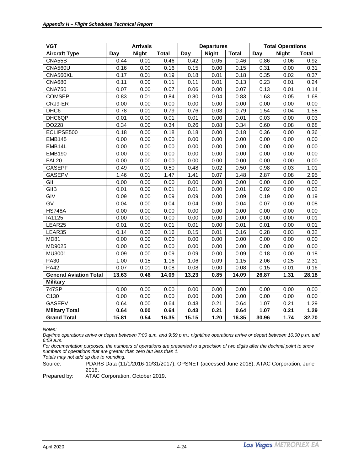| <b>VGT</b>                    |       | <b>Arrivals</b> |              | <b>Departures</b> |              |              | <b>Total Operations</b> |              |              |
|-------------------------------|-------|-----------------|--------------|-------------------|--------------|--------------|-------------------------|--------------|--------------|
| <b>Aircraft Type</b>          | Day   | <b>Night</b>    | <b>Total</b> | Day               | <b>Night</b> | <b>Total</b> | Day                     | <b>Night</b> | <b>Total</b> |
| CNA55B                        | 0.44  | 0.01            | 0.46         | 0.42              | 0.05         | 0.46         | 0.86                    | 0.06         | 0.92         |
| <b>CNA560U</b>                | 0.16  | 0.00            | 0.16         | 0.15              | 0.00         | 0.15         | 0.31                    | 0.00         | 0.31         |
| CNA560XL                      | 0.17  | 0.01            | 0.19         | 0.18              | 0.01         | 0.18         | 0.35                    | 0.02         | 0.37         |
| <b>CNA680</b>                 | 0.11  | 0.00            | 0.11         | 0.11              | 0.01         | 0.13         | 0.23                    | 0.01         | 0.24         |
| <b>CNA750</b>                 | 0.07  | 0.00            | 0.07         | 0.06              | 0.00         | 0.07         | 0.13                    | 0.01         | 0.14         |
| <b>COMSEP</b>                 | 0.83  | 0.01            | 0.84         | 0.80              | 0.04         | 0.83         | 1.63                    | 0.05         | 1.68         |
| CRJ9-ER                       | 0.00  | 0.00            | 0.00         | 0.00              | 0.00         | 0.00         | 0.00                    | 0.00         | 0.00         |
| DHC6                          | 0.78  | 0.01            | 0.79         | 0.76              | 0.03         | 0.79         | 1.54                    | 0.04         | 1.58         |
| DHC6QP                        | 0.01  | 0.00            | 0.01         | 0.01              | 0.00         | 0.01         | 0.03                    | 0.00         | 0.03         |
| DO228                         | 0.34  | 0.00            | 0.34         | 0.26              | 0.08         | 0.34         | 0.60                    | 0.08         | 0.68         |
| ECLIPSE500                    | 0.18  | 0.00            | 0.18         | 0.18              | 0.00         | 0.18         | 0.36                    | 0.00         | 0.36         |
| <b>EMB145</b>                 | 0.00  | 0.00            | 0.00         | 0.00              | 0.00         | 0.00         | 0.00                    | 0.00         | 0.00         |
| EMB14L                        | 0.00  | 0.00            | 0.00         | 0.00              | 0.00         | 0.00         | 0.00                    | 0.00         | 0.00         |
| <b>EMB190</b>                 | 0.00  | 0.00            | 0.00         | 0.00              | 0.00         | 0.00         | 0.00                    | 0.00         | 0.00         |
| <b>FAL20</b>                  | 0.00  | 0.00            | 0.00         | 0.00              | 0.00         | 0.00         | 0.00                    | 0.00         | 0.00         |
| <b>GASEPF</b>                 | 0.49  | 0.01            | 0.50         | 0.48              | 0.02         | 0.50         | 0.98                    | 0.03         | 1.01         |
| <b>GASEPV</b>                 | 1.46  | 0.01            | 1.47         | 1.41              | 0.07         | 1.48         | 2.87                    | 0.08         | 2.95         |
| GII                           | 0.00  | 0.00            | 0.00         | 0.00              | 0.00         | 0.00         | 0.00                    | 0.00         | 0.00         |
| GIIB                          | 0.01  | 0.00            | 0.01         | 0.01              | 0.00         | 0.01         | 0.02                    | 0.00         | 0.02         |
| GIV                           | 0.09  | 0.00            | 0.09         | 0.09              | 0.00         | 0.09         | 0.19                    | 0.00         | 0.19         |
| $\overline{GV}$               | 0.04  | 0.00            | 0.04         | 0.04              | 0.00         | 0.04         | 0.07                    | 0.00         | 0.08         |
| <b>HS748A</b>                 | 0.00  | 0.00            | 0.00         | 0.00              | 0.00         | 0.00         | 0.00                    | 0.00         | 0.00         |
| IA1125                        | 0.00  | 0.00            | 0.00         | 0.00              | 0.00         | 0.00         | 0.00                    | 0.00         | 0.01         |
| LEAR25                        | 0.01  | 0.00            | 0.01         | 0.01              | 0.00         | 0.01         | 0.01                    | 0.00         | 0.01         |
| LEAR35                        | 0.14  | 0.02            | 0.16         | 0.15              | 0.01         | 0.16         | 0.28                    | 0.03         | 0.32         |
| <b>MD81</b>                   | 0.00  | 0.00            | 0.00         | 0.00              | 0.00         | 0.00         | 0.00                    | 0.00         | 0.00         |
| MD9025                        | 0.00  | 0.00            | 0.00         | 0.00              | 0.00         | 0.00         | 0.00                    | 0.00         | 0.00         |
| MU3001                        | 0.09  | 0.00            | 0.09         | 0.09              | 0.00         | 0.09         | 0.18                    | 0.00         | 0.18         |
| <b>PA30</b>                   | 1.00  | 0.15            | 1.16         | 1.06              | 0.09         | 1.15         | 2.06                    | 0.25         | 2.31         |
| <b>PA42</b>                   | 0.07  | 0.01            | 0.08         | 0.08              | 0.00         | 0.08         | 0.15                    | 0.01         | 0.16         |
| <b>General Aviation Total</b> | 13.63 | 0.46            | 14.09        | 13.23             | 0.85         | 14.09        | 26.87                   | 1.31         | 28.18        |
| <b>Military</b>               |       |                 |              |                   |              |              |                         |              |              |
| 747SP                         | 0.00  | 0.00            | 0.00         | 0.00              | 0.00         | 0.00         | 0.00                    | 0.00         | 0.00         |
| C130                          | 0.00  | 0.00            | 0.00         | 0.00              | 0.00         | 0.00         | 0.00                    | 0.00         | 0.00         |
| <b>GASEPV</b>                 | 0.64  | 0.00            | 0.64         | 0.43              | 0.21         | 0.64         | 1.07                    | 0.21         | 1.29         |
| <b>Military Total</b>         | 0.64  | 0.00            | 0.64         | 0.43              | 0.21         | 0.64         | 1.07                    | 0.21         | 1.29         |
| <b>Grand Total</b>            | 15.81 | 0.54            | 16.35        | 15.15             | 1.20         | 16.35        | 30.96                   | 1.74         | 32.70        |

*Daytime operations arrive or depart between 7:00 a.m. and 9:59 p.m.; nighttime operations arrive or depart between 10:00 p.m. and 6:59 a.m.*

*For documentation purposes, the numbers of operations are presented to a precision of two digits after the decimal point to show numbers of operations that are greater than zero but less than 1.*

*Totals may not add up due to rounding.*

Source: PDARS Data (11/1/2016-10/31/2017), OPSNET (accessed June 2018), ATAC Corporation, June 2018.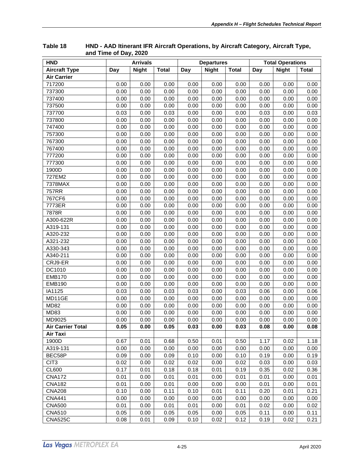| <b>HND</b>               | <b>Arrivals</b> |              |              | <b>Departures</b> |              | <b>Total Operations</b> |      |              |       |
|--------------------------|-----------------|--------------|--------------|-------------------|--------------|-------------------------|------|--------------|-------|
| <b>Aircraft Type</b>     | Day             | <b>Night</b> | <b>Total</b> | Day               | <b>Night</b> | <b>Total</b>            | Day  | <b>Night</b> | Total |
| <b>Air Carrier</b>       |                 |              |              |                   |              |                         |      |              |       |
| 717200                   | 0.00            | 0.00         | 0.00         | 0.00              | 0.00         | 0.00                    | 0.00 | 0.00         | 0.00  |
| 737300                   | 0.00            | 0.00         | 0.00         | 0.00              | 0.00         | 0.00                    | 0.00 | 0.00         | 0.00  |
| 737400                   | 0.00            | 0.00         | 0.00         | 0.00              | 0.00         | 0.00                    | 0.00 | 0.00         | 0.00  |
| 737500                   | 0.00            | 0.00         | 0.00         | 0.00              | 0.00         | 0.00                    | 0.00 | 0.00         | 0.00  |
| 737700                   | 0.03            | 0.00         | 0.03         | 0.00              | 0.00         | 0.00                    | 0.03 | 0.00         | 0.03  |
| 737800                   | 0.00            | 0.00         | 0.00         | 0.00              | 0.00         | 0.00                    | 0.00 | 0.00         | 0.00  |
| 747400                   | 0.00            | 0.00         | 0.00         | 0.00              | 0.00         | 0.00                    | 0.00 | 0.00         | 0.00  |
| 757300                   | 0.00            | 0.00         | 0.00         | 0.00              | 0.00         | 0.00                    | 0.00 | 0.00         | 0.00  |
| 767300                   | 0.00            | 0.00         | 0.00         | 0.00              | 0.00         | 0.00                    | 0.00 | 0.00         | 0.00  |
| 767400                   | 0.00            | 0.00         | 0.00         | 0.00              | 0.00         | 0.00                    | 0.00 | 0.00         | 0.00  |
| 777200                   | 0.00            | 0.00         | 0.00         | 0.00              | 0.00         | 0.00                    | 0.00 | 0.00         | 0.00  |
| 777300                   | 0.00            | 0.00         | 0.00         | 0.00              | 0.00         | 0.00                    | 0.00 | 0.00         | 0.00  |
| 1900D                    | 0.00            | 0.00         | 0.00         | 0.00              | 0.00         | 0.00                    | 0.00 | 0.00         | 0.00  |
| 727EM2                   | 0.00            | 0.00         | 0.00         | 0.00              | 0.00         | 0.00                    | 0.00 | 0.00         | 0.00  |
| 7378MAX                  | 0.00            | 0.00         | 0.00         | 0.00              | 0.00         | 0.00                    | 0.00 | 0.00         | 0.00  |
| 757RR                    | 0.00            | 0.00         | 0.00         | 0.00              | 0.00         | 0.00                    | 0.00 | 0.00         | 0.00  |
| 767CF6                   | 0.00            | 0.00         | 0.00         | 0.00              | 0.00         | 0.00                    | 0.00 | 0.00         | 0.00  |
| 7773ER                   | 0.00            | 0.00         | 0.00         | 0.00              | 0.00         | 0.00                    | 0.00 | 0.00         | 0.00  |
| 7878R                    | 0.00            | 0.00         | 0.00         | 0.00              | 0.00         | 0.00                    | 0.00 | 0.00         | 0.00  |
| A300-622R                | 0.00            | 0.00         | 0.00         | 0.00              | 0.00         | 0.00                    | 0.00 | 0.00         | 0.00  |
| A319-131                 | 0.00            | 0.00         | 0.00         | 0.00              | 0.00         | 0.00                    | 0.00 | 0.00         | 0.00  |
| A320-232                 | 0.00            | 0.00         | 0.00         | 0.00              | 0.00         | 0.00                    | 0.00 | 0.00         | 0.00  |
| A321-232                 | 0.00            | 0.00         | 0.00         | 0.00              | 0.00         | 0.00                    | 0.00 | 0.00         | 0.00  |
| A330-343                 | 0.00            | 0.00         | 0.00         | 0.00              | 0.00         | 0.00                    | 0.00 | 0.00         | 0.00  |
| A340-211                 | 0.00            | 0.00         | 0.00         | 0.00              | 0.00         | 0.00                    | 0.00 | 0.00         | 0.00  |
| CRJ9-ER                  | 0.00            | 0.00         | 0.00         | 0.00              | 0.00         | 0.00                    | 0.00 | 0.00         | 0.00  |
| DC1010                   | 0.00            | 0.00         | 0.00         | 0.00              | 0.00         | 0.00                    | 0.00 | 0.00         | 0.00  |
| <b>EMB170</b>            | 0.00            | 0.00         | 0.00         | 0.00              | 0.00         | 0.00                    | 0.00 | 0.00         | 0.00  |
| <b>EMB190</b>            | 0.00            | 0.00         | 0.00         | 0.00              | 0.00         | 0.00                    | 0.00 | 0.00         | 0.00  |
| IA1125                   | 0.03            | 0.00         | 0.03         | 0.03              | 0.00         | 0.03                    | 0.06 | 0.00         | 0.06  |
| MD11GE                   | 0.00            | 0.00         | 0.00         | 0.00              | 0.00         | 0.00                    | 0.00 | 0.00         | 0.00  |
| <b>MD82</b>              | 0.00            | 0.00         | 0.00         | 0.00              | 0.00         | 0.00                    | 0.00 | 0.00         | 0.00  |
| MD83                     | 0.00            | 0.00         | 0.00         | 0.00              | 0.00         | 0.00                    | 0.00 | 0.00         | 0.00  |
| MD9025                   | 0.00            | 0.00         | 0.00         | 0.00              | 0.00         | 0.00                    | 0.00 | 0.00         | 0.00  |
| <b>Air Carrier Total</b> | 0.05            | 0.00         | 0.05         | 0.03              | 0.00         | 0.03                    | 0.08 | 0.00         | 0.08  |
| Air Taxi                 |                 |              |              |                   |              |                         |      |              |       |
| 1900D                    | 0.67            | 0.01         | 0.68         | 0.50              | 0.01         | 0.50                    | 1.17 | 0.02         | 1.18  |
| A319-131                 | 0.00            | 0.00         | 0.00         | 0.00              | 0.00         | 0.00                    | 0.00 | 0.00         | 0.00  |
| BEC58P                   | 0.09            | 0.00         | 0.09         | 0.10              | 0.00         | 0.10                    | 0.19 | 0.00         | 0.19  |
| CIT <sub>3</sub>         | 0.02            | 0.00         | 0.02         | 0.02              | 0.00         | 0.02                    | 0.03 | 0.00         | 0.03  |
| <b>CL600</b>             | 0.17            | 0.01         | 0.18         | 0.18              | 0.01         | 0.19                    | 0.35 | 0.02         | 0.36  |
| <b>CNA172</b>            | 0.01            | 0.00         | 0.01         | 0.01              | 0.00         | 0.01                    | 0.01 | 0.00         | 0.01  |
| <b>CNA182</b>            | 0.01            | 0.00         | 0.01         | 0.00              | 0.00         | 0.00                    | 0.01 | 0.00         | 0.01  |
| <b>CNA208</b>            | 0.10            | 0.00         | 0.11         | 0.10              | 0.01         | 0.11                    | 0.20 | 0.01         | 0.21  |
| <b>CNA441</b>            | 0.00            | 0.00         | 0.00         | 0.00              | 0.00         | 0.00                    | 0.00 | 0.00         | 0.00  |
| <b>CNA500</b>            | 0.01            | 0.00         | 0.01         | 0.01              | 0.00         | 0.01                    | 0.02 | 0.00         | 0.02  |
| <b>CNA510</b>            | 0.05            | 0.00         | 0.05         | 0.05              | 0.00         | 0.05                    | 0.11 | 0.00         | 0.11  |
| <b>CNA525C</b>           | 0.08            | 0.01         | 0.09         | 0.10              | 0.02         | 0.12                    | 0.19 | 0.02         | 0.21  |

<span id="page-30-0"></span>**Table 18 HND - AAD Itinerant IFR Aircraft Operations, by Aircraft Category, Aircraft Type, and Time of Day, 2020**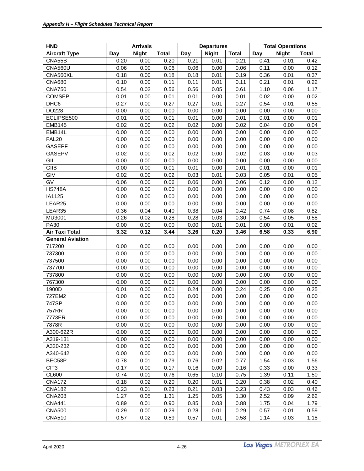| <b>HND</b>              |      | <b>Arrivals</b> |              | <b>Departures</b> |              |              | <b>Total Operations</b> |              |              |  |
|-------------------------|------|-----------------|--------------|-------------------|--------------|--------------|-------------------------|--------------|--------------|--|
| <b>Aircraft Type</b>    | Day  | <b>Night</b>    | <b>Total</b> | Day               | <b>Night</b> | <b>Total</b> | Day                     | <b>Night</b> | <b>Total</b> |  |
| CNA55B                  | 0.20 | 0.00            | 0.20         | 0.21              | 0.01         | 0.21         | 0.41                    | 0.01         | 0.42         |  |
| <b>CNA560U</b>          | 0.06 | 0.00            | 0.06         | 0.06              | 0.00         | 0.06         | 0.11                    | 0.00         | 0.12         |  |
| CNA560XL                | 0.18 | 0.00            | 0.18         | 0.18              | 0.01         | 0.19         | 0.36                    | 0.01         | 0.37         |  |
| <b>CNA680</b>           | 0.10 | 0.00            | 0.11         | 0.11              | 0.01         | 0.11         | 0.21                    | 0.01         | 0.22         |  |
| <b>CNA750</b>           | 0.54 | 0.02            | 0.56         | 0.56              | 0.05         | 0.61         | 1.10                    | 0.06         | 1.17         |  |
| <b>COMSEP</b>           | 0.01 | 0.00            | 0.01         | 0.01              | 0.00         | 0.01         | 0.02                    | 0.00         | 0.02         |  |
| DHC <sub>6</sub>        | 0.27 | 0.00            | 0.27         | 0.27              | 0.01         | 0.27         | 0.54                    | 0.01         | 0.55         |  |
| DO228                   | 0.00 | 0.00            | 0.00         | 0.00              | 0.00         | 0.00         | 0.00                    | 0.00         | 0.00         |  |
| ECLIPSE500              | 0.01 | 0.00            | 0.01         | 0.01              | 0.00         | 0.01         | 0.01                    | 0.00         | 0.01         |  |
| <b>EMB145</b>           | 0.02 | 0.00            | 0.02         | 0.02              | 0.00         | 0.02         | 0.04                    | 0.00         | 0.04         |  |
| EMB14L                  | 0.00 | 0.00            | 0.00         | 0.00              | 0.00         | 0.00         | 0.00                    | 0.00         | 0.00         |  |
| <b>FAL20</b>            | 0.00 | 0.00            | 0.00         | 0.00              | 0.00         | 0.00         | 0.00                    | 0.00         | 0.00         |  |
| <b>GASEPF</b>           | 0.00 | 0.00            | 0.00         | 0.00              | 0.00         | 0.00         | 0.00                    | 0.00         | 0.00         |  |
| GASEPV                  | 0.02 | 0.00            | 0.02         | 0.02              | 0.00         | 0.02         | 0.03                    | 0.00         | 0.03         |  |
| GII                     | 0.00 | 0.00            | 0.00         | 0.00              | 0.00         | 0.00         | 0.00                    | 0.00         | 0.00         |  |
| GIIB                    | 0.00 | 0.00            | 0.01         | 0.01              | 0.00         | 0.01         | 0.01                    | 0.00         | 0.01         |  |
| GIV                     | 0.02 | 0.00            | 0.02         | 0.03              | 0.01         | 0.03         | 0.05                    | 0.01         | 0.05         |  |
| GV                      | 0.06 | 0.00            | 0.06         | 0.06              | 0.00         | 0.06         | 0.12                    | 0.00         | 0.12         |  |
| <b>HS748A</b>           | 0.00 | 0.00            | 0.00         | 0.00              | 0.00         | 0.00         | 0.00                    | 0.00         | 0.00         |  |
| IA1125                  | 0.00 | 0.00            | 0.00         | 0.00              | 0.00         | 0.00         | 0.00                    | 0.00         | 0.00         |  |
| LEAR25                  | 0.00 | 0.00            | 0.00         | 0.00              | 0.00         | 0.00         | 0.00                    | 0.00         | 0.00         |  |
| LEAR35                  | 0.36 | 0.04            | 0.40         | 0.38              | 0.04         | 0.42         | 0.74                    | 0.08         | 0.82         |  |
| MU3001                  | 0.26 | 0.02            | 0.28         | 0.28              | 0.03         | 0.30         | 0.54                    | 0.05         | 0.58         |  |
| PA30                    | 0.00 | 0.00            | 0.00         | 0.00              | 0.01         | 0.01         | 0.00                    | 0.01         | 0.02         |  |
| Air Taxi Total          | 3.32 | 0.12            | 3.44         | 3.26              | 0.20         | 3.46         | 6.58                    | 0.33         | 6.90         |  |
| <b>General Aviation</b> |      |                 |              |                   |              |              |                         |              |              |  |
| 717200                  | 0.00 | 0.00            | 0.00         | 0.00              | 0.00         | 0.00         | 0.00                    | 0.00         | 0.00         |  |
| 737300                  | 0.00 | 0.00            | 0.00         | 0.00              | 0.00         | 0.00         | 0.00                    | 0.00         | 0.00         |  |
| 737500                  | 0.00 | 0.00            | 0.00         | 0.00              | 0.00         | 0.00         | 0.00                    | 0.00         | 0.00         |  |
| 737700                  | 0.00 | 0.00            | 0.00         | 0.00              | 0.00         | 0.00         | 0.00                    | 0.00         | 0.00         |  |
| 737800                  | 0.00 | 0.00            | 0.00         | 0.00              | 0.00         | 0.00         | 0.00                    | 0.00         | 0.00         |  |
| 767300                  | 0.00 | 0.00            | 0.00         | 0.00              | 0.00         | 0.00         | 0.00                    | 0.00         | 0.00         |  |
| 1900D                   | 0.01 | 0.00            | 0.01         | 0.24              | 0.00         | 0.24         | 0.25                    | 0.00         | 0.25         |  |
| 727EM2                  | 0.00 | 0.00            | 0.00         | 0.00              | 0.00         | 0.00         | 0.00                    | 0.00         | 0.00         |  |
| 747SP                   | 0.00 | 0.00            | 0.00         | 0.00              | 0.00         | 0.00         | 0.00                    | 0.00         | 0.00         |  |
| 757RR                   | 0.00 | 0.00            | 0.00         | 0.00              | 0.00         | 0.00         | 0.00                    | 0.00         | 0.00         |  |
| 7773ER                  | 0.00 | 0.00            | 0.00         | 0.00              | 0.00         | 0.00         | 0.00                    | 0.00         | 0.00         |  |
| 7878R                   | 0.00 | 0.00            | 0.00         | 0.00              | 0.00         | 0.00         | 0.00                    | 0.00         | 0.00         |  |
| A300-622R               | 0.00 | 0.00            | 0.00         | 0.00              | 0.00         | 0.00         | 0.00                    | 0.00         | 0.00         |  |
| A319-131                | 0.00 | 0.00            | 0.00         | 0.00              | 0.00         | 0.00         | 0.00                    | 0.00         | 0.00         |  |
| A320-232                | 0.00 | 0.00            | 0.00         | 0.00              | 0.00         | 0.00         | 0.00                    | 0.00         | 0.00         |  |
| A340-642                | 0.00 | 0.00            | 0.00         | 0.00              | 0.00         | 0.00         | 0.00                    | 0.00         | 0.00         |  |
| BEC58P                  | 0.78 | 0.01            | 0.79         | 0.76              | 0.02         | 0.77         | 1.54                    | 0.03         | 1.56         |  |
| CIT <sub>3</sub>        | 0.17 | 0.00            | 0.17         | 0.16              | 0.00         | 0.16         | 0.33                    | 0.00         | 0.33         |  |
| CL600                   | 0.74 | 0.01            | 0.76         | 0.65              | 0.10         | 0.75         | 1.39                    | 0.11         | 1.50         |  |
| <b>CNA172</b>           | 0.18 | 0.02            | 0.20         | 0.20              | 0.01         | 0.20         | 0.38                    | 0.02         | 0.40         |  |
| <b>CNA182</b>           | 0.23 | 0.01            | 0.23         | 0.21              | 0.03         | 0.23         | 0.43                    | 0.03         | 0.46         |  |
| <b>CNA208</b>           | 1.27 | 0.05            | 1.31         | 1.25              | 0.05         | 1.30         | 2.52                    | 0.09         | 2.62         |  |
| <b>CNA441</b>           | 0.89 | 0.01            | 0.90         | 0.85              | 0.03         | 0.88         | 1.75                    | 0.04         | 1.79         |  |
| <b>CNA500</b>           | 0.29 | 0.00            | 0.29         | 0.28              | 0.01         | 0.29         | 0.57                    | 0.01         | 0.59         |  |
| <b>CNA510</b>           | 0.57 | 0.02            | 0.59         | 0.57              | 0.01         | 0.58         | 1.14                    | 0.03         | 1.18         |  |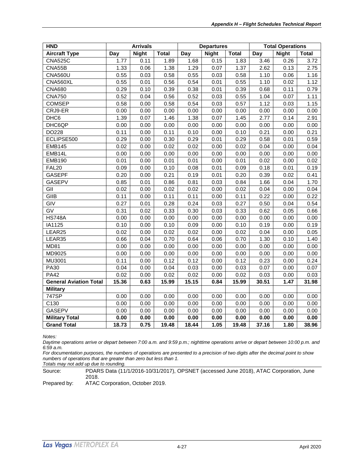| <b>HND</b>                    | <b>Arrivals</b> |              |              | <b>Departures</b> |              |              | <b>Total Operations</b> |              |              |
|-------------------------------|-----------------|--------------|--------------|-------------------|--------------|--------------|-------------------------|--------------|--------------|
| <b>Aircraft Type</b>          | Day             | <b>Night</b> | <b>Total</b> | Day               | <b>Night</b> | <b>Total</b> | Day                     | <b>Night</b> | <b>Total</b> |
| <b>CNA525C</b>                | 1.77            | 0.11         | 1.89         | 1.68              | 0.15         | 1.83         | 3.46                    | 0.26         | 3.72         |
| CNA55B                        | 1.33            | 0.06         | 1.38         | 1.29              | 0.07         | 1.37         | 2.62                    | 0.13         | 2.75         |
| <b>CNA560U</b>                | 0.55            | 0.03         | 0.58         | 0.55              | 0.03         | 0.58         | 1.10                    | 0.06         | 1.16         |
| CNA560XL                      | 0.55            | 0.01         | 0.56         | 0.54              | 0.01         | 0.55         | 1.10                    | 0.02         | 1.12         |
| <b>CNA680</b>                 | 0.29            | 0.10         | 0.39         | 0.38              | 0.01         | 0.39         | 0.68                    | 0.11         | 0.79         |
| <b>CNA750</b>                 | 0.52            | 0.04         | 0.56         | 0.52              | 0.03         | 0.55         | 1.04                    | 0.07         | 1.11         |
| <b>COMSEP</b>                 | 0.58            | 0.00         | 0.58         | 0.54              | 0.03         | 0.57         | 1.12                    | 0.03         | 1.15         |
| CRJ9-ER                       | 0.00            | 0.00         | 0.00         | 0.00              | 0.00         | 0.00         | 0.00                    | 0.00         | 0.00         |
| DHC <sub>6</sub>              | 1.39            | 0.07         | 1.46         | 1.38              | 0.07         | 1.45         | 2.77                    | 0.14         | 2.91         |
| DHC6QP                        | 0.00            | 0.00         | 0.00         | 0.00              | 0.00         | 0.00         | 0.00                    | 0.00         | 0.00         |
| DO228                         | 0.11            | 0.00         | 0.11         | 0.10              | 0.00         | 0.10         | 0.21                    | 0.00         | 0.21         |
| ECLIPSE500                    | 0.29            | 0.00         | 0.30         | 0.29              | 0.01         | 0.29         | 0.58                    | 0.01         | 0.59         |
| <b>EMB145</b>                 | 0.02            | 0.00         | 0.02         | 0.02              | 0.00         | 0.02         | 0.04                    | 0.00         | 0.04         |
| EMB14L                        | 0.00            | 0.00         | 0.00         | 0.00              | 0.00         | 0.00         | 0.00                    | 0.00         | 0.00         |
| <b>EMB190</b>                 | 0.01            | 0.00         | 0.01         | 0.01              | 0.00         | 0.01         | 0.02                    | 0.00         | 0.02         |
| <b>FAL20</b>                  | 0.09            | 0.00         | 0.10         | 0.08              | 0.01         | 0.09         | 0.18                    | 0.01         | 0.19         |
| <b>GASEPF</b>                 | 0.20            | 0.00         | 0.21         | 0.19              | 0.01         | 0.20         | 0.39                    | 0.02         | 0.41         |
| <b>GASEPV</b>                 | 0.85            | 0.01         | 0.86         | 0.81              | 0.03         | 0.84         | 1.66                    | 0.04         | 1.70         |
| GII                           | 0.02            | 0.00         | 0.02         | 0.02              | 0.00         | 0.02         | 0.04                    | 0.00         | 0.04         |
| GIIB                          | 0.11            | 0.00         | 0.11         | 0.11              | 0.00         | 0.11         | 0.22                    | 0.00         | 0.22         |
| GIV                           | 0.27            | 0.01         | 0.28         | 0.24              | 0.03         | 0.27         | 0.50                    | 0.04         | 0.54         |
| $\overline{GV}$               | 0.31            | 0.02         | 0.33         | 0.30              | 0.03         | 0.33         | 0.62                    | 0.05         | 0.66         |
| <b>HS748A</b>                 | 0.00            | 0.00         | 0.00         | 0.00              | 0.00         | 0.00         | 0.00                    | 0.00         | 0.00         |
| IA1125                        | 0.10            | 0.00         | 0.10         | 0.09              | 0.00         | 0.10         | 0.19                    | 0.00         | 0.19         |
| LEAR25                        | 0.02            | 0.00         | 0.02         | 0.02              | 0.00         | 0.02         | 0.04                    | 0.00         | 0.05         |
| LEAR35                        | 0.66            | 0.04         | 0.70         | 0.64              | 0.06         | 0.70         | 1.30                    | 0.10         | 1.40         |
| <b>MD81</b>                   | 0.00            | 0.00         | 0.00         | 0.00              | 0.00         | 0.00         | 0.00                    | 0.00         | 0.00         |
| MD9025                        | 0.00            | 0.00         | 0.00         | 0.00              | 0.00         | 0.00         | 0.00                    | 0.00         | 0.00         |
| MU3001                        | 0.11            | 0.00         | 0.12         | 0.12              | 0.00         | 0.12         | 0.23                    | 0.00         | 0.24         |
| <b>PA30</b>                   | 0.04            | 0.00         | 0.04         | 0.03              | 0.00         | 0.03         | 0.07                    | 0.00         | 0.07         |
| <b>PA42</b>                   | 0.02            | 0.00         | 0.02         | 0.02              | 0.00         | 0.02         | 0.03                    | 0.00         | 0.03         |
| <b>General Aviation Total</b> | 15.36           | 0.63         | 15.99        | 15.15             | 0.84         | 15.99        | 30.51                   | 1.47         | 31.98        |
| <b>Military</b>               |                 |              |              |                   |              |              |                         |              |              |
| 747SP                         | 0.00            | 0.00         | 0.00         | 0.00              | 0.00         | 0.00         | 0.00                    | 0.00         | 0.00         |
| C130                          | 0.00            | 0.00         | 0.00         | 0.00              | 0.00         | 0.00         | 0.00                    | 0.00         | 0.00         |
| <b>GASEPV</b>                 | 0.00            | 0.00         | 0.00         | 0.00              | 0.00         | 0.00         | 0.00                    | 0.00         | 0.00         |
| <b>Military Total</b>         | 0.00            | 0.00         | 0.00         | 0.00              | 0.00         | 0.00         | 0.00                    | 0.00         | 0.00         |
| <b>Grand Total</b>            | 18.73           | 0.75         | 19.48        | 18.44             | 1.05         | 19.48        | 37.16                   | 1.80         | 38.96        |

*Daytime operations arrive or depart between 7:00 a.m. and 9:59 p.m.; nighttime operations arrive or depart between 10:00 p.m. and 6:59 a.m.*

*For documentation purposes, the numbers of operations are presented to a precision of two digits after the decimal point to show numbers of operations that are greater than zero but less than 1.*

*Totals may not add up due to rounding.*

Source: PDARS Data (11/1/2016-10/31/2017), OPSNET (accessed June 2018), ATAC Corporation, June 2018.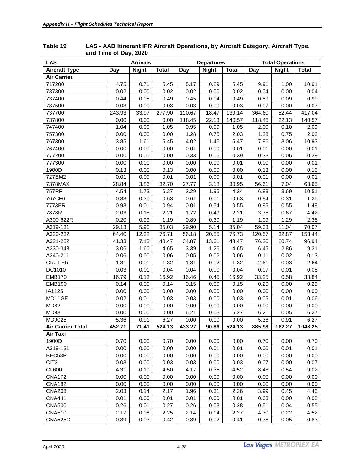| <b>Aircraft Type</b><br><b>Night</b><br><b>Total</b><br><b>Night</b><br><b>Total</b><br><b>Night</b><br>Day<br>Day<br>Day<br><b>Total</b><br><b>Air Carrier</b><br>4.75<br>5.45<br>717200<br>0.71<br>5.17<br>0.29<br>5.45<br>9.91<br>1.00<br>10.91<br>737300<br>0.02<br>0.00<br>0.02<br>0.00<br>0.04<br>0.00<br>0.02<br>0.02<br>0.04<br>737400<br>0.44<br>0.05<br>0.49<br>0.45<br>0.04<br>0.89<br>0.09<br>0.49<br>0.99<br>737500<br>0.03<br>0.00<br>0.03<br>0.03<br>0.00<br>0.03<br>0.07<br>0.00<br>0.07<br>33.97<br>277.90<br>52.44<br>737700<br>243.93<br>120.67<br>18.47<br>139.14<br>364.60<br>417.04<br>737800<br>0.00<br>0.00<br>118.45<br>22.13<br>118.45<br>22.13<br>0.00<br>140.57<br>140.57<br>747400<br>1.04<br>0.00<br>1.05<br>0.95<br>0.09<br>1.05<br>2.00<br>0.10<br>2.09<br>757300<br>0.00<br>0.00<br>0.00<br>1.28<br>0.75<br>2.03<br>1.28<br>0.75<br>2.03<br>1.61<br>5.45<br>7.86<br>3.06<br>767300<br>3.85<br>4.02<br>1.46<br>5.47<br>10.93<br>0.00<br>0.00<br>0.00<br>0.00<br>0.01<br>0.00<br>767400<br>0.01<br>0.01<br>0.01<br>0.33<br>777200<br>0.00<br>0.00<br>0.00<br>0.33<br>0.06<br>0.39<br>0.06<br>0.39<br>0.00<br>0.00<br>0.00<br>0.00<br>0.00<br>0.00<br>777300<br>0.00<br>0.01<br>0.01<br>1900D<br>0.13<br>0.00<br>0.13<br>0.00<br>0.00<br>0.00<br>0.13<br>0.00<br>0.13<br>727EM2<br>0.01<br>0.00<br>0.01<br>0.01<br>0.00<br>0.01<br>0.00<br>0.01<br>0.01<br>3.86<br>32.70<br>7.04<br>7378MAX<br>28.84<br>27.77<br>3.18<br>30.95<br>56.61<br>63.65<br>1.73<br>6.27<br>3.69<br>757RR<br>4.54<br>2.29<br>1.95<br>4.24<br>6.83<br>10.51<br>0.33<br>0.30<br>0.31<br>767CF6<br>0.63<br>0.61<br>0.01<br>0.63<br>0.94<br>1.25<br>0.55<br>7773ER<br>0.93<br>0.01<br>0.94<br>0.54<br>0.55<br>0.95<br>1.49<br>0.01<br>2.21<br>1.72<br>2.21<br>3.75<br>0.67<br>7878R<br>2.03<br>0.18<br>0.49<br>4.42<br>0.20<br>0.99<br>1.29<br>A300-622R<br>1.19<br>0.89<br>0.30<br>1.19<br>1.09<br>2.38<br>5.90<br>A319-131<br>29.13<br>35.03<br>5.14<br>35.04<br>59.03<br>11.04<br>70.07<br>29.90<br>12.32<br>76.71<br>153.44<br>A320-232<br>64.40<br>56.18<br>20.55<br>76.73<br>120.57<br>32.87<br>A321-232<br>41.33<br>7.13<br>48.47<br>34.87<br>13.61<br>48.47<br>76.20<br>20.74<br>96.94<br>1.60<br>1.26<br>A330-343<br>3.06<br>4.65<br>3.39<br>4.65<br>6.45<br>2.86<br>9.31<br>A340-211<br>0.06<br>0.00<br>0.06<br>0.02<br>0.11<br>0.02<br>0.05<br>0.06<br>0.13<br>1.31<br>1.32<br>1.31<br>1.32<br>CRJ9-ER<br>0.01<br>0.02<br>2.61<br>0.03<br>2.64<br>DC1010<br>0.03<br>0.01<br>0.04<br>0.07<br>0.01<br>0.04<br>0.00<br>0.04<br>0.08<br>16.79<br>0.13<br>16.92<br>0.58<br><b>EMB170</b><br>16.46<br>0.45<br>16.92<br>33.25<br>33.84<br>0.14<br>0.00<br>0.14<br>0.15<br>0.00<br>0.29<br>0.00<br>0.29<br><b>EMB190</b><br>0.15<br>IA1125<br>0.00<br>0.00<br>0.00<br>0.00<br>0.00<br>0.00<br>0.00<br>0.00<br>0.00<br>MD11GE<br>0.02<br>0.01<br>0.03<br>0.00<br>0.05<br>0.01<br>0.03<br>0.03<br>0.06<br><b>MD82</b><br>0.00<br>0.00<br>0.00<br>0.00<br>0.00<br>0.00<br>0.00<br>0.00<br>0.00<br>MD83<br>6.21<br>0.00<br>0.00<br>0.00<br>6.21<br>6.27<br>0.05<br>6.27<br>0.05<br>6.27<br>MD9025<br>5.36<br>0.91<br>0.00<br>5.36<br>0.91<br>6.27<br>0.00<br>0.00<br><b>Air Carrier Total</b><br>452.71<br>71.41<br>524.13<br>433.27<br>90.86<br>524.13<br>885.98<br>162.27<br>1048.25<br>Air Taxi<br>1900D<br>0.70<br>0.70<br>0.70<br>0.00<br>0.00<br>0.00<br>0.00<br>0.00<br>0.70<br>A319-131<br>0.00<br>0.00<br>0.00<br>0.00<br>0.01<br>0.01<br>0.00<br>0.01<br>0.01<br>BEC58P<br>0.00<br>0.00<br>0.00<br>0.00<br>0.00<br>0.00<br>0.00<br>0.00<br>0.00<br>CIT <sub>3</sub><br>0.03<br>0.00<br>0.03<br>0.03<br>0.00<br>0.03<br>0.07<br>0.00<br>0.07<br>CL600<br>4.31<br>0.19<br>4.50<br>4.17<br>0.35<br>4.52<br>0.54<br>8.48<br>9.02<br><b>CNA172</b><br>0.00<br>0.00<br>0.00<br>0.00<br>0.00<br>0.00<br>0.00<br>0.00<br>0.00<br><b>CNA182</b><br>0.00<br>0.00<br>0.00<br>0.00<br>0.00<br>0.00<br>0.00<br>0.00<br>0.00<br><b>CNA208</b><br>2.17<br>0.45<br>2.03<br>0.14<br>1.96<br>0.31<br>2.26<br>3.99<br>4.43<br><b>CNA441</b><br>0.01<br>0.00<br>0.01<br>0.01<br>0.00<br>0.01<br>0.03<br>0.00<br>0.03<br><b>CNA500</b><br>0.27<br>0.51<br>0.26<br>0.01<br>0.26<br>0.03<br>0.28<br>0.04<br>0.55<br><b>CNA510</b><br>2.17<br>2.25<br>2.14<br>0.14<br>2.27<br>4.30<br>0.22<br>4.52<br>0.08 | <b>LAS</b>     | <b>Arrivals</b> |      |      | <b>Departures</b> |      | <b>Total Operations</b> |      |      |      |
|-----------------------------------------------------------------------------------------------------------------------------------------------------------------------------------------------------------------------------------------------------------------------------------------------------------------------------------------------------------------------------------------------------------------------------------------------------------------------------------------------------------------------------------------------------------------------------------------------------------------------------------------------------------------------------------------------------------------------------------------------------------------------------------------------------------------------------------------------------------------------------------------------------------------------------------------------------------------------------------------------------------------------------------------------------------------------------------------------------------------------------------------------------------------------------------------------------------------------------------------------------------------------------------------------------------------------------------------------------------------------------------------------------------------------------------------------------------------------------------------------------------------------------------------------------------------------------------------------------------------------------------------------------------------------------------------------------------------------------------------------------------------------------------------------------------------------------------------------------------------------------------------------------------------------------------------------------------------------------------------------------------------------------------------------------------------------------------------------------------------------------------------------------------------------------------------------------------------------------------------------------------------------------------------------------------------------------------------------------------------------------------------------------------------------------------------------------------------------------------------------------------------------------------------------------------------------------------------------------------------------------------------------------------------------------------------------------------------------------------------------------------------------------------------------------------------------------------------------------------------------------------------------------------------------------------------------------------------------------------------------------------------------------------------------------------------------------------------------------------------------------------------------------------------------------------------------------------------------------------------------------------------------------------------------------------------------------------------------------------------------------------------------------------------------------------------------------------------------------------------------------------------------------------------------------------------------------------------------------------------------------------------------------------------------------------------------------------------------------------------------------------------------------------------------------------------------------------------------------------------------------------------------------------------------------------------------------------------------------------------------------------------------------------------------------------------------------------------------------------------------------------------------------------------------------------------------------------------------------------------------------------------------------------------------|----------------|-----------------|------|------|-------------------|------|-------------------------|------|------|------|
|                                                                                                                                                                                                                                                                                                                                                                                                                                                                                                                                                                                                                                                                                                                                                                                                                                                                                                                                                                                                                                                                                                                                                                                                                                                                                                                                                                                                                                                                                                                                                                                                                                                                                                                                                                                                                                                                                                                                                                                                                                                                                                                                                                                                                                                                                                                                                                                                                                                                                                                                                                                                                                                                                                                                                                                                                                                                                                                                                                                                                                                                                                                                                                                                                                                                                                                                                                                                                                                                                                                                                                                                                                                                                                                                                                                                                                                                                                                                                                                                                                                                                                                                                                                                                                                                                               |                |                 |      |      |                   |      |                         |      |      |      |
|                                                                                                                                                                                                                                                                                                                                                                                                                                                                                                                                                                                                                                                                                                                                                                                                                                                                                                                                                                                                                                                                                                                                                                                                                                                                                                                                                                                                                                                                                                                                                                                                                                                                                                                                                                                                                                                                                                                                                                                                                                                                                                                                                                                                                                                                                                                                                                                                                                                                                                                                                                                                                                                                                                                                                                                                                                                                                                                                                                                                                                                                                                                                                                                                                                                                                                                                                                                                                                                                                                                                                                                                                                                                                                                                                                                                                                                                                                                                                                                                                                                                                                                                                                                                                                                                                               |                |                 |      |      |                   |      |                         |      |      |      |
|                                                                                                                                                                                                                                                                                                                                                                                                                                                                                                                                                                                                                                                                                                                                                                                                                                                                                                                                                                                                                                                                                                                                                                                                                                                                                                                                                                                                                                                                                                                                                                                                                                                                                                                                                                                                                                                                                                                                                                                                                                                                                                                                                                                                                                                                                                                                                                                                                                                                                                                                                                                                                                                                                                                                                                                                                                                                                                                                                                                                                                                                                                                                                                                                                                                                                                                                                                                                                                                                                                                                                                                                                                                                                                                                                                                                                                                                                                                                                                                                                                                                                                                                                                                                                                                                                               |                |                 |      |      |                   |      |                         |      |      |      |
|                                                                                                                                                                                                                                                                                                                                                                                                                                                                                                                                                                                                                                                                                                                                                                                                                                                                                                                                                                                                                                                                                                                                                                                                                                                                                                                                                                                                                                                                                                                                                                                                                                                                                                                                                                                                                                                                                                                                                                                                                                                                                                                                                                                                                                                                                                                                                                                                                                                                                                                                                                                                                                                                                                                                                                                                                                                                                                                                                                                                                                                                                                                                                                                                                                                                                                                                                                                                                                                                                                                                                                                                                                                                                                                                                                                                                                                                                                                                                                                                                                                                                                                                                                                                                                                                                               |                |                 |      |      |                   |      |                         |      |      |      |
|                                                                                                                                                                                                                                                                                                                                                                                                                                                                                                                                                                                                                                                                                                                                                                                                                                                                                                                                                                                                                                                                                                                                                                                                                                                                                                                                                                                                                                                                                                                                                                                                                                                                                                                                                                                                                                                                                                                                                                                                                                                                                                                                                                                                                                                                                                                                                                                                                                                                                                                                                                                                                                                                                                                                                                                                                                                                                                                                                                                                                                                                                                                                                                                                                                                                                                                                                                                                                                                                                                                                                                                                                                                                                                                                                                                                                                                                                                                                                                                                                                                                                                                                                                                                                                                                                               |                |                 |      |      |                   |      |                         |      |      |      |
|                                                                                                                                                                                                                                                                                                                                                                                                                                                                                                                                                                                                                                                                                                                                                                                                                                                                                                                                                                                                                                                                                                                                                                                                                                                                                                                                                                                                                                                                                                                                                                                                                                                                                                                                                                                                                                                                                                                                                                                                                                                                                                                                                                                                                                                                                                                                                                                                                                                                                                                                                                                                                                                                                                                                                                                                                                                                                                                                                                                                                                                                                                                                                                                                                                                                                                                                                                                                                                                                                                                                                                                                                                                                                                                                                                                                                                                                                                                                                                                                                                                                                                                                                                                                                                                                                               |                |                 |      |      |                   |      |                         |      |      |      |
|                                                                                                                                                                                                                                                                                                                                                                                                                                                                                                                                                                                                                                                                                                                                                                                                                                                                                                                                                                                                                                                                                                                                                                                                                                                                                                                                                                                                                                                                                                                                                                                                                                                                                                                                                                                                                                                                                                                                                                                                                                                                                                                                                                                                                                                                                                                                                                                                                                                                                                                                                                                                                                                                                                                                                                                                                                                                                                                                                                                                                                                                                                                                                                                                                                                                                                                                                                                                                                                                                                                                                                                                                                                                                                                                                                                                                                                                                                                                                                                                                                                                                                                                                                                                                                                                                               |                |                 |      |      |                   |      |                         |      |      |      |
|                                                                                                                                                                                                                                                                                                                                                                                                                                                                                                                                                                                                                                                                                                                                                                                                                                                                                                                                                                                                                                                                                                                                                                                                                                                                                                                                                                                                                                                                                                                                                                                                                                                                                                                                                                                                                                                                                                                                                                                                                                                                                                                                                                                                                                                                                                                                                                                                                                                                                                                                                                                                                                                                                                                                                                                                                                                                                                                                                                                                                                                                                                                                                                                                                                                                                                                                                                                                                                                                                                                                                                                                                                                                                                                                                                                                                                                                                                                                                                                                                                                                                                                                                                                                                                                                                               |                |                 |      |      |                   |      |                         |      |      |      |
|                                                                                                                                                                                                                                                                                                                                                                                                                                                                                                                                                                                                                                                                                                                                                                                                                                                                                                                                                                                                                                                                                                                                                                                                                                                                                                                                                                                                                                                                                                                                                                                                                                                                                                                                                                                                                                                                                                                                                                                                                                                                                                                                                                                                                                                                                                                                                                                                                                                                                                                                                                                                                                                                                                                                                                                                                                                                                                                                                                                                                                                                                                                                                                                                                                                                                                                                                                                                                                                                                                                                                                                                                                                                                                                                                                                                                                                                                                                                                                                                                                                                                                                                                                                                                                                                                               |                |                 |      |      |                   |      |                         |      |      |      |
|                                                                                                                                                                                                                                                                                                                                                                                                                                                                                                                                                                                                                                                                                                                                                                                                                                                                                                                                                                                                                                                                                                                                                                                                                                                                                                                                                                                                                                                                                                                                                                                                                                                                                                                                                                                                                                                                                                                                                                                                                                                                                                                                                                                                                                                                                                                                                                                                                                                                                                                                                                                                                                                                                                                                                                                                                                                                                                                                                                                                                                                                                                                                                                                                                                                                                                                                                                                                                                                                                                                                                                                                                                                                                                                                                                                                                                                                                                                                                                                                                                                                                                                                                                                                                                                                                               |                |                 |      |      |                   |      |                         |      |      |      |
|                                                                                                                                                                                                                                                                                                                                                                                                                                                                                                                                                                                                                                                                                                                                                                                                                                                                                                                                                                                                                                                                                                                                                                                                                                                                                                                                                                                                                                                                                                                                                                                                                                                                                                                                                                                                                                                                                                                                                                                                                                                                                                                                                                                                                                                                                                                                                                                                                                                                                                                                                                                                                                                                                                                                                                                                                                                                                                                                                                                                                                                                                                                                                                                                                                                                                                                                                                                                                                                                                                                                                                                                                                                                                                                                                                                                                                                                                                                                                                                                                                                                                                                                                                                                                                                                                               |                |                 |      |      |                   |      |                         |      |      |      |
|                                                                                                                                                                                                                                                                                                                                                                                                                                                                                                                                                                                                                                                                                                                                                                                                                                                                                                                                                                                                                                                                                                                                                                                                                                                                                                                                                                                                                                                                                                                                                                                                                                                                                                                                                                                                                                                                                                                                                                                                                                                                                                                                                                                                                                                                                                                                                                                                                                                                                                                                                                                                                                                                                                                                                                                                                                                                                                                                                                                                                                                                                                                                                                                                                                                                                                                                                                                                                                                                                                                                                                                                                                                                                                                                                                                                                                                                                                                                                                                                                                                                                                                                                                                                                                                                                               |                |                 |      |      |                   |      |                         |      |      |      |
|                                                                                                                                                                                                                                                                                                                                                                                                                                                                                                                                                                                                                                                                                                                                                                                                                                                                                                                                                                                                                                                                                                                                                                                                                                                                                                                                                                                                                                                                                                                                                                                                                                                                                                                                                                                                                                                                                                                                                                                                                                                                                                                                                                                                                                                                                                                                                                                                                                                                                                                                                                                                                                                                                                                                                                                                                                                                                                                                                                                                                                                                                                                                                                                                                                                                                                                                                                                                                                                                                                                                                                                                                                                                                                                                                                                                                                                                                                                                                                                                                                                                                                                                                                                                                                                                                               |                |                 |      |      |                   |      |                         |      |      |      |
|                                                                                                                                                                                                                                                                                                                                                                                                                                                                                                                                                                                                                                                                                                                                                                                                                                                                                                                                                                                                                                                                                                                                                                                                                                                                                                                                                                                                                                                                                                                                                                                                                                                                                                                                                                                                                                                                                                                                                                                                                                                                                                                                                                                                                                                                                                                                                                                                                                                                                                                                                                                                                                                                                                                                                                                                                                                                                                                                                                                                                                                                                                                                                                                                                                                                                                                                                                                                                                                                                                                                                                                                                                                                                                                                                                                                                                                                                                                                                                                                                                                                                                                                                                                                                                                                                               |                |                 |      |      |                   |      |                         |      |      |      |
|                                                                                                                                                                                                                                                                                                                                                                                                                                                                                                                                                                                                                                                                                                                                                                                                                                                                                                                                                                                                                                                                                                                                                                                                                                                                                                                                                                                                                                                                                                                                                                                                                                                                                                                                                                                                                                                                                                                                                                                                                                                                                                                                                                                                                                                                                                                                                                                                                                                                                                                                                                                                                                                                                                                                                                                                                                                                                                                                                                                                                                                                                                                                                                                                                                                                                                                                                                                                                                                                                                                                                                                                                                                                                                                                                                                                                                                                                                                                                                                                                                                                                                                                                                                                                                                                                               |                |                 |      |      |                   |      |                         |      |      |      |
|                                                                                                                                                                                                                                                                                                                                                                                                                                                                                                                                                                                                                                                                                                                                                                                                                                                                                                                                                                                                                                                                                                                                                                                                                                                                                                                                                                                                                                                                                                                                                                                                                                                                                                                                                                                                                                                                                                                                                                                                                                                                                                                                                                                                                                                                                                                                                                                                                                                                                                                                                                                                                                                                                                                                                                                                                                                                                                                                                                                                                                                                                                                                                                                                                                                                                                                                                                                                                                                                                                                                                                                                                                                                                                                                                                                                                                                                                                                                                                                                                                                                                                                                                                                                                                                                                               |                |                 |      |      |                   |      |                         |      |      |      |
|                                                                                                                                                                                                                                                                                                                                                                                                                                                                                                                                                                                                                                                                                                                                                                                                                                                                                                                                                                                                                                                                                                                                                                                                                                                                                                                                                                                                                                                                                                                                                                                                                                                                                                                                                                                                                                                                                                                                                                                                                                                                                                                                                                                                                                                                                                                                                                                                                                                                                                                                                                                                                                                                                                                                                                                                                                                                                                                                                                                                                                                                                                                                                                                                                                                                                                                                                                                                                                                                                                                                                                                                                                                                                                                                                                                                                                                                                                                                                                                                                                                                                                                                                                                                                                                                                               |                |                 |      |      |                   |      |                         |      |      |      |
|                                                                                                                                                                                                                                                                                                                                                                                                                                                                                                                                                                                                                                                                                                                                                                                                                                                                                                                                                                                                                                                                                                                                                                                                                                                                                                                                                                                                                                                                                                                                                                                                                                                                                                                                                                                                                                                                                                                                                                                                                                                                                                                                                                                                                                                                                                                                                                                                                                                                                                                                                                                                                                                                                                                                                                                                                                                                                                                                                                                                                                                                                                                                                                                                                                                                                                                                                                                                                                                                                                                                                                                                                                                                                                                                                                                                                                                                                                                                                                                                                                                                                                                                                                                                                                                                                               |                |                 |      |      |                   |      |                         |      |      |      |
|                                                                                                                                                                                                                                                                                                                                                                                                                                                                                                                                                                                                                                                                                                                                                                                                                                                                                                                                                                                                                                                                                                                                                                                                                                                                                                                                                                                                                                                                                                                                                                                                                                                                                                                                                                                                                                                                                                                                                                                                                                                                                                                                                                                                                                                                                                                                                                                                                                                                                                                                                                                                                                                                                                                                                                                                                                                                                                                                                                                                                                                                                                                                                                                                                                                                                                                                                                                                                                                                                                                                                                                                                                                                                                                                                                                                                                                                                                                                                                                                                                                                                                                                                                                                                                                                                               |                |                 |      |      |                   |      |                         |      |      |      |
|                                                                                                                                                                                                                                                                                                                                                                                                                                                                                                                                                                                                                                                                                                                                                                                                                                                                                                                                                                                                                                                                                                                                                                                                                                                                                                                                                                                                                                                                                                                                                                                                                                                                                                                                                                                                                                                                                                                                                                                                                                                                                                                                                                                                                                                                                                                                                                                                                                                                                                                                                                                                                                                                                                                                                                                                                                                                                                                                                                                                                                                                                                                                                                                                                                                                                                                                                                                                                                                                                                                                                                                                                                                                                                                                                                                                                                                                                                                                                                                                                                                                                                                                                                                                                                                                                               |                |                 |      |      |                   |      |                         |      |      |      |
|                                                                                                                                                                                                                                                                                                                                                                                                                                                                                                                                                                                                                                                                                                                                                                                                                                                                                                                                                                                                                                                                                                                                                                                                                                                                                                                                                                                                                                                                                                                                                                                                                                                                                                                                                                                                                                                                                                                                                                                                                                                                                                                                                                                                                                                                                                                                                                                                                                                                                                                                                                                                                                                                                                                                                                                                                                                                                                                                                                                                                                                                                                                                                                                                                                                                                                                                                                                                                                                                                                                                                                                                                                                                                                                                                                                                                                                                                                                                                                                                                                                                                                                                                                                                                                                                                               |                |                 |      |      |                   |      |                         |      |      |      |
|                                                                                                                                                                                                                                                                                                                                                                                                                                                                                                                                                                                                                                                                                                                                                                                                                                                                                                                                                                                                                                                                                                                                                                                                                                                                                                                                                                                                                                                                                                                                                                                                                                                                                                                                                                                                                                                                                                                                                                                                                                                                                                                                                                                                                                                                                                                                                                                                                                                                                                                                                                                                                                                                                                                                                                                                                                                                                                                                                                                                                                                                                                                                                                                                                                                                                                                                                                                                                                                                                                                                                                                                                                                                                                                                                                                                                                                                                                                                                                                                                                                                                                                                                                                                                                                                                               |                |                 |      |      |                   |      |                         |      |      |      |
|                                                                                                                                                                                                                                                                                                                                                                                                                                                                                                                                                                                                                                                                                                                                                                                                                                                                                                                                                                                                                                                                                                                                                                                                                                                                                                                                                                                                                                                                                                                                                                                                                                                                                                                                                                                                                                                                                                                                                                                                                                                                                                                                                                                                                                                                                                                                                                                                                                                                                                                                                                                                                                                                                                                                                                                                                                                                                                                                                                                                                                                                                                                                                                                                                                                                                                                                                                                                                                                                                                                                                                                                                                                                                                                                                                                                                                                                                                                                                                                                                                                                                                                                                                                                                                                                                               |                |                 |      |      |                   |      |                         |      |      |      |
|                                                                                                                                                                                                                                                                                                                                                                                                                                                                                                                                                                                                                                                                                                                                                                                                                                                                                                                                                                                                                                                                                                                                                                                                                                                                                                                                                                                                                                                                                                                                                                                                                                                                                                                                                                                                                                                                                                                                                                                                                                                                                                                                                                                                                                                                                                                                                                                                                                                                                                                                                                                                                                                                                                                                                                                                                                                                                                                                                                                                                                                                                                                                                                                                                                                                                                                                                                                                                                                                                                                                                                                                                                                                                                                                                                                                                                                                                                                                                                                                                                                                                                                                                                                                                                                                                               |                |                 |      |      |                   |      |                         |      |      |      |
|                                                                                                                                                                                                                                                                                                                                                                                                                                                                                                                                                                                                                                                                                                                                                                                                                                                                                                                                                                                                                                                                                                                                                                                                                                                                                                                                                                                                                                                                                                                                                                                                                                                                                                                                                                                                                                                                                                                                                                                                                                                                                                                                                                                                                                                                                                                                                                                                                                                                                                                                                                                                                                                                                                                                                                                                                                                                                                                                                                                                                                                                                                                                                                                                                                                                                                                                                                                                                                                                                                                                                                                                                                                                                                                                                                                                                                                                                                                                                                                                                                                                                                                                                                                                                                                                                               |                |                 |      |      |                   |      |                         |      |      |      |
|                                                                                                                                                                                                                                                                                                                                                                                                                                                                                                                                                                                                                                                                                                                                                                                                                                                                                                                                                                                                                                                                                                                                                                                                                                                                                                                                                                                                                                                                                                                                                                                                                                                                                                                                                                                                                                                                                                                                                                                                                                                                                                                                                                                                                                                                                                                                                                                                                                                                                                                                                                                                                                                                                                                                                                                                                                                                                                                                                                                                                                                                                                                                                                                                                                                                                                                                                                                                                                                                                                                                                                                                                                                                                                                                                                                                                                                                                                                                                                                                                                                                                                                                                                                                                                                                                               |                |                 |      |      |                   |      |                         |      |      |      |
|                                                                                                                                                                                                                                                                                                                                                                                                                                                                                                                                                                                                                                                                                                                                                                                                                                                                                                                                                                                                                                                                                                                                                                                                                                                                                                                                                                                                                                                                                                                                                                                                                                                                                                                                                                                                                                                                                                                                                                                                                                                                                                                                                                                                                                                                                                                                                                                                                                                                                                                                                                                                                                                                                                                                                                                                                                                                                                                                                                                                                                                                                                                                                                                                                                                                                                                                                                                                                                                                                                                                                                                                                                                                                                                                                                                                                                                                                                                                                                                                                                                                                                                                                                                                                                                                                               |                |                 |      |      |                   |      |                         |      |      |      |
|                                                                                                                                                                                                                                                                                                                                                                                                                                                                                                                                                                                                                                                                                                                                                                                                                                                                                                                                                                                                                                                                                                                                                                                                                                                                                                                                                                                                                                                                                                                                                                                                                                                                                                                                                                                                                                                                                                                                                                                                                                                                                                                                                                                                                                                                                                                                                                                                                                                                                                                                                                                                                                                                                                                                                                                                                                                                                                                                                                                                                                                                                                                                                                                                                                                                                                                                                                                                                                                                                                                                                                                                                                                                                                                                                                                                                                                                                                                                                                                                                                                                                                                                                                                                                                                                                               |                |                 |      |      |                   |      |                         |      |      |      |
|                                                                                                                                                                                                                                                                                                                                                                                                                                                                                                                                                                                                                                                                                                                                                                                                                                                                                                                                                                                                                                                                                                                                                                                                                                                                                                                                                                                                                                                                                                                                                                                                                                                                                                                                                                                                                                                                                                                                                                                                                                                                                                                                                                                                                                                                                                                                                                                                                                                                                                                                                                                                                                                                                                                                                                                                                                                                                                                                                                                                                                                                                                                                                                                                                                                                                                                                                                                                                                                                                                                                                                                                                                                                                                                                                                                                                                                                                                                                                                                                                                                                                                                                                                                                                                                                                               |                |                 |      |      |                   |      |                         |      |      |      |
|                                                                                                                                                                                                                                                                                                                                                                                                                                                                                                                                                                                                                                                                                                                                                                                                                                                                                                                                                                                                                                                                                                                                                                                                                                                                                                                                                                                                                                                                                                                                                                                                                                                                                                                                                                                                                                                                                                                                                                                                                                                                                                                                                                                                                                                                                                                                                                                                                                                                                                                                                                                                                                                                                                                                                                                                                                                                                                                                                                                                                                                                                                                                                                                                                                                                                                                                                                                                                                                                                                                                                                                                                                                                                                                                                                                                                                                                                                                                                                                                                                                                                                                                                                                                                                                                                               |                |                 |      |      |                   |      |                         |      |      |      |
|                                                                                                                                                                                                                                                                                                                                                                                                                                                                                                                                                                                                                                                                                                                                                                                                                                                                                                                                                                                                                                                                                                                                                                                                                                                                                                                                                                                                                                                                                                                                                                                                                                                                                                                                                                                                                                                                                                                                                                                                                                                                                                                                                                                                                                                                                                                                                                                                                                                                                                                                                                                                                                                                                                                                                                                                                                                                                                                                                                                                                                                                                                                                                                                                                                                                                                                                                                                                                                                                                                                                                                                                                                                                                                                                                                                                                                                                                                                                                                                                                                                                                                                                                                                                                                                                                               |                |                 |      |      |                   |      |                         |      |      |      |
|                                                                                                                                                                                                                                                                                                                                                                                                                                                                                                                                                                                                                                                                                                                                                                                                                                                                                                                                                                                                                                                                                                                                                                                                                                                                                                                                                                                                                                                                                                                                                                                                                                                                                                                                                                                                                                                                                                                                                                                                                                                                                                                                                                                                                                                                                                                                                                                                                                                                                                                                                                                                                                                                                                                                                                                                                                                                                                                                                                                                                                                                                                                                                                                                                                                                                                                                                                                                                                                                                                                                                                                                                                                                                                                                                                                                                                                                                                                                                                                                                                                                                                                                                                                                                                                                                               |                |                 |      |      |                   |      |                         |      |      |      |
|                                                                                                                                                                                                                                                                                                                                                                                                                                                                                                                                                                                                                                                                                                                                                                                                                                                                                                                                                                                                                                                                                                                                                                                                                                                                                                                                                                                                                                                                                                                                                                                                                                                                                                                                                                                                                                                                                                                                                                                                                                                                                                                                                                                                                                                                                                                                                                                                                                                                                                                                                                                                                                                                                                                                                                                                                                                                                                                                                                                                                                                                                                                                                                                                                                                                                                                                                                                                                                                                                                                                                                                                                                                                                                                                                                                                                                                                                                                                                                                                                                                                                                                                                                                                                                                                                               |                |                 |      |      |                   |      |                         |      |      |      |
|                                                                                                                                                                                                                                                                                                                                                                                                                                                                                                                                                                                                                                                                                                                                                                                                                                                                                                                                                                                                                                                                                                                                                                                                                                                                                                                                                                                                                                                                                                                                                                                                                                                                                                                                                                                                                                                                                                                                                                                                                                                                                                                                                                                                                                                                                                                                                                                                                                                                                                                                                                                                                                                                                                                                                                                                                                                                                                                                                                                                                                                                                                                                                                                                                                                                                                                                                                                                                                                                                                                                                                                                                                                                                                                                                                                                                                                                                                                                                                                                                                                                                                                                                                                                                                                                                               |                |                 |      |      |                   |      |                         |      |      |      |
|                                                                                                                                                                                                                                                                                                                                                                                                                                                                                                                                                                                                                                                                                                                                                                                                                                                                                                                                                                                                                                                                                                                                                                                                                                                                                                                                                                                                                                                                                                                                                                                                                                                                                                                                                                                                                                                                                                                                                                                                                                                                                                                                                                                                                                                                                                                                                                                                                                                                                                                                                                                                                                                                                                                                                                                                                                                                                                                                                                                                                                                                                                                                                                                                                                                                                                                                                                                                                                                                                                                                                                                                                                                                                                                                                                                                                                                                                                                                                                                                                                                                                                                                                                                                                                                                                               |                |                 |      |      |                   |      |                         |      |      |      |
|                                                                                                                                                                                                                                                                                                                                                                                                                                                                                                                                                                                                                                                                                                                                                                                                                                                                                                                                                                                                                                                                                                                                                                                                                                                                                                                                                                                                                                                                                                                                                                                                                                                                                                                                                                                                                                                                                                                                                                                                                                                                                                                                                                                                                                                                                                                                                                                                                                                                                                                                                                                                                                                                                                                                                                                                                                                                                                                                                                                                                                                                                                                                                                                                                                                                                                                                                                                                                                                                                                                                                                                                                                                                                                                                                                                                                                                                                                                                                                                                                                                                                                                                                                                                                                                                                               |                |                 |      |      |                   |      |                         |      |      |      |
|                                                                                                                                                                                                                                                                                                                                                                                                                                                                                                                                                                                                                                                                                                                                                                                                                                                                                                                                                                                                                                                                                                                                                                                                                                                                                                                                                                                                                                                                                                                                                                                                                                                                                                                                                                                                                                                                                                                                                                                                                                                                                                                                                                                                                                                                                                                                                                                                                                                                                                                                                                                                                                                                                                                                                                                                                                                                                                                                                                                                                                                                                                                                                                                                                                                                                                                                                                                                                                                                                                                                                                                                                                                                                                                                                                                                                                                                                                                                                                                                                                                                                                                                                                                                                                                                                               |                |                 |      |      |                   |      |                         |      |      |      |
|                                                                                                                                                                                                                                                                                                                                                                                                                                                                                                                                                                                                                                                                                                                                                                                                                                                                                                                                                                                                                                                                                                                                                                                                                                                                                                                                                                                                                                                                                                                                                                                                                                                                                                                                                                                                                                                                                                                                                                                                                                                                                                                                                                                                                                                                                                                                                                                                                                                                                                                                                                                                                                                                                                                                                                                                                                                                                                                                                                                                                                                                                                                                                                                                                                                                                                                                                                                                                                                                                                                                                                                                                                                                                                                                                                                                                                                                                                                                                                                                                                                                                                                                                                                                                                                                                               |                |                 |      |      |                   |      |                         |      |      |      |
|                                                                                                                                                                                                                                                                                                                                                                                                                                                                                                                                                                                                                                                                                                                                                                                                                                                                                                                                                                                                                                                                                                                                                                                                                                                                                                                                                                                                                                                                                                                                                                                                                                                                                                                                                                                                                                                                                                                                                                                                                                                                                                                                                                                                                                                                                                                                                                                                                                                                                                                                                                                                                                                                                                                                                                                                                                                                                                                                                                                                                                                                                                                                                                                                                                                                                                                                                                                                                                                                                                                                                                                                                                                                                                                                                                                                                                                                                                                                                                                                                                                                                                                                                                                                                                                                                               |                |                 |      |      |                   |      |                         |      |      |      |
|                                                                                                                                                                                                                                                                                                                                                                                                                                                                                                                                                                                                                                                                                                                                                                                                                                                                                                                                                                                                                                                                                                                                                                                                                                                                                                                                                                                                                                                                                                                                                                                                                                                                                                                                                                                                                                                                                                                                                                                                                                                                                                                                                                                                                                                                                                                                                                                                                                                                                                                                                                                                                                                                                                                                                                                                                                                                                                                                                                                                                                                                                                                                                                                                                                                                                                                                                                                                                                                                                                                                                                                                                                                                                                                                                                                                                                                                                                                                                                                                                                                                                                                                                                                                                                                                                               |                |                 |      |      |                   |      |                         |      |      |      |
|                                                                                                                                                                                                                                                                                                                                                                                                                                                                                                                                                                                                                                                                                                                                                                                                                                                                                                                                                                                                                                                                                                                                                                                                                                                                                                                                                                                                                                                                                                                                                                                                                                                                                                                                                                                                                                                                                                                                                                                                                                                                                                                                                                                                                                                                                                                                                                                                                                                                                                                                                                                                                                                                                                                                                                                                                                                                                                                                                                                                                                                                                                                                                                                                                                                                                                                                                                                                                                                                                                                                                                                                                                                                                                                                                                                                                                                                                                                                                                                                                                                                                                                                                                                                                                                                                               |                |                 |      |      |                   |      |                         |      |      |      |
|                                                                                                                                                                                                                                                                                                                                                                                                                                                                                                                                                                                                                                                                                                                                                                                                                                                                                                                                                                                                                                                                                                                                                                                                                                                                                                                                                                                                                                                                                                                                                                                                                                                                                                                                                                                                                                                                                                                                                                                                                                                                                                                                                                                                                                                                                                                                                                                                                                                                                                                                                                                                                                                                                                                                                                                                                                                                                                                                                                                                                                                                                                                                                                                                                                                                                                                                                                                                                                                                                                                                                                                                                                                                                                                                                                                                                                                                                                                                                                                                                                                                                                                                                                                                                                                                                               |                |                 |      |      |                   |      |                         |      |      |      |
|                                                                                                                                                                                                                                                                                                                                                                                                                                                                                                                                                                                                                                                                                                                                                                                                                                                                                                                                                                                                                                                                                                                                                                                                                                                                                                                                                                                                                                                                                                                                                                                                                                                                                                                                                                                                                                                                                                                                                                                                                                                                                                                                                                                                                                                                                                                                                                                                                                                                                                                                                                                                                                                                                                                                                                                                                                                                                                                                                                                                                                                                                                                                                                                                                                                                                                                                                                                                                                                                                                                                                                                                                                                                                                                                                                                                                                                                                                                                                                                                                                                                                                                                                                                                                                                                                               |                |                 |      |      |                   |      |                         |      |      |      |
|                                                                                                                                                                                                                                                                                                                                                                                                                                                                                                                                                                                                                                                                                                                                                                                                                                                                                                                                                                                                                                                                                                                                                                                                                                                                                                                                                                                                                                                                                                                                                                                                                                                                                                                                                                                                                                                                                                                                                                                                                                                                                                                                                                                                                                                                                                                                                                                                                                                                                                                                                                                                                                                                                                                                                                                                                                                                                                                                                                                                                                                                                                                                                                                                                                                                                                                                                                                                                                                                                                                                                                                                                                                                                                                                                                                                                                                                                                                                                                                                                                                                                                                                                                                                                                                                                               |                |                 |      |      |                   |      |                         |      |      |      |
|                                                                                                                                                                                                                                                                                                                                                                                                                                                                                                                                                                                                                                                                                                                                                                                                                                                                                                                                                                                                                                                                                                                                                                                                                                                                                                                                                                                                                                                                                                                                                                                                                                                                                                                                                                                                                                                                                                                                                                                                                                                                                                                                                                                                                                                                                                                                                                                                                                                                                                                                                                                                                                                                                                                                                                                                                                                                                                                                                                                                                                                                                                                                                                                                                                                                                                                                                                                                                                                                                                                                                                                                                                                                                                                                                                                                                                                                                                                                                                                                                                                                                                                                                                                                                                                                                               |                |                 |      |      |                   |      |                         |      |      |      |
|                                                                                                                                                                                                                                                                                                                                                                                                                                                                                                                                                                                                                                                                                                                                                                                                                                                                                                                                                                                                                                                                                                                                                                                                                                                                                                                                                                                                                                                                                                                                                                                                                                                                                                                                                                                                                                                                                                                                                                                                                                                                                                                                                                                                                                                                                                                                                                                                                                                                                                                                                                                                                                                                                                                                                                                                                                                                                                                                                                                                                                                                                                                                                                                                                                                                                                                                                                                                                                                                                                                                                                                                                                                                                                                                                                                                                                                                                                                                                                                                                                                                                                                                                                                                                                                                                               |                |                 |      |      |                   |      |                         |      |      |      |
|                                                                                                                                                                                                                                                                                                                                                                                                                                                                                                                                                                                                                                                                                                                                                                                                                                                                                                                                                                                                                                                                                                                                                                                                                                                                                                                                                                                                                                                                                                                                                                                                                                                                                                                                                                                                                                                                                                                                                                                                                                                                                                                                                                                                                                                                                                                                                                                                                                                                                                                                                                                                                                                                                                                                                                                                                                                                                                                                                                                                                                                                                                                                                                                                                                                                                                                                                                                                                                                                                                                                                                                                                                                                                                                                                                                                                                                                                                                                                                                                                                                                                                                                                                                                                                                                                               |                |                 |      |      |                   |      |                         |      |      |      |
|                                                                                                                                                                                                                                                                                                                                                                                                                                                                                                                                                                                                                                                                                                                                                                                                                                                                                                                                                                                                                                                                                                                                                                                                                                                                                                                                                                                                                                                                                                                                                                                                                                                                                                                                                                                                                                                                                                                                                                                                                                                                                                                                                                                                                                                                                                                                                                                                                                                                                                                                                                                                                                                                                                                                                                                                                                                                                                                                                                                                                                                                                                                                                                                                                                                                                                                                                                                                                                                                                                                                                                                                                                                                                                                                                                                                                                                                                                                                                                                                                                                                                                                                                                                                                                                                                               |                |                 |      |      |                   |      |                         |      |      |      |
|                                                                                                                                                                                                                                                                                                                                                                                                                                                                                                                                                                                                                                                                                                                                                                                                                                                                                                                                                                                                                                                                                                                                                                                                                                                                                                                                                                                                                                                                                                                                                                                                                                                                                                                                                                                                                                                                                                                                                                                                                                                                                                                                                                                                                                                                                                                                                                                                                                                                                                                                                                                                                                                                                                                                                                                                                                                                                                                                                                                                                                                                                                                                                                                                                                                                                                                                                                                                                                                                                                                                                                                                                                                                                                                                                                                                                                                                                                                                                                                                                                                                                                                                                                                                                                                                                               | <b>CNA525C</b> | 0.39            | 0.03 | 0.42 | 0.39              | 0.02 | 0.41                    | 0.78 | 0.05 | 0.83 |

<span id="page-33-0"></span>

| Table 19 | LAS - AAD Itinerant IFR Aircraft Operations, by Aircraft Category, Aircraft Type, |
|----------|-----------------------------------------------------------------------------------|
|          | and Time of Day, 2020                                                             |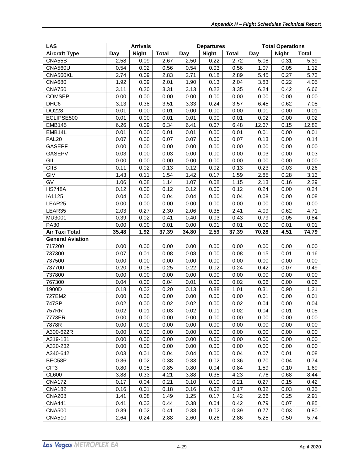| <b>LAS</b>              | <b>Arrivals</b> |              | <b>Departures</b> |       |              | <b>Total Operations</b> |       |              |              |
|-------------------------|-----------------|--------------|-------------------|-------|--------------|-------------------------|-------|--------------|--------------|
| <b>Aircraft Type</b>    | Day             | <b>Night</b> | <b>Total</b>      | Day   | <b>Night</b> | <b>Total</b>            | Day   | <b>Night</b> | <b>Total</b> |
| CNA55B                  | 2.58            | 0.09         | 2.67              | 2.50  | 0.22         | 2.72                    | 5.08  | 0.31         | 5.39         |
| <b>CNA560U</b>          | 0.54            | 0.02         | 0.56              | 0.54  | 0.03         | 0.56                    | 1.07  | 0.05         | 1.12         |
| CNA560XL                | 2.74            | 0.09         | 2.83              | 2.71  | 0.18         | 2.89                    | 5.45  | 0.27         | 5.73         |
| <b>CNA680</b>           | 1.92            | 0.09         | 2.01              | 1.90  | 0.13         | 2.04                    | 3.83  | 0.22         | 4.05         |
| <b>CNA750</b>           | 3.11            | 0.20         | 3.31              | 3.13  | 0.22         | 3.35                    | 6.24  | 0.42         | 6.66         |
| <b>COMSEP</b>           | 0.00            | 0.00         | 0.00              | 0.00  | 0.00         | 0.00                    | 0.00  | 0.00         | 0.00         |
| DHC <sub>6</sub>        | 3.13            | 0.38         | 3.51              | 3.33  | 0.24         | 3.57                    | 6.45  | 0.62         | 7.08         |
| DO228                   | 0.01            | 0.00         | 0.01              | 0.00  | 0.00         | 0.00                    | 0.01  | 0.00         | 0.01         |
| ECLIPSE500              | 0.01            | 0.00         | 0.01              | 0.01  | 0.00         | 0.01                    | 0.02  | 0.00         | 0.02         |
| <b>EMB145</b>           | 6.26            | 0.09         | 6.34              | 6.41  | 0.07         | 6.48                    | 12.67 | 0.15         | 12.82        |
| EMB14L                  | 0.01            | 0.00         | 0.01              | 0.01  | 0.00         | 0.01                    | 0.01  | 0.00         | 0.01         |
| FAL <sub>20</sub>       | 0.07            | 0.00         | 0.07              | 0.07  | 0.00         | 0.07                    | 0.13  | 0.00         | 0.14         |
| <b>GASEPF</b>           | 0.00            | 0.00         | 0.00              | 0.00  | 0.00         | 0.00                    | 0.00  | 0.00         | 0.00         |
| <b>GASEPV</b>           | 0.03            | 0.00         | 0.03              | 0.00  | 0.00         | 0.00                    | 0.03  | 0.00         | 0.03         |
| GII                     | 0.00            | 0.00         | 0.00              | 0.00  | 0.00         | 0.00                    | 0.00  | 0.00         | 0.00         |
| GIIB                    | 0.11            | 0.02         | 0.13              | 0.12  | 0.02         | 0.13                    | 0.23  | 0.03         | 0.26         |
| GIV                     | 1.43            | 0.11         | 1.54              | 1.42  | 0.17         | 1.59                    | 2.85  | 0.28         | 3.13         |
| GV                      | 1.06            | 0.08         | 1.14              | 1.07  | 0.08         | 1.15                    | 2.13  | 0.16         | 2.29         |
| <b>HS748A</b>           | 0.12            | 0.00         | 0.12              | 0.12  | 0.00         | 0.12                    | 0.24  | 0.00         | 0.24         |
| IA1125                  | 0.04            | 0.00         | 0.04              | 0.04  | 0.00         | 0.04                    | 0.08  | 0.00         | 0.08         |
| LEAR25                  | 0.00            | 0.00         | 0.00              | 0.00  | 0.00         | 0.00                    | 0.00  | 0.00         | 0.00         |
| LEAR35                  | 2.03            | 0.27         | 2.30              | 2.06  | 0.35         | 2.41                    | 4.09  | 0.62         | 4.71         |
| MU3001                  | 0.39            | 0.02         | 0.41              | 0.40  | 0.03         | 0.43                    | 0.79  | 0.05         | 0.84         |
| <b>PA30</b>             | 0.00            | 0.00         | 0.01              | 0.00  | 0.01         | 0.01                    | 0.00  | 0.01         | 0.01         |
| <b>Air Taxi Total</b>   | 35.48           | 1.92         | 37.39             | 34.80 | 2.59         | 37.39                   | 70.28 | 4.51         | 74.79        |
| <b>General Aviation</b> |                 |              |                   |       |              |                         |       |              |              |
| 717200                  | 0.00            | 0.00         | 0.00              | 0.00  | 0.00         | 0.00                    | 0.00  | 0.00         | 0.00         |
| 737300                  | 0.07            | 0.01         | 0.08              | 0.08  | 0.00         | 0.08                    | 0.15  | 0.01         | 0.16         |
| 737500                  | 0.00            | 0.00         | 0.00              | 0.00  | 0.00         | 0.00                    | 0.00  | 0.00         | 0.00         |
| 737700                  | 0.20            | 0.05         | 0.25              | 0.22  | 0.02         | 0.24                    | 0.42  | 0.07         | 0.49         |
| 737800                  | 0.00            | 0.00         | 0.00              | 0.00  | 0.00         | 0.00                    | 0.00  | 0.00         | 0.00         |
| 767300                  | 0.04            | 0.00         | 0.04              | 0.01  | 0.00         | 0.02                    | 0.06  | 0.00         | 0.06         |
| 1900D                   | 0.18            | 0.02         | 0.20              | 0.13  | 0.88         | 1.01                    | 0.31  | 0.90         | 1.21         |
| 727EM2                  | 0.00            | 0.00         | 0.00              | 0.00  | 0.00         | 0.00                    | 0.01  | 0.00         | 0.01         |
| 747SP                   | 0.02            | 0.00         | 0.02              | 0.02  | 0.00         | 0.02                    | 0.04  | 0.00         | 0.04         |
| 757RR                   | 0.02            | 0.01         | 0.03              | 0.02  | 0.01         | 0.02                    | 0.04  | 0.01         | 0.05         |
| 7773ER                  | 0.00            | 0.00         | 0.00              | 0.00  | 0.00         | 0.00                    | 0.00  | 0.00         | 0.00         |
| 7878R                   | 0.00            | 0.00         | 0.00              | 0.00  | 0.00         | 0.00                    | 0.00  | 0.00         | 0.00         |
| A300-622R               | 0.00            | 0.00         | 0.00              | 0.00  | 0.00         | 0.00                    | 0.00  | 0.00         | 0.00         |
| A319-131                | 0.00            | 0.00         | 0.00              | 0.00  | 0.00         | 0.00                    | 0.00  | 0.00         | 0.00         |
| A320-232                | 0.00            | 0.00         | 0.00              | 0.00  | 0.00         | 0.00                    | 0.00  | 0.00         | 0.00         |
| A340-642                | 0.03            | 0.01         | 0.04              | 0.04  | 0.00         | 0.04                    | 0.07  | 0.01         | 0.08         |
| BEC58P                  | 0.36            | 0.02         | 0.38              | 0.33  | 0.02         | 0.36                    | 0.70  | 0.04         | 0.74         |
| CIT <sub>3</sub>        | 0.80            | 0.05         | 0.85              | 0.80  | 0.04         | 0.84                    | 1.59  | 0.10         | 1.69         |
| <b>CL600</b>            | 3.88            | 0.33         | 4.21              | 3.88  | 0.35         | 4.23                    | 7.76  | 0.68         | 8.44         |
| <b>CNA172</b>           | 0.17            | 0.04         | 0.21              | 0.10  | 0.10         | 0.21                    | 0.27  | 0.15         | 0.42         |
| <b>CNA182</b>           | 0.16            | 0.01         | 0.18              | 0.16  | 0.02         | 0.17                    | 0.32  | 0.03         | 0.35         |
| <b>CNA208</b>           | 1.41            | 0.08         | 1.49              | 1.25  | 0.17         | 1.42                    | 2.66  | 0.25         | 2.91         |
| <b>CNA441</b>           | 0.41            | 0.03         | 0.44              | 0.38  | 0.04         | 0.42                    | 0.79  | 0.07         | 0.85         |
| <b>CNA500</b>           | 0.39            | 0.02         | 0.41              | 0.38  | 0.02         | 0.39                    | 0.77  | 0.03         | 0.80         |
| <b>CNA510</b>           | 2.64            | 0.24         | 2.88              | 2.60  | 0.26         | 2.86                    | 5.25  | 0.50         | 5.74         |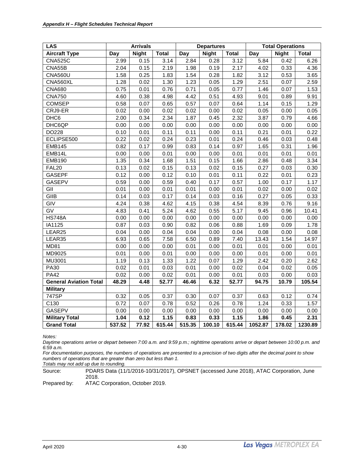| <b>LAS</b>                    | <b>Arrivals</b> |              |              |                   | <b>Departures</b> |              |         | <b>Total Operations</b> |              |  |
|-------------------------------|-----------------|--------------|--------------|-------------------|-------------------|--------------|---------|-------------------------|--------------|--|
| <b>Aircraft Type</b>          | Day             | <b>Night</b> | <b>Total</b> | Day               | <b>Night</b>      | <b>Total</b> | Day     | <b>Night</b>            | <b>Total</b> |  |
| <b>CNA525C</b>                | 2.99            | 0.15         | 3.14         | 2.84              | 0.28              | 3.12         | 5.84    | 0.42                    | 6.26         |  |
| CNA55B                        | 2.04            | 0.15         | 2.19         | 1.98              | 0.19              | 2.17         | 4.02    | 0.33                    | 4.36         |  |
| <b>CNA560U</b>                | 1.58            | 0.25         | 1.83         | 1.54              | 0.28              | 1.82         | 3.12    | 0.53                    | 3.65         |  |
| CNA560XL                      | 1.28            | 0.02         | 1.30         | $\overline{1.23}$ | 0.05              | 1.29         | 2.51    | 0.07                    | 2.59         |  |
| <b>CNA680</b>                 | 0.75            | 0.01         | 0.76         | 0.71              | 0.05              | 0.77         | 1.46    | 0.07                    | 1.53         |  |
| <b>CNA750</b>                 | 4.60            | 0.38         | 4.98         | 4.42              | 0.51              | 4.93         | 9.01    | 0.89                    | 9.91         |  |
| <b>COMSEP</b>                 | 0.58            | 0.07         | 0.65         | 0.57              | 0.07              | 0.64         | 1.14    | 0.15                    | 1.29         |  |
| CRJ9-ER                       | 0.02            | 0.00         | 0.02         | 0.02              | 0.00              | 0.02         | 0.05    | 0.00                    | 0.05         |  |
| DHC6                          | 2.00            | 0.34         | 2.34         | 1.87              | 0.45              | 2.32         | 3.87    | 0.79                    | 4.66         |  |
| DHC6QP                        | 0.00            | 0.00         | 0.00         | 0.00              | 0.00              | 0.00         | 0.00    | 0.00                    | 0.00         |  |
| DO228                         | 0.10            | 0.01         | 0.11         | 0.11              | 0.00              | 0.11         | 0.21    | 0.01                    | 0.22         |  |
| ECLIPSE500                    | 0.22            | 0.02         | 0.24         | 0.23              | 0.01              | 0.24         | 0.46    | 0.03                    | 0.48         |  |
| <b>EMB145</b>                 | 0.82            | 0.17         | 0.99         | 0.83              | 0.14              | 0.97         | 1.65    | 0.31                    | 1.96         |  |
| EMB14L                        | 0.00            | 0.00         | 0.01         | 0.00              | 0.00              | 0.01         | 0.01    | 0.01                    | 0.01         |  |
| <b>EMB190</b>                 | 1.35            | 0.34         | 1.68         | 1.51              | 0.15              | 1.66         | 2.86    | 0.48                    | 3.34         |  |
| <b>FAL20</b>                  | 0.13            | 0.02         | 0.15         | 0.13              | 0.02              | 0.15         | 0.27    | 0.03                    | 0.30         |  |
| <b>GASEPF</b>                 | 0.12            | 0.00         | 0.12         | 0.10              | 0.01              | 0.11         | 0.22    | 0.01                    | 0.23         |  |
| <b>GASEPV</b>                 | 0.59            | 0.00         | 0.59         | 0.40              | 0.17              | 0.57         | 1.00    | 0.17                    | 1.17         |  |
| GII                           | 0.01            | 0.00         | 0.01         | 0.01              | 0.00              | 0.01         | 0.02    | 0.00                    | 0.02         |  |
| GIIB                          | 0.14            | 0.03         | 0.17         | 0.14              | 0.03              | 0.16         | 0.27    | 0.05                    | 0.33         |  |
| GIV                           | 4.24            | 0.38         | 4.62         | 4.15              | 0.38              | 4.54         | 8.39    | 0.76                    | 9.16         |  |
| $\overline{GV}$               | 4.83            | 0.41         | 5.24         | 4.62              | 0.55              | 5.17         | 9.45    | 0.96                    | 10.41        |  |
| <b>HS748A</b>                 | 0.00            | 0.00         | 0.00         | 0.00              | 0.00              | 0.00         | 0.00    | 0.00                    | 0.00         |  |
| IA1125                        | 0.87            | 0.03         | 0.90         | 0.82              | 0.06              | 0.88         | 1.69    | 0.09                    | 1.78         |  |
| LEAR25                        | 0.04            | 0.00         | 0.04         | 0.04              | 0.00              | 0.04         | 0.08    | 0.00                    | 0.08         |  |
| LEAR35                        | 6.93            | 0.65         | 7.58         | 6.50              | 0.89              | 7.40         | 13.43   | 1.54                    | 14.97        |  |
| <b>MD81</b>                   | 0.00            | 0.00         | 0.00         | 0.01              | 0.00              | 0.01         | 0.01    | 0.00                    | 0.01         |  |
| MD9025                        | 0.01            | 0.00         | 0.01         | 0.00              | 0.00              | 0.00         | 0.01    | 0.00                    | 0.01         |  |
| MU3001                        | 1.19            | 0.13         | 1.33         | 1.22              | 0.07              | 1.29         | 2.42    | 0.20                    | 2.62         |  |
| <b>PA30</b>                   | 0.02            | 0.01         | 0.03         | 0.01              | 0.00              | 0.02         | 0.04    | 0.02                    | 0.05         |  |
| <b>PA42</b>                   | 0.02            | 0.00         | 0.02         | 0.01              | 0.00              | 0.01         | 0.03    | 0.00                    | 0.03         |  |
| <b>General Aviation Total</b> | 48.29           | 4.48         | 52.77        | 46.46             | 6.32              | 52.77        | 94.75   | 10.79                   | 105.54       |  |
| <b>Military</b>               |                 |              |              |                   |                   |              |         |                         |              |  |
| 747SP                         | 0.32            | 0.05         | 0.37         | 0.30              | 0.07              | 0.37         | 0.63    | 0.12                    | 0.74         |  |
| C130                          | 0.72            | 0.07         | 0.78         | 0.52              | 0.26              | 0.78         | 1.24    | 0.33                    | 1.57         |  |
| GASEPV                        | 0.00            | 0.00         | 0.00         | 0.00              | 0.00              | 0.00         | 0.00    | 0.00                    | 0.00         |  |
| <b>Military Total</b>         | 1.04            | 0.12         | 1.15         | 0.83              | 0.33              | 1.15         | 1.86    | 0.45                    | 2.31         |  |
| <b>Grand Total</b>            | 537.52          | 77.92        | 615.44       | 515.35            | 100.10            | 615.44       | 1052.87 | 178.02                  | 1230.89      |  |

*Daytime operations arrive or depart between 7:00 a.m. and 9:59 p.m.; nighttime operations arrive or depart between 10:00 p.m. and 6:59 a.m.*

*For documentation purposes, the numbers of operations are presented to a precision of two digits after the decimal point to show numbers of operations that are greater than zero but less than 1.*

*Totals may not add up due to rounding.*

Source: PDARS Data (11/1/2016-10/31/2017), OPSNET (accessed June 2018), ATAC Corporation, June 2018.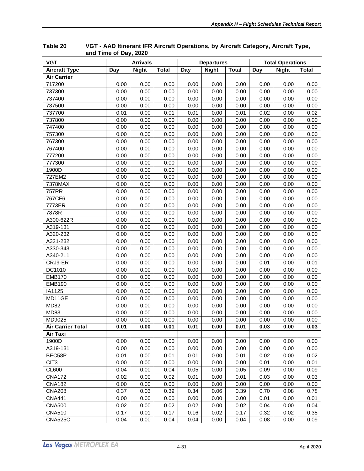| <b>VGT</b>               | <b>Arrivals</b> |              |              | <b>Departures</b> |              | <b>Total Operations</b> |      |              |              |
|--------------------------|-----------------|--------------|--------------|-------------------|--------------|-------------------------|------|--------------|--------------|
| <b>Aircraft Type</b>     | Day             | <b>Night</b> | <b>Total</b> | Day               | <b>Night</b> | <b>Total</b>            | Day  | <b>Night</b> | <b>Total</b> |
| <b>Air Carrier</b>       |                 |              |              |                   |              |                         |      |              |              |
| 717200                   | 0.00            | 0.00         | 0.00         | 0.00              | 0.00         | 0.00                    | 0.00 | 0.00         | 0.00         |
| 737300                   | 0.00            | 0.00         | 0.00         | 0.00              | 0.00         | 0.00                    | 0.00 | 0.00         | 0.00         |
| 737400                   | 0.00            | 0.00         | 0.00         | 0.00              | 0.00         | 0.00                    | 0.00 | 0.00         | 0.00         |
| 737500                   | 0.00            | 0.00         | 0.00         | 0.00              | 0.00         | 0.00                    | 0.00 | 0.00         | 0.00         |
| 737700                   | 0.01            | 0.00         | 0.01         | 0.01              | 0.00         | 0.01                    | 0.02 | 0.00         | 0.02         |
| 737800                   | 0.00            | 0.00         | 0.00         | 0.00              | 0.00         | 0.00                    | 0.00 | 0.00         | 0.00         |
| 747400                   | 0.00            | 0.00         | 0.00         | 0.00              | 0.00         | 0.00                    | 0.00 | 0.00         | 0.00         |
| 757300                   | 0.00            | 0.00         | 0.00         | 0.00              | 0.00         | 0.00                    | 0.00 | 0.00         | 0.00         |
| 767300                   | 0.00            | 0.00         | 0.00         | 0.00              | 0.00         | 0.00                    | 0.00 | 0.00         | 0.00         |
| 767400                   | 0.00            | 0.00         | 0.00         | 0.00              | 0.00         | 0.00                    | 0.00 | 0.00         | 0.00         |
| 777200                   | 0.00            | 0.00         | 0.00         | 0.00              | 0.00         | 0.00                    | 0.00 | 0.00         | 0.00         |
| 777300                   | 0.00            | 0.00         | 0.00         | 0.00              | 0.00         | 0.00                    | 0.00 | 0.00         | 0.00         |
| 1900D                    | 0.00            | 0.00         | 0.00         | 0.00              | 0.00         | 0.00                    | 0.00 | 0.00         | 0.00         |
| 727EM2                   | 0.00            | 0.00         | 0.00         | 0.00              | 0.00         | 0.00                    | 0.00 | 0.00         | 0.00         |
| 7378MAX                  | 0.00            | 0.00         | 0.00         | 0.00              | 0.00         | 0.00                    | 0.00 | 0.00         | 0.00         |
| <b>757RR</b>             | 0.00            | 0.00         | 0.00         | 0.00              | 0.00         | 0.00                    | 0.00 | 0.00         | 0.00         |
| 767CF6                   | 0.00            | 0.00         | 0.00         | 0.00              | 0.00         | 0.00                    | 0.00 | 0.00         | 0.00         |
| 7773ER                   | 0.00            | 0.00         | 0.00         | 0.00              | 0.00         | 0.00                    | 0.00 | 0.00         | 0.00         |
| 7878R                    | 0.00            | 0.00         | 0.00         | 0.00              | 0.00         | 0.00                    | 0.00 | 0.00         | 0.00         |
| A300-622R                | 0.00            | 0.00         | 0.00         | 0.00              | 0.00         | 0.00                    | 0.00 | 0.00         | 0.00         |
| A319-131                 | 0.00            | 0.00         | 0.00         | 0.00              | 0.00         | 0.00                    | 0.00 | 0.00         | 0.00         |
| A320-232                 | 0.00            | 0.00         | 0.00         | 0.00              | 0.00         | 0.00                    | 0.00 | 0.00         | 0.00         |
| A321-232                 | 0.00            | 0.00         | 0.00         | 0.00              | 0.00         | 0.00                    | 0.00 | 0.00         | 0.00         |
| A330-343                 | 0.00            | 0.00         | 0.00         | 0.00              | 0.00         | 0.00                    | 0.00 | 0.00         | 0.00         |
| A340-211                 | 0.00            | 0.00         | 0.00         | 0.00              | 0.00         | 0.00                    | 0.00 | 0.00         | 0.00         |
| CRJ9-ER                  | 0.00            | 0.00         | 0.00         | 0.00              | 0.00         | 0.00                    | 0.01 | 0.00         | 0.01         |
| DC1010                   | 0.00            | 0.00         | 0.00         | 0.00              | 0.00         | 0.00                    | 0.00 | 0.00         | 0.00         |
| <b>EMB170</b>            | 0.00            | 0.00         | 0.00         | 0.00              | 0.00         | 0.00                    | 0.00 | 0.00         | 0.00         |
| <b>EMB190</b>            | 0.00            | 0.00         | 0.00         | 0.00              | 0.00         | 0.00                    | 0.00 | 0.00         | 0.00         |
| IA1125                   | 0.00            | 0.00         | 0.00         | 0.00              | 0.00         | 0.00                    | 0.00 | 0.00         | 0.00         |
| MD11GE                   | 0.00            | 0.00         | 0.00         | 0.00              | 0.00         | 0.00                    | 0.00 | 0.00         | 0.00         |
| <b>MD82</b>              | 0.00            | 0.00         | 0.00         | 0.00              | 0.00         | 0.00                    | 0.00 | 0.00         | 0.00         |
| MD83                     | 0.00            | 0.00         | 0.00         | 0.00              | 0.00         | 0.00                    | 0.00 | 0.00         | 0.00         |
| MD9025                   | 0.00            | 0.00         | 0.00         | 0.00              | 0.00         | 0.00                    | 0.00 | 0.00         | 0.00         |
| <b>Air Carrier Total</b> | 0.01            | 0.00         | 0.01         | 0.01              | 0.00         | 0.01                    | 0.03 | 0.00         | 0.03         |
| Air Taxi                 |                 |              |              |                   |              |                         |      |              |              |
| 1900D                    | 0.00            | 0.00         | 0.00         | 0.00              | 0.00         | 0.00                    | 0.00 | 0.00         | 0.00         |
| A319-131                 | 0.00            | 0.00         | 0.00         | 0.00              | 0.00         | 0.00                    | 0.00 | 0.00         | 0.00         |
| BEC58P                   | 0.01            | 0.00         | 0.01         | 0.01              | 0.00         | 0.01                    | 0.02 | 0.00         | 0.02         |
| CIT <sub>3</sub>         | 0.00            | 0.00         | 0.00         | 0.00              | 0.00         | 0.00                    | 0.01 | 0.00         | 0.01         |
| <b>CL600</b>             | 0.04            | 0.00         | 0.04         | 0.05              | 0.00         | 0.05                    | 0.09 | 0.00         | 0.09         |
| <b>CNA172</b>            | 0.02            | 0.00         | 0.02         | 0.01              | 0.00         | 0.01                    | 0.03 | 0.00         | 0.03         |
| <b>CNA182</b>            | 0.00            | 0.00         | 0.00         | 0.00              | 0.00         | 0.00                    | 0.00 | 0.00         | 0.00         |
| <b>CNA208</b>            | 0.37            | 0.03         | 0.39         | 0.34              | 0.06         | 0.39                    | 0.70 | 0.08         | 0.78         |
| <b>CNA441</b>            | 0.00            | 0.00         | 0.00         | 0.00              | 0.00         | 0.00                    | 0.01 | 0.00         | 0.01         |
| <b>CNA500</b>            | 0.02            | 0.00         | 0.02         | 0.02              | 0.00         | 0.02                    | 0.04 | 0.00         | 0.04         |
| <b>CNA510</b>            | 0.17            | 0.01         | 0.17         | 0.16              | 0.02         | 0.17                    | 0.32 | 0.02         | 0.35         |
| <b>CNA525C</b>           | 0.04            | 0.00         | 0.04         | 0.04              | 0.00         | 0.04                    | 0.08 | 0.00         | 0.09         |

<span id="page-36-0"></span>**Table 20 VGT - AAD Itinerant IFR Aircraft Operations, by Aircraft Category, Aircraft Type, and Time of Day, 2020**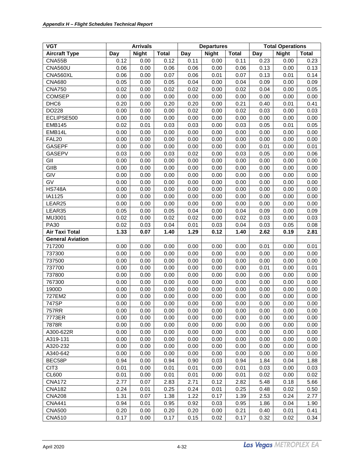| <b>VGT</b>              | <b>Arrivals</b> |              |              |      | <b>Departures</b> |              | <b>Total Operations</b> |              |              |  |
|-------------------------|-----------------|--------------|--------------|------|-------------------|--------------|-------------------------|--------------|--------------|--|
| <b>Aircraft Type</b>    | Day             | <b>Night</b> | <b>Total</b> | Day  | <b>Night</b>      | <b>Total</b> | Day                     | <b>Night</b> | <b>Total</b> |  |
| CNA55B                  | 0.12            | 0.00         | 0.12         | 0.11 | 0.00              | 0.11         | 0.23                    | 0.00         | 0.23         |  |
| <b>CNA560U</b>          | 0.06            | 0.00         | 0.06         | 0.06 | 0.00              | 0.06         | 0.13                    | 0.00         | 0.13         |  |
| CNA560XL                | 0.06            | 0.00         | 0.07         | 0.06 | 0.01              | 0.07         | 0.13                    | 0.01         | 0.14         |  |
| <b>CNA680</b>           | 0.05            | 0.00         | 0.05         | 0.04 | 0.00              | 0.04         | 0.09                    | 0.00         | 0.09         |  |
| <b>CNA750</b>           | 0.02            | 0.00         | 0.02         | 0.02 | 0.00              | 0.02         | 0.04                    | 0.00         | 0.05         |  |
| <b>COMSEP</b>           | 0.00            | 0.00         | 0.00         | 0.00 | 0.00              | 0.00         | 0.00                    | 0.00         | 0.00         |  |
| DHC <sub>6</sub>        | 0.20            | 0.00         | 0.20         | 0.20 | 0.00              | 0.21         | 0.40                    | 0.01         | 0.41         |  |
| DO228                   | 0.00            | 0.00         | 0.00         | 0.02 | 0.00              | 0.02         | 0.03                    | 0.00         | 0.03         |  |
| ECLIPSE500              | 0.00            | 0.00         | 0.00         | 0.00 | 0.00              | 0.00         | 0.00                    | 0.00         | 0.00         |  |
| <b>EMB145</b>           | 0.02            | 0.01         | 0.03         | 0.03 | 0.00              | 0.03         | 0.05                    | 0.01         | 0.05         |  |
| EMB14L                  | 0.00            | 0.00         | 0.00         | 0.00 | 0.00              | 0.00         | 0.00                    | 0.00         | 0.00         |  |
| <b>FAL20</b>            | 0.00            | 0.00         | 0.00         | 0.00 | 0.00              | 0.00         | 0.00                    | 0.00         | 0.00         |  |
| <b>GASEPF</b>           | 0.00            | 0.00         | 0.00         | 0.00 | 0.00              | 0.00         | 0.01                    | 0.00         | 0.01         |  |
| GASEPV                  | 0.03            | 0.00         | 0.03         | 0.02 | 0.00              | 0.03         | 0.05                    | 0.00         | 0.06         |  |
| GII                     | 0.00            | 0.00         | 0.00         | 0.00 | 0.00              | 0.00         | 0.00                    | 0.00         | 0.00         |  |
| GIIB                    | 0.00            | 0.00         | 0.00         | 0.00 | 0.00              | 0.00         | 0.00                    | 0.00         | 0.00         |  |
| GIV                     | 0.00            | 0.00         | 0.00         | 0.00 | 0.00              | 0.00         | 0.00                    | 0.00         | 0.00         |  |
| GV                      | 0.00            | 0.00         | 0.00         | 0.00 | 0.00              | 0.00         | 0.00                    | 0.00         | 0.00         |  |
| <b>HS748A</b>           | 0.00            | 0.00         | 0.00         | 0.00 | 0.00              | 0.00         | 0.00                    | 0.00         | 0.00         |  |
| IA1125                  | 0.00            | 0.00         | 0.00         | 0.00 | 0.00              | 0.00         | 0.00                    | 0.00         | 0.00         |  |
| LEAR25                  | 0.00            | 0.00         | 0.00         | 0.00 | 0.00              | 0.00         | 0.00                    | 0.00         | 0.00         |  |
| LEAR35                  | 0.05            | 0.00         | 0.05         | 0.04 | 0.00              | 0.04         | 0.09                    | 0.00         | 0.09         |  |
| MU3001                  | 0.02            | 0.00         | 0.02         | 0.02 | 0.00              | 0.02         | 0.03                    | 0.00         | 0.03         |  |
| PA30                    | 0.02            | 0.03         | 0.04         | 0.01 | 0.03              | 0.04         | 0.03                    | 0.05         | 0.08         |  |
| Air Taxi Total          | 1.33            | 0.07         | 1.40         | 1.29 | 0.12              | 1.40         | 2.62                    | 0.19         | 2.81         |  |
| <b>General Aviation</b> |                 |              |              |      |                   |              |                         |              |              |  |
| 717200                  | 0.00            | 0.00         | 0.00         | 0.00 | 0.00              | 0.00         | 0.01                    | 0.00         | 0.01         |  |
| 737300                  | 0.00            | 0.00         | 0.00         | 0.00 | 0.00              | 0.00         | 0.00                    | 0.00         | 0.00         |  |
| 737500                  | 0.00            | 0.00         | 0.00         | 0.00 | 0.00              | 0.00         | 0.00                    | 0.00         | 0.00         |  |
| 737700                  | 0.00            | 0.00         | 0.00         | 0.00 | 0.00              | 0.00         | 0.01                    | 0.00         | 0.01         |  |
| 737800                  | 0.00            | 0.00         | 0.00         | 0.00 | 0.00              | 0.00         | 0.00                    | 0.00         | 0.00         |  |
| 767300                  | 0.00            | 0.00         | 0.00         | 0.00 | 0.00              | 0.00         | 0.00                    | 0.00         | 0.00         |  |
| 1900D                   | 0.00            | 0.00         | 0.00         | 0.00 | 0.00              | 0.00         | 0.00                    | 0.00         | 0.00         |  |
| 727EM2                  | 0.00            | 0.00         | 0.00         | 0.00 | 0.00              | 0.00         | 0.00                    | 0.00         | 0.00         |  |
| 747SP                   | 0.00            | 0.00         | 0.00         | 0.00 | 0.00              | 0.00         | 0.00                    | 0.00         | 0.00         |  |
| 757RR                   | 0.00            | 0.00         | 0.00         | 0.00 | 0.00              | 0.00         | 0.00                    | 0.00         | 0.00         |  |
| 7773ER                  | 0.00            | 0.00         | 0.00         | 0.00 | 0.00              | 0.00         | 0.00                    | 0.00         | 0.00         |  |
| 7878R                   | 0.00            | 0.00         | 0.00         | 0.00 | 0.00              | 0.00         | 0.00                    | 0.00         | 0.00         |  |
| A300-622R               | 0.00            | 0.00         | 0.00         | 0.00 | 0.00              | 0.00         | 0.00                    | 0.00         | 0.00         |  |
| A319-131                | 0.00            | 0.00         | 0.00         | 0.00 | 0.00              | 0.00         | 0.00                    | 0.00         | 0.00         |  |
| A320-232                | 0.00            | 0.00         | 0.00         | 0.00 | 0.00              | 0.00         | 0.00                    | 0.00         | 0.00         |  |
| A340-642                | 0.00            | 0.00         | 0.00         | 0.00 | 0.00              | 0.00         | 0.00                    | 0.00         | 0.00         |  |
| BEC58P                  | 0.94            | 0.00         | 0.94         | 0.90 | 0.03              | 0.94         | 1.84                    | 0.04         | 1.88         |  |
| CIT <sub>3</sub>        | 0.01            | 0.00         | 0.01         | 0.01 | 0.00              | 0.01         | 0.03                    | 0.00         | 0.03         |  |
| CL600                   | 0.01            | 0.00         | 0.01         | 0.01 | 0.00              | 0.01         | 0.02                    | 0.00         | 0.02         |  |
| <b>CNA172</b>           | 2.77            | 0.07         | 2.83         | 2.71 | 0.12              | 2.82         | 5.48                    | 0.18         | 5.66         |  |
| <b>CNA182</b>           | 0.24            | 0.01         | 0.25         | 0.24 | 0.01              | 0.25         | 0.48                    | 0.02         | 0.50         |  |
| <b>CNA208</b>           | 1.31            | 0.07         | 1.38         | 1.22 | 0.17              | 1.39         | 2.53                    | 0.24         | 2.77         |  |
| <b>CNA441</b>           | 0.94            | 0.01         | 0.95         | 0.92 | 0.03              | 0.95         | 1.86                    | 0.04         | 1.90         |  |
| <b>CNA500</b>           | 0.20            | 0.00         | 0.20         | 0.20 | 0.00              | 0.21         | 0.40                    | 0.01         | 0.41         |  |
| <b>CNA510</b>           | 0.17            | 0.00         | 0.17         | 0.15 | 0.02              | 0.17         | 0.32                    | 0.02         | 0.34         |  |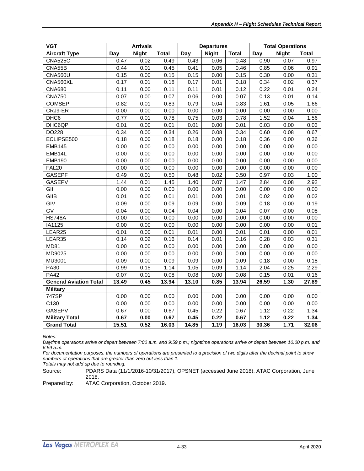| <b>VGT</b>                    | <b>Arrivals</b> |              |              | <b>Departures</b> |              |       | <b>Total Operations</b> |              |              |
|-------------------------------|-----------------|--------------|--------------|-------------------|--------------|-------|-------------------------|--------------|--------------|
| <b>Aircraft Type</b>          | Day             | <b>Night</b> | <b>Total</b> | Day               | <b>Night</b> | Total | Day                     | <b>Night</b> | <b>Total</b> |
| <b>CNA525C</b>                | 0.47            | 0.02         | 0.49         | 0.43              | 0.06         | 0.48  | 0.90                    | 0.07         | 0.97         |
| CNA55B                        | 0.44            | 0.01         | 0.45         | 0.41              | 0.05         | 0.46  | 0.85                    | 0.06         | 0.91         |
| <b>CNA560U</b>                | 0.15            | 0.00         | 0.15         | 0.15              | 0.00         | 0.15  | 0.30                    | 0.00         | 0.31         |
| CNA560XL                      | 0.17            | 0.01         | 0.18         | 0.17              | 0.01         | 0.18  | 0.34                    | 0.02         | 0.37         |
| <b>CNA680</b>                 | 0.11            | 0.00         | 0.11         | 0.11              | 0.01         | 0.12  | 0.22                    | 0.01         | 0.24         |
| <b>CNA750</b>                 | 0.07            | 0.00         | 0.07         | 0.06              | 0.00         | 0.07  | 0.13                    | 0.01         | 0.14         |
| <b>COMSEP</b>                 | 0.82            | 0.01         | 0.83         | 0.79              | 0.04         | 0.83  | 1.61                    | 0.05         | 1.66         |
| CRJ9-ER                       | 0.00            | 0.00         | 0.00         | 0.00              | 0.00         | 0.00  | 0.00                    | 0.00         | 0.00         |
| DHC <sub>6</sub>              | 0.77            | 0.01         | 0.78         | 0.75              | 0.03         | 0.78  | 1.52                    | 0.04         | 1.56         |
| DHC6QP                        | 0.01            | 0.00         | 0.01         | 0.01              | 0.00         | 0.01  | 0.03                    | 0.00         | 0.03         |
| DO228                         | 0.34            | 0.00         | 0.34         | 0.26              | 0.08         | 0.34  | 0.60                    | 0.08         | 0.67         |
| ECLIPSE500                    | 0.18            | 0.00         | 0.18         | 0.18              | 0.00         | 0.18  | 0.36                    | 0.00         | 0.36         |
| <b>EMB145</b>                 | 0.00            | 0.00         | 0.00         | 0.00              | 0.00         | 0.00  | 0.00                    | 0.00         | 0.00         |
| EMB14L                        | 0.00            | 0.00         | 0.00         | 0.00              | 0.00         | 0.00  | 0.00                    | 0.00         | 0.00         |
| <b>EMB190</b>                 | 0.00            | 0.00         | 0.00         | 0.00              | 0.00         | 0.00  | 0.00                    | 0.00         | 0.00         |
| <b>FAL20</b>                  | 0.00            | 0.00         | 0.00         | 0.00              | 0.00         | 0.00  | 0.00                    | 0.00         | 0.00         |
| <b>GASEPF</b>                 | 0.49            | 0.01         | 0.50         | 0.48              | 0.02         | 0.50  | 0.97                    | 0.03         | 1.00         |
| <b>GASEPV</b>                 | 1.44            | 0.01         | 1.45         | 1.40              | 0.07         | 1.47  | 2.84                    | 0.08         | 2.92         |
| GII                           | 0.00            | 0.00         | 0.00         | 0.00              | 0.00         | 0.00  | 0.00                    | 0.00         | 0.00         |
| GIIB                          | 0.01            | 0.00         | 0.01         | 0.01              | 0.00         | 0.01  | 0.02                    | 0.00         | 0.02         |
| GIV                           | 0.09            | 0.00         | 0.09         | 0.09              | 0.00         | 0.09  | 0.18                    | 0.00         | 0.19         |
| $\overline{GV}$               | 0.04            | 0.00         | 0.04         | 0.04              | 0.00         | 0.04  | 0.07                    | 0.00         | 0.08         |
| <b>HS748A</b>                 | 0.00            | 0.00         | 0.00         | 0.00              | 0.00         | 0.00  | 0.00                    | 0.00         | 0.00         |
| IA1125                        | 0.00            | 0.00         | 0.00         | 0.00              | 0.00         | 0.00  | 0.00                    | 0.00         | 0.01         |
| LEAR25                        | 0.01            | 0.00         | 0.01         | 0.01              | 0.00         | 0.01  | 0.01                    | 0.00         | 0.01         |
| LEAR35                        | 0.14            | 0.02         | 0.16         | 0.14              | 0.01         | 0.16  | 0.28                    | 0.03         | 0.31         |
| <b>MD81</b>                   | 0.00            | 0.00         | 0.00         | 0.00              | 0.00         | 0.00  | 0.00                    | 0.00         | 0.00         |
| MD9025                        | 0.00            | 0.00         | 0.00         | 0.00              | 0.00         | 0.00  | 0.00                    | 0.00         | 0.00         |
| MU3001                        | 0.09            | 0.00         | 0.09         | 0.09              | 0.00         | 0.09  | 0.18                    | 0.00         | 0.18         |
| <b>PA30</b>                   | 0.99            | 0.15         | 1.14         | 1.05              | 0.09         | 1.14  | 2.04                    | 0.25         | 2.29         |
| <b>PA42</b>                   | 0.07            | 0.01         | 0.08         | 0.08              | 0.00         | 0.08  | 0.15                    | 0.01         | 0.16         |
| <b>General Aviation Total</b> | 13.49           | 0.45         | 13.94        | 13.10             | 0.85         | 13.94 | 26.59                   | 1.30         | 27.89        |
| <b>Military</b>               |                 |              |              |                   |              |       |                         |              |              |
| 747SP                         | 0.00            | 0.00         | 0.00         | 0.00              | 0.00         | 0.00  | 0.00                    | 0.00         | 0.00         |
| C130                          | 0.00            | 0.00         | 0.00         | 0.00              | 0.00         | 0.00  | 0.00                    | 0.00         | 0.00         |
| <b>GASEPV</b>                 | 0.67            | 0.00         | 0.67         | 0.45              | 0.22         | 0.67  | 1.12                    | 0.22         | 1.34         |
| <b>Military Total</b>         | 0.67            | 0.00         | 0.67         | 0.45              | 0.22         | 0.67  | 1.12                    | 0.22         | 1.34         |
| <b>Grand Total</b>            | 15.51           | 0.52         | 16.03        | 14.85             | 1.19         | 16.03 | 30.36                   | 1.71         | 32.06        |

*Daytime operations arrive or depart between 7:00 a.m. and 9:59 p.m.; nighttime operations arrive or depart between 10:00 p.m. and 6:59 a.m.*

*For documentation purposes, the numbers of operations are presented to a precision of two digits after the decimal point to show numbers of operations that are greater than zero but less than 1.*

*Totals may not add up due to rounding.*

Source: PDARS Data (11/1/2016-10/31/2017), OPSNET (accessed June 2018), ATAC Corporation, June 2018.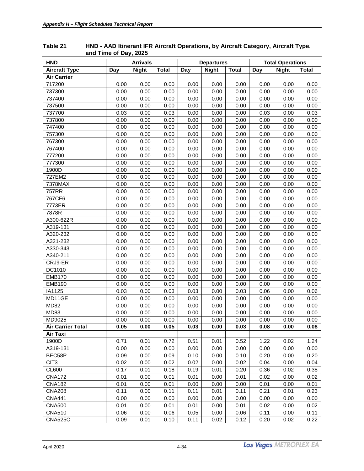| <b>HND</b>               | <b>Arrivals</b> |              |              |      | <b>Departures</b> |              | <b>Total Operations</b> |              |              |  |
|--------------------------|-----------------|--------------|--------------|------|-------------------|--------------|-------------------------|--------------|--------------|--|
| <b>Aircraft Type</b>     | Day             | <b>Night</b> | <b>Total</b> | Day  | <b>Night</b>      | <b>Total</b> | Day                     | <b>Night</b> | <b>Total</b> |  |
| <b>Air Carrier</b>       |                 |              |              |      |                   |              |                         |              |              |  |
| 717200                   | 0.00            | 0.00         | 0.00         | 0.00 | 0.00              | 0.00         | 0.00                    | 0.00         | 0.00         |  |
| 737300                   | 0.00            | 0.00         | 0.00         | 0.00 | 0.00              | 0.00         | 0.00                    | 0.00         | 0.00         |  |
| 737400                   | 0.00            | 0.00         | 0.00         | 0.00 | 0.00              | 0.00         | 0.00                    | 0.00         | 0.00         |  |
| 737500                   | 0.00            | 0.00         | 0.00         | 0.00 | 0.00              | 0.00         | 0.00                    | 0.00         | 0.00         |  |
| 737700                   | 0.03            | 0.00         | 0.03         | 0.00 | 0.00              | 0.00         | 0.03                    | 0.00         | 0.03         |  |
| 737800                   | 0.00            | 0.00         | 0.00         | 0.00 | 0.00              | 0.00         | 0.00                    | 0.00         | 0.00         |  |
| 747400                   | 0.00            | 0.00         | 0.00         | 0.00 | 0.00              | 0.00         | 0.00                    | 0.00         | 0.00         |  |
| 757300                   | 0.00            | 0.00         | 0.00         | 0.00 | 0.00              | 0.00         | 0.00                    | 0.00         | 0.00         |  |
| 767300                   | 0.00            | 0.00         | 0.00         | 0.00 | 0.00              | 0.00         | 0.00                    | 0.00         | 0.00         |  |
| 767400                   | 0.00            | 0.00         | 0.00         | 0.00 | 0.00              | 0.00         | 0.00                    | 0.00         | 0.00         |  |
| 777200                   | 0.00            | 0.00         | 0.00         | 0.00 | 0.00              | 0.00         | 0.00                    | 0.00         | 0.00         |  |
| 777300                   | 0.00            | 0.00         | 0.00         | 0.00 | 0.00              | 0.00         | 0.00                    | 0.00         | 0.00         |  |
| 1900D                    | 0.00            | 0.00         | 0.00         | 0.00 | 0.00              | 0.00         | 0.00                    | 0.00         | 0.00         |  |
| 727EM2                   | 0.00            | 0.00         | 0.00         | 0.00 | 0.00              | 0.00         | 0.00                    | 0.00         | 0.00         |  |
| 7378MAX                  | 0.00            | 0.00         | 0.00         | 0.00 | 0.00              | 0.00         | 0.00                    | 0.00         | 0.00         |  |
| 757RR                    | 0.00            | 0.00         | 0.00         | 0.00 | 0.00              | 0.00         | 0.00                    | 0.00         | 0.00         |  |
| 767CF6                   | 0.00            | 0.00         | 0.00         | 0.00 | 0.00              | 0.00         | 0.00                    | 0.00         | 0.00         |  |
| 7773ER                   | 0.00            | 0.00         | 0.00         | 0.00 | 0.00              | 0.00         | 0.00                    | 0.00         | 0.00         |  |
| 7878R                    | 0.00            | 0.00         | 0.00         | 0.00 | 0.00              | 0.00         | 0.00                    | 0.00         | 0.00         |  |
| A300-622R                | 0.00            | 0.00         | 0.00         | 0.00 | 0.00              | 0.00         | 0.00                    | 0.00         | 0.00         |  |
| A319-131                 | 0.00            | 0.00         | 0.00         | 0.00 | 0.00              | 0.00         | 0.00                    | 0.00         | 0.00         |  |
| A320-232                 | 0.00            | 0.00         | 0.00         | 0.00 | 0.00              | 0.00         | 0.00                    | 0.00         | 0.00         |  |
| A321-232                 | 0.00            | 0.00         | 0.00         | 0.00 | 0.00              | 0.00         | 0.00                    | 0.00         | 0.00         |  |
| A330-343                 | 0.00            | 0.00         | 0.00         | 0.00 | 0.00              | 0.00         | 0.00                    | 0.00         | 0.00         |  |
| A340-211                 | 0.00            | 0.00         | 0.00         | 0.00 | 0.00              | 0.00         | 0.00                    | 0.00         | 0.00         |  |
| CRJ9-ER                  | 0.00            | 0.00         | 0.00         | 0.00 | 0.00              | 0.00         | 0.00                    | 0.00         | 0.00         |  |
| DC1010                   | 0.00            | 0.00         | 0.00         | 0.00 | 0.00              | 0.00         | 0.00                    | 0.00         | 0.00         |  |
| <b>EMB170</b>            | 0.00            | 0.00         | 0.00         | 0.00 | 0.00              | 0.00         | 0.00                    | 0.00         | 0.00         |  |
| <b>EMB190</b>            | 0.00            | 0.00         | 0.00         | 0.00 | 0.00              | 0.00         | 0.00                    | 0.00         | 0.00         |  |
| IA1125                   | 0.03            | 0.00         | 0.03         | 0.03 | 0.00              | 0.03         | 0.06                    | 0.00         | 0.06         |  |
| MD11GE                   | 0.00            | 0.00         | 0.00         | 0.00 | 0.00              | 0.00         | 0.00                    | 0.00         | 0.00         |  |
| <b>MD82</b>              | 0.00            | 0.00         | 0.00         | 0.00 | 0.00              | 0.00         | 0.00                    | 0.00         | 0.00         |  |
| <b>MD83</b>              | 0.00            | 0.00         | 0.00         | 0.00 | 0.00              | 0.00         | 0.00                    | 0.00         | 0.00         |  |
| MD9025                   | 0.00            | 0.00         | 0.00         | 0.00 | 0.00              | 0.00         | 0.00                    | 0.00         | 0.00         |  |
| <b>Air Carrier Total</b> | 0.05            | 0.00         | 0.05         | 0.03 | 0.00              | 0.03         | 0.08                    | 0.00         | 0.08         |  |
| Air Taxi                 |                 |              |              |      |                   |              |                         |              |              |  |
| 1900D                    | 0.71            | 0.01         | 0.72         | 0.51 | 0.01              | 0.52         | 1.22                    | 0.02         | 1.24         |  |
| A319-131                 | 0.00            | 0.00         | 0.00         | 0.00 | 0.00              | 0.00         | 0.00                    | 0.00         | 0.00         |  |
| BEC58P                   | 0.09            | 0.00         | 0.09         | 0.10 | 0.00              | 0.10         | 0.20                    | 0.00         | 0.20         |  |
| CIT <sub>3</sub>         | 0.02            | 0.00         | 0.02         | 0.02 | 0.00              | 0.02         | 0.04                    | 0.00         | 0.04         |  |
| <b>CL600</b>             | 0.17            | 0.01         | 0.18         | 0.19 | 0.01              | 0.20         | 0.36                    | 0.02         | 0.38         |  |
| <b>CNA172</b>            | 0.01            | 0.00         | 0.01         | 0.01 | 0.00              | 0.01         | 0.02                    | 0.00         | 0.02         |  |
| <b>CNA182</b>            | 0.01            | 0.00         | 0.01         | 0.00 | 0.00              | 0.00         | 0.01                    | 0.00         | 0.01         |  |
| <b>CNA208</b>            | 0.11            | 0.00         | 0.11         | 0.11 | 0.01              | 0.11         | 0.21                    | 0.01         | 0.23         |  |
| <b>CNA441</b>            | 0.00            | 0.00         | 0.00         | 0.00 | 0.00              | 0.00         | 0.00                    | 0.00         | 0.00         |  |
| <b>CNA500</b>            | 0.01            | 0.00         | 0.01         | 0.01 | 0.00              | 0.01         | 0.02                    | 0.00         | 0.02         |  |
| <b>CNA510</b>            | 0.06            | 0.00         | 0.06         | 0.05 | 0.00              | 0.06         | 0.11                    | 0.00         | 0.11         |  |
| <b>CNA525C</b>           | 0.09            | 0.01         | 0.10         | 0.11 | 0.02              | 0.12         | 0.20                    | 0.02         | 0.22         |  |

#### <span id="page-39-0"></span>**Table 21 HND - AAD Itinerant IFR Aircraft Operations, by Aircraft Category, Aircraft Type, and Time of Day, 2025**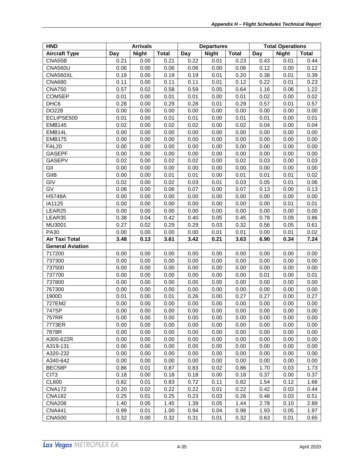| <b>HND</b>              | <b>Arrivals</b> |              |              | <b>Departures</b> |              | <b>Total Operations</b> |      |              |              |
|-------------------------|-----------------|--------------|--------------|-------------------|--------------|-------------------------|------|--------------|--------------|
| <b>Aircraft Type</b>    | Day             | <b>Night</b> | <b>Total</b> | Day               | <b>Night</b> | <b>Total</b>            | Day  | <b>Night</b> | <b>Total</b> |
| CNA55B                  | 0.21            | 0.00         | 0.21         | 0.22              | 0.01         | 0.23                    | 0.43 | 0.01         | 0.44         |
| <b>CNA560U</b>          | 0.06            | 0.00         | 0.06         | 0.06              | 0.00         | 0.06                    | 0.12 | 0.00         | 0.12         |
| CNA560XL                | 0.19            | 0.00         | 0.19         | 0.19              | 0.01         | 0.20                    | 0.38 | 0.01         | 0.39         |
| <b>CNA680</b>           | 0.11            | 0.00         | 0.11         | 0.11              | 0.01         | 0.12                    | 0.22 | 0.01         | 0.23         |
| <b>CNA750</b>           | 0.57            | 0.02         | 0.58         | 0.59              | 0.05         | 0.64                    | 1.16 | 0.06         | 1.22         |
| <b>COMSEP</b>           | 0.01            | 0.00         | 0.01         | 0.01              | 0.00         | 0.01                    | 0.02 | 0.00         | 0.02         |
| DHC6                    | 0.28            | 0.00         | 0.29         | 0.28              | 0.01         | 0.29                    | 0.57 | 0.01         | 0.57         |
| DO228                   | 0.00            | 0.00         | 0.00         | 0.00              | 0.00         | 0.00                    | 0.00 | 0.00         | 0.00         |
| ECLIPSE500              | 0.01            | 0.00         | 0.01         | 0.01              | 0.00         | 0.01                    | 0.01 | 0.00         | 0.01         |
| <b>EMB145</b>           | 0.02            | 0.00         | 0.02         | 0.02              | 0.00         | 0.02                    | 0.04 | 0.00         | 0.04         |
| EMB14L                  | 0.00            | 0.00         | 0.00         | 0.00              | 0.00         | 0.00                    | 0.00 | 0.00         | 0.00         |
| <b>EMB175</b>           | 0.00            | 0.00         | 0.00         | 0.00              | 0.00         | 0.00                    | 0.00 | 0.00         | 0.00         |
| <b>FAL20</b>            | 0.00            | 0.00         | 0.00         | 0.00              | 0.00         | 0.00                    | 0.00 | 0.00         | 0.00         |
| <b>GASEPF</b>           | 0.00            | 0.00         | 0.00         | 0.00              | 0.00         | 0.00                    | 0.00 | 0.00         | 0.00         |
| <b>GASEPV</b>           | 0.02            | 0.00         | 0.02         | 0.02              | 0.00         | 0.02                    | 0.03 | 0.00         | 0.03         |
| GII                     | 0.00            | 0.00         | 0.00         | 0.00              | 0.00         | 0.00                    | 0.00 | 0.00         | 0.00         |
| GIIB                    | 0.00            | 0.00         | 0.01         | 0.01              | 0.00         | 0.01                    | 0.01 | 0.01         | 0.02         |
| GIV                     | 0.02            | 0.00         | 0.02         | 0.03              | 0.01         | 0.03                    | 0.05 | 0.01         | 0.06         |
| GV                      | 0.06            | 0.00         | 0.06         | 0.07              | 0.00         | 0.07                    | 0.13 | 0.00         | 0.13         |
| <b>HS748A</b>           | 0.00            | 0.00         | 0.00         | 0.00              | 0.00         | 0.00                    | 0.00 | 0.00         | 0.00         |
| IA1125                  | 0.00            | 0.00         | 0.00         | 0.00              | 0.00         | 0.00                    | 0.00 | 0.01         | 0.01         |
| LEAR25                  | 0.00            | 0.00         | 0.00         | 0.00              | 0.00         | 0.00                    | 0.00 | 0.00         | 0.00         |
| LEAR35                  | 0.38            | 0.04         | 0.42         | 0.40              | 0.05         | 0.45                    | 0.78 | 0.09         | 0.86         |
| MU3001                  | 0.27            | 0.02         | 0.29         | 0.29              | 0.03         | 0.32                    | 0.56 | 0.05         | 0.61         |
| <b>PA30</b>             | 0.00            | 0.00         | 0.00         | 0.00              | 0.01         | 0.01                    | 0.00 | 0.01         | 0.02         |
| <b>Air Taxi Total</b>   | 3.48            | 0.13         | 3.61         | 3.42              | 0.21         | 3.63                    | 6.90 | 0.34         | 7.24         |
| <b>General Aviation</b> |                 |              |              |                   |              |                         |      |              |              |
| 717200                  | 0.00            | 0.00         | 0.00         | 0.00              | 0.00         | 0.00                    | 0.00 | 0.00         | 0.00         |
| 737300                  | 0.00            | 0.00         | 0.00         | 0.00              | 0.00         | 0.00                    | 0.00 | 0.00         | 0.00         |
| 737500                  | 0.00            | 0.00         | 0.00         | 0.00              | 0.00         | 0.00                    | 0.00 | 0.00         | 0.00         |
| 737700                  | 0.00            | 0.00         | 0.00         | 0.00              | 0.00         | 0.00                    | 0.01 | 0.00         | 0.01         |
| 737800                  | 0.00            | 0.00         | 0.00         | 0.00              | 0.00         | 0.00                    | 0.00 | 0.00         | 0.00         |
| 767300                  | 0.00            | 0.00         | 0.00         | 0.00              | 0.00         | 0.00                    | 0.00 | 0.00         | 0.00         |
| 1900D                   | 0.01            | 0.00         | 0.01         | 0.26              | 0.00         | 0.27                    | 0.27 | 0.00         | 0.27         |
| 727EM2                  | 0.00            | 0.00         | 0.00         | 0.00              | 0.00         | 0.00                    | 0.00 | 0.00         | 0.00         |
| 747SP                   | 0.00            | 0.00         | 0.00         | 0.00              | 0.00         | 0.00                    | 0.00 | 0.00         | 0.00         |
| 757RR                   | 0.00            | 0.00         | 0.00         | 0.00              | 0.00         | 0.00                    | 0.00 | 0.00         | 0.00         |
| 7773ER                  | 0.00            | 0.00         | 0.00         | 0.00              | 0.00         | 0.00                    | 0.00 | 0.00         | 0.00         |
| 7878R                   | 0.00            | 0.00         | 0.00         | 0.00              | 0.00         | 0.00                    | 0.00 | 0.00         | 0.00         |
| A300-622R               | 0.00            | 0.00         | 0.00         | 0.00              | 0.00         | 0.00                    | 0.00 | 0.00         | 0.00         |
| A319-131                | 0.00            | 0.00         | 0.00         | 0.00              | 0.00         | 0.00                    | 0.00 | 0.00         | 0.00         |
| A320-232                | 0.00            | 0.00         | 0.00         | 0.00              | 0.00         | 0.00                    | 0.00 | 0.00         | 0.00         |
| A340-642                | 0.00            | 0.00         | 0.00         | 0.00              | 0.00         | 0.00                    | 0.00 | 0.00         | 0.00         |
| BEC58P                  | 0.86            | 0.01         | 0.87         | 0.83              | 0.02         | 0.86                    | 1.70 | 0.03         | 1.73         |
| CIT <sub>3</sub>        | 0.18            | 0.00         | 0.18         | 0.18              | 0.00         | 0.18                    | 0.37 | 0.00         | 0.37         |
| <b>CL600</b>            | 0.82            | 0.01         | 0.83         | 0.72              | 0.11         | 0.82                    | 1.54 | 0.12         | 1.66         |
| <b>CNA172</b>           | 0.20            | 0.02         | 0.22         | 0.22              | 0.01         | 0.22                    | 0.42 | 0.03         | 0.44         |
| <b>CNA182</b>           | 0.25            | 0.01         | 0.25         | 0.23              | 0.03         | 0.26                    | 0.48 | 0.03         | 0.51         |
| <b>CNA208</b>           | 1.40            | 0.05         | 1.45         | 1.39              | 0.05         | 1.44                    | 2.78 | 0.10         | 2.89         |
| <b>CNA441</b>           | 0.99            | 0.01         | 1.00         | 0.94              | 0.04         | 0.98                    | 1.93 | 0.05         | 1.97         |
| <b>CNA500</b>           | 0.32            | 0.00         | 0.32         | 0.31              | 0.01         | 0.32                    | 0.63 | 0.01         | 0.65         |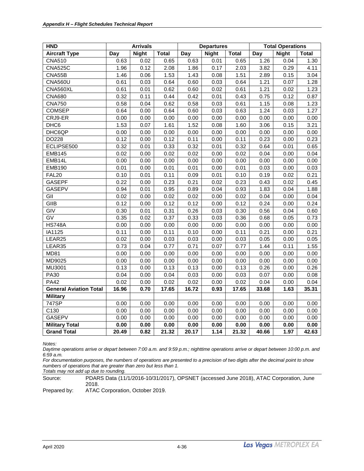| <b>HND</b>                    | <b>Arrivals</b> |              |              | <b>Departures</b> |              |              | <b>Total Operations</b> |              |              |
|-------------------------------|-----------------|--------------|--------------|-------------------|--------------|--------------|-------------------------|--------------|--------------|
| <b>Aircraft Type</b>          | Day             | <b>Night</b> | <b>Total</b> | Day               | <b>Night</b> | <b>Total</b> | Day                     | <b>Night</b> | <b>Total</b> |
| <b>CNA510</b>                 | 0.63            | 0.02         | 0.65         | 0.63              | 0.01         | 0.65         | 1.26                    | 0.04         | 1.30         |
| CNA525C                       | 1.96            | 0.12         | 2.08         | 1.86              | 0.17         | 2.03         | 3.82                    | 0.29         | 4.11         |
| CNA55B                        | 1.46            | 0.06         | 1.53         | 1.43              | 0.08         | 1.51         | 2.89                    | 0.15         | 3.04         |
| <b>CNA560U</b>                | 0.61            | 0.03         | 0.64         | 0.60              | 0.03         | 0.64         | 1.21                    | 0.07         | 1.28         |
| CNA560XL                      | 0.61            | 0.01         | 0.62         | 0.60              | 0.02         | 0.61         | 1.21                    | 0.02         | 1.23         |
| <b>CNA680</b>                 | 0.32            | 0.11         | 0.44         | 0.42              | 0.01         | 0.43         | 0.75                    | 0.12         | 0.87         |
| <b>CNA750</b>                 | 0.58            | 0.04         | 0.62         | 0.58              | 0.03         | 0.61         | 1.15                    | 0.08         | 1.23         |
| <b>COMSEP</b>                 | 0.64            | 0.00         | 0.64         | 0.60              | 0.03         | 0.63         | 1.24                    | 0.03         | 1.27         |
| CRJ9-ER                       | 0.00            | 0.00         | 0.00         | 0.00              | 0.00         | 0.00         | 0.00                    | 0.00         | 0.00         |
| DHC6                          | 1.53            | 0.07         | 1.61         | 1.52              | 0.08         | 1.60         | 3.06                    | 0.15         | 3.21         |
| DHC6QP                        | 0.00            | 0.00         | 0.00         | 0.00              | 0.00         | 0.00         | 0.00                    | 0.00         | 0.00         |
| DO228                         | 0.12            | 0.00         | 0.12         | 0.11              | 0.00         | 0.11         | 0.23                    | 0.00         | 0.23         |
| ECLIPSE500                    | 0.32            | 0.01         | 0.33         | 0.32              | 0.01         | 0.32         | 0.64                    | 0.01         | 0.65         |
| <b>EMB145</b>                 | 0.02            | 0.00         | 0.02         | 0.02              | 0.00         | 0.02         | 0.04                    | 0.00         | 0.04         |
| EMB14L                        | 0.00            | 0.00         | 0.00         | 0.00              | 0.00         | 0.00         | 0.00                    | 0.00         | 0.00         |
| <b>EMB190</b>                 | 0.01            | 0.00         | 0.01         | 0.01              | 0.00         | 0.01         | 0.03                    | 0.00         | 0.03         |
| FAL <sub>20</sub>             | 0.10            | 0.01         | 0.11         | 0.09              | 0.01         | 0.10         | 0.19                    | 0.02         | 0.21         |
| <b>GASEPF</b>                 | 0.22            | 0.00         | 0.23         | 0.21              | 0.02         | 0.23         | 0.43                    | 0.02         | 0.45         |
| <b>GASEPV</b>                 | 0.94            | 0.01         | 0.95         | 0.89              | 0.04         | 0.93         | 1.83                    | 0.04         | 1.88         |
| GII                           | 0.02            | 0.00         | 0.02         | 0.02              | 0.00         | 0.02         | 0.04                    | 0.00         | 0.04         |
| GIIB                          | 0.12            | 0.00         | 0.12         | 0.12              | 0.00         | 0.12         | 0.24                    | 0.00         | 0.24         |
| GIV                           | 0.30            | 0.01         | 0.31         | 0.26              | 0.03         | 0.30         | 0.56                    | 0.04         | 0.60         |
| $\overline{GV}$               | 0.35            | 0.02         | 0.37         | 0.33              | 0.03         | 0.36         | 0.68                    | 0.05         | 0.73         |
| <b>HS748A</b>                 | 0.00            | 0.00         | 0.00         | 0.00              | 0.00         | 0.00         | 0.00                    | 0.00         | 0.00         |
| IA1125                        | 0.11            | 0.00         | 0.11         | 0.10              | 0.00         | 0.11         | 0.21                    | 0.00         | 0.21         |
| LEAR25                        | 0.02            | 0.00         | 0.03         | 0.03              | 0.00         | 0.03         | 0.05                    | 0.00         | 0.05         |
| LEAR35                        | 0.73            | 0.04         | 0.77         | 0.71              | 0.07         | 0.77         | 1.44                    | 0.11         | 1.55         |
| <b>MD81</b>                   | 0.00            | 0.00         | 0.00         | 0.00              | 0.00         | 0.00         | 0.00                    | 0.00         | 0.00         |
| MD9025                        | 0.00            | 0.00         | 0.00         | 0.00              | 0.00         | 0.00         | 0.00                    | 0.00         | 0.00         |
| MU3001                        | 0.13            | 0.00         | 0.13         | 0.13              | 0.00         | 0.13         | 0.26                    | 0.00         | 0.26         |
| <b>PA30</b>                   | 0.04            | 0.00         | 0.04         | 0.03              | 0.00         | 0.03         | 0.07                    | 0.00         | 0.08         |
| <b>PA42</b>                   | 0.02            | 0.00         | 0.02         | 0.02              | 0.00         | 0.02         | 0.04                    | 0.00         | 0.04         |
| <b>General Aviation Total</b> | 16.96           | 0.70         | 17.65        | 16.72             | 0.93         | 17.65        | 33.68                   | 1.63         | 35.31        |
| <b>Military</b>               |                 |              |              |                   |              |              |                         |              |              |
| 747SP                         | 0.00            | 0.00         | 0.00         | 0.00              | 0.00         | 0.00         | 0.00                    | 0.00         | 0.00         |
| C130                          | 0.00            | 0.00         | 0.00         | 0.00              | 0.00         | 0.00         | 0.00                    | 0.00         | 0.00         |
| <b>GASEPV</b>                 | 0.00            | 0.00         | 0.00         | 0.00              | 0.00         | 0.00         | 0.00                    | 0.00         | 0.00         |
| <b>Military Total</b>         | 0.00            | 0.00         | 0.00         | 0.00              | 0.00         | 0.00         | 0.00                    | 0.00         | 0.00         |
| <b>Grand Total</b>            | 20.49           | 0.82         | 21.32        | 20.17             | 1.14         | 21.32        | 40.66                   | 1.97         | 42.63        |

*Daytime operations arrive or depart between 7:00 a.m. and 9:59 p.m.; nighttime operations arrive or depart between 10:00 p.m. and 6:59 a.m.*

*For documentation purposes, the numbers of operations are presented to a precision of two digits after the decimal point to show numbers of operations that are greater than zero but less than 1.*

*Totals may not add up due to rounding.*

Source: PDARS Data (11/1/2016-10/31/2017), OPSNET (accessed June 2018), ATAC Corporation, June 2018.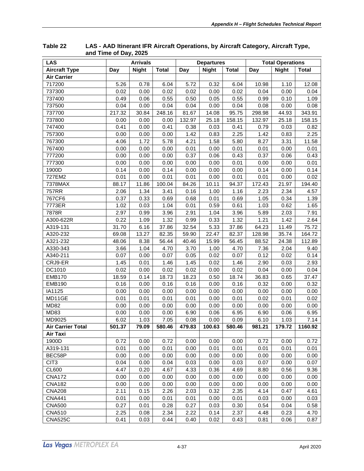| <b>LAS</b>               | <b>Arrivals</b> |              | <b>Departures</b> |        |              | <b>Total Operations</b> |        |              |              |
|--------------------------|-----------------|--------------|-------------------|--------|--------------|-------------------------|--------|--------------|--------------|
| <b>Aircraft Type</b>     | Day             | <b>Night</b> | <b>Total</b>      | Day    | <b>Night</b> | <b>Total</b>            | Day    | <b>Night</b> | <b>Total</b> |
| <b>Air Carrier</b>       |                 |              |                   |        |              |                         |        |              |              |
| 717200                   | 5.26            | 0.78         | 6.04              | 5.72   | 0.32         | 6.04                    | 10.98  | 1.10         | 12.08        |
| 737300                   | 0.02            | 0.00         | 0.02              | 0.02   | 0.00         | 0.02                    | 0.04   | 0.00         | 0.04         |
| 737400                   | 0.49            | 0.06         | 0.55              | 0.50   | 0.05         | 0.55                    | 0.99   | 0.10         | 1.09         |
| 737500                   | 0.04            | 0.00         | 0.04              | 0.04   | 0.00         | 0.04                    | 0.08   | 0.00         | 0.08         |
| 737700                   | 217.32          | 30.84        | 248.16            | 81.67  | 14.08        | 95.75                   | 298.98 | 44.93        | 343.91       |
| 737800                   | 0.00            | 0.00         | 0.00              | 132.97 | 25.18        | 158.15                  | 132.97 | 25.18        | 158.15       |
| 747400                   | 0.41            | 0.00         | 0.41              | 0.38   | 0.03         | 0.41                    | 0.79   | 0.03         | 0.82         |
| 757300                   | 0.00            | 0.00         | 0.00              | 1.42   | 0.83         | 2.25                    | 1.42   | 0.83         | 2.25         |
| 767300                   | 4.06            | 1.72         | 5.78              | 4.21   | 1.58         | 5.80                    | 8.27   | 3.31         | 11.58        |
| 767400                   | 0.00            | 0.00         | 0.00              | 0.01   | 0.00         | 0.01                    | 0.01   | 0.00         | 0.01         |
| 777200                   | 0.00            | 0.00         | 0.00              | 0.37   | 0.06         | 0.43                    | 0.37   | 0.06         | 0.43         |
| 777300                   | 0.00            | 0.00         | 0.00              | 0.00   | 0.00         | 0.01                    | 0.00   | 0.00         | 0.01         |
| 1900D                    | 0.14            | 0.00         | 0.14              | 0.00   | 0.00         | 0.00                    | 0.14   | 0.00         | 0.14         |
| 727EM2                   | 0.01            | 0.00         | 0.01              | 0.01   | 0.00         | 0.01                    | 0.01   | 0.00         | 0.02         |
| 7378MAX                  | 88.17           | 11.86        | 100.04            | 84.26  | 10.11        | 94.37                   | 172.43 | 21.97        | 194.40       |
| 757RR                    | 2.06            | 1.34         | 3.41              | 0.16   | 1.00         | 1.16                    | 2.23   | 2.34         | 4.57         |
| 767CF6                   | 0.37            | 0.33         | 0.69              | 0.68   | 0.01         | 0.69                    | 1.05   | 0.34         | 1.39         |
| 7773ER                   | 1.02            | 0.03         | 1.04              | 0.01   | 0.59         | 0.61                    | 1.03   | 0.62         | 1.65         |
| 7878R                    | 2.97            | 0.99         | 3.96              | 2.91   | 1.04         | 3.96                    | 5.89   | 2.03         | 7.91         |
| A300-622R                | 0.22            | 1.09         | 1.32              | 0.99   | 0.33         | 1.32                    | 1.21   | 1.42         | 2.64         |
| A319-131                 | 31.70           | 6.16         | 37.86             | 32.54  | 5.33         | 37.86                   | 64.23  | 11.49        | 75.72        |
| A320-232                 | 69.08           | 13.27        | 82.35             | 59.90  | 22.47        | 82.37                   | 128.98 | 35.74        | 164.72       |
| A321-232                 | 48.06           | 8.38         | 56.44             | 40.46  | 15.99        | 56.45                   | 88.52  | 24.38        | 112.89       |
| A330-343                 | 3.66            | 1.04         | 4.70              | 3.70   | 1.00         | 4.70                    | 7.36   | 2.04         | 9.40         |
| A340-211                 | 0.07            | 0.00         | 0.07              | 0.05   | 0.02         | 0.07                    | 0.12   | 0.02         | 0.14         |
| CRJ9-ER                  | 1.45            | 0.01         | 1.46              | 1.45   | 0.02         | 1.46                    | 2.90   | 0.03         | 2.93         |
| DC1010                   | 0.02            | 0.00         | 0.02              | 0.02   | 0.00         | 0.02                    | 0.04   | 0.00         | 0.04         |
| <b>EMB170</b>            | 18.59           | 0.14         | 18.73             | 18.23  | 0.50         | 18.74                   | 36.83  | 0.65         | 37.47        |
| <b>EMB190</b>            | 0.16            | 0.00         | 0.16              | 0.16   | 0.00         | 0.16                    | 0.32   | 0.00         | 0.32         |
| IA1125                   | 0.00            | 0.00         | 0.00              | 0.00   | 0.00         | 0.00                    | 0.00   | 0.00         | 0.00         |
| MD11GE                   | 0.01            | 0.01         | 0.01              | 0.01   | 0.00         | 0.01                    | 0.02   | 0.01         | 0.02         |
| <b>MD82</b>              | 0.00            | 0.00         | 0.00              | 0.00   | 0.00         | 0.00                    | 0.00   | 0.00         | 0.00         |
| <b>MD83</b>              | 0.00            | 0.00         | 0.00              | 6.90   | 0.06         | 6.95                    | 6.90   | 0.06         | 6.95         |
| MD9025                   | 6.02            | 1.03         | 7.05              | 0.08   | 0.00         | 0.09                    | 6.10   | 1.03         | 7.14         |
| <b>Air Carrier Total</b> | 501.37          | 79.09        | 580.46            | 479.83 | 100.63       | 580.46                  | 981.21 | 179.72       | 1160.92      |
| Air Taxi                 |                 |              |                   |        |              |                         |        |              |              |
| 1900D                    | 0.72            | 0.00         | 0.72              | 0.00   | 0.00         | 0.00                    | 0.72   | 0.00         | 0.72         |
| A319-131                 | 0.01            | 0.00         | 0.01              | 0.00   | 0.01         | 0.01                    | 0.01   | 0.01         | 0.01         |
| BEC58P                   | 0.00            | 0.00         | 0.00              | 0.00   | 0.00         | 0.00                    | 0.00   | 0.00         | 0.00         |
| CIT <sub>3</sub>         | 0.04            | 0.00         | 0.04              | 0.03   | 0.00         | 0.03                    | 0.07   | 0.00         | 0.07         |
| CL600                    | 4.47            | 0.20         | 4.67              | 4.33   | 0.36         | 4.69                    | 8.80   | 0.56         | 9.36         |
| <b>CNA172</b>            | 0.00            | 0.00         | 0.00              | 0.00   | 0.00         | 0.00                    | 0.00   | 0.00         | 0.00         |
| <b>CNA182</b>            | 0.00            | 0.00         | 0.00              | 0.00   | 0.00         | 0.00                    | 0.00   | 0.00         | 0.00         |
| <b>CNA208</b>            | 2.11            | 0.15         | 2.26              | 2.03   | 0.32         | 2.35                    | 4.14   | 0.47         | 4.61         |
| <b>CNA441</b>            | 0.01            | 0.00         | 0.01              | 0.01   | 0.00         | 0.01                    | 0.03   | 0.00         | 0.03         |
| <b>CNA500</b>            | 0.27            | 0.01         | 0.28              | 0.27   | 0.03         | 0.30                    | 0.54   | 0.04         | 0.58         |
| <b>CNA510</b>            | 2.25            | 0.08         | 2.34              | 2.22   | 0.14         | 2.37                    | 4.48   | 0.23         | 4.70         |
| <b>CNA525C</b>           | 0.41            | 0.03         | 0.44              | 0.40   | 0.02         | 0.43                    | 0.81   | 0.06         | 0.87         |

<span id="page-42-0"></span>**Table 22 LAS - AAD Itinerant IFR Aircraft Operations, by Aircraft Category, Aircraft Type, and Time of Day, 2025**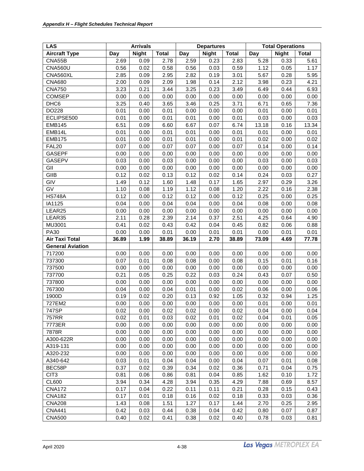| <b>LAS</b>              | <b>Arrivals</b> |              |              | <b>Departures</b> |              | <b>Total Operations</b> |       |              |              |
|-------------------------|-----------------|--------------|--------------|-------------------|--------------|-------------------------|-------|--------------|--------------|
| <b>Aircraft Type</b>    | Day             | <b>Night</b> | <b>Total</b> | Day               | <b>Night</b> | <b>Total</b>            | Day   | <b>Night</b> | <b>Total</b> |
| CNA55B                  | 2.69            | 0.09         | 2.78         | 2.59              | 0.23         | 2.83                    | 5.28  | 0.33         | 5.61         |
| <b>CNA560U</b>          | 0.56            | 0.02         | 0.58         | 0.56              | 0.03         | 0.59                    | 1.12  | 0.05         | 1.17         |
| CNA560XL                | 2.85            | 0.09         | 2.95         | 2.82              | 0.19         | 3.01                    | 5.67  | 0.28         | 5.95         |
| <b>CNA680</b>           | 2.00            | 0.09         | 2.09         | 1.98              | 0.14         | 2.12                    | 3.98  | 0.23         | 4.21         |
| <b>CNA750</b>           | 3.23            | 0.21         | 3.44         | 3.25              | 0.23         | 3.49                    | 6.49  | 0.44         | 6.93         |
| <b>COMSEP</b>           | 0.00            | 0.00         | 0.00         | 0.00              | 0.00         | 0.00                    | 0.00  | 0.00         | 0.00         |
| DHC <sub>6</sub>        | 3.25            | 0.40         | 3.65         | 3.46              | 0.25         | 3.71                    | 6.71  | 0.65         | 7.36         |
| DO228                   | 0.01            | 0.00         | 0.01         | 0.00              | 0.00         | 0.00                    | 0.01  | 0.00         | 0.01         |
| ECLIPSE500              | 0.01            | 0.00         | 0.01         | 0.01              | 0.00         | 0.01                    | 0.03  | 0.00         | 0.03         |
| <b>EMB145</b>           | 6.51            | 0.09         | 6.60         | 6.67              | 0.07         | 6.74                    | 13.18 | 0.16         | 13.34        |
| EMB14L                  | 0.01            | 0.00         | 0.01         | 0.01              | 0.00         | 0.01                    | 0.01  | 0.00         | 0.01         |
| <b>EMB175</b>           | 0.01            | 0.00         | 0.01         | 0.01              | 0.00         | 0.01                    | 0.02  | 0.00         | 0.02         |
| <b>FAL20</b>            | 0.07            | 0.00         | 0.07         | 0.07              | 0.00         | 0.07                    | 0.14  | 0.00         | 0.14         |
| <b>GASEPF</b>           | 0.00            | 0.00         | 0.00         | 0.00              | 0.00         | 0.00                    | 0.00  | 0.00         | 0.00         |
| <b>GASEPV</b>           | 0.03            | 0.00         | 0.03         | 0.00              | 0.00         | 0.00                    | 0.03  | 0.00         | 0.03         |
| GII                     | 0.00            | 0.00         | 0.00         | 0.00              | 0.00         | 0.00                    | 0.00  | 0.00         | 0.00         |
| GIIB                    | 0.12            | 0.02         | 0.13         | 0.12              | 0.02         | 0.14                    | 0.24  | 0.03         | 0.27         |
| GIV                     | 1.49            | 0.12         | 1.60         | 1.48              | 0.17         | 1.65                    | 2.97  | 0.29         | 3.26         |
| GV                      | 1.10            | 0.08         | 1.19         | 1.12              | 0.08         | 1.20                    | 2.22  | 0.16         | 2.38         |
| <b>HS748A</b>           | 0.12            | 0.00         | 0.12         | 0.12              | 0.00         | 0.12                    | 0.25  | 0.00         | 0.25         |
| IA1125                  | 0.04            | 0.00         | 0.04         | 0.04              | 0.00         | 0.04                    | 0.08  | 0.00         | 0.08         |
| LEAR25                  | 0.00            | 0.00         | 0.00         | 0.00              | 0.00         | 0.00                    | 0.00  | 0.00         | 0.00         |
| LEAR35                  | 2.11            | 0.28         | 2.39         | 2.14              | 0.37         | 2.51                    | 4.25  | 0.64         | 4.90         |
| MU3001                  | 0.41            | 0.02         | 0.43         | 0.42              | 0.04         | 0.45                    | 0.82  | 0.06         | 0.88         |
| <b>PA30</b>             | 0.00            | 0.00         | 0.01         | 0.00              | 0.01         | 0.01                    | 0.00  | 0.01         | 0.01         |
| Air Taxi Total          | 36.89           | 1.99         | 38.89        | 36.19             | 2.70         | 38.89                   | 73.09 | 4.69         | 77.78        |
| <b>General Aviation</b> |                 |              |              |                   |              |                         |       |              |              |
| 717200                  | 0.00            | 0.00         | 0.00         | 0.00              | 0.00         | 0.00                    | 0.00  | 0.00         | 0.00         |
| 737300                  | 0.07            | 0.01         | 0.08         | 0.08              | 0.00         | 0.08                    | 0.15  | 0.01         | 0.16         |
| 737500                  | 0.00            | 0.00         | 0.00         | 0.00              | 0.00         | 0.00                    | 0.00  | 0.00         | 0.00         |
| 737700                  | 0.21            | 0.05         | 0.25         | 0.22              | 0.03         | 0.24                    | 0.43  | 0.07         | 0.50         |
| 737800                  | 0.00            | 0.00         | 0.00         | 0.00              | 0.00         | 0.00                    | 0.00  | 0.00         | 0.00         |
| 767300                  | 0.04            | 0.00         | 0.04         | 0.01              | 0.00         | 0.02                    | 0.06  | 0.00         | 0.06         |
| 1900D                   | 0.19            | 0.02         | 0.20         | 0.13              | 0.92         | 1.05                    | 0.32  | 0.94         | 1.25         |
| 727EM2                  | 0.00            | 0.00         | 0.00         | 0.00              | 0.00         | 0.00                    | 0.01  | 0.00         | 0.01         |
| 747SP                   | 0.02            | 0.00         | 0.02         | 0.02              | 0.00         | 0.02                    | 0.04  | 0.00         | 0.04         |
| 757RR                   | 0.02            | 0.01         | 0.03         | 0.02              | 0.01         | 0.02                    | 0.04  | 0.01         | 0.05         |
| 7773ER                  | 0.00            | 0.00         | 0.00         | 0.00              | 0.00         | 0.00                    | 0.00  | 0.00         | 0.00         |
| 7878R                   | 0.00            | 0.00         | 0.00         | 0.00              | 0.00         | 0.00                    | 0.00  | 0.00         | 0.00         |
| A300-622R               | 0.00            | 0.00         | 0.00         | 0.00              | 0.00         | 0.00                    | 0.00  | 0.00         | 0.00         |
| A319-131                | 0.00            | 0.00         | 0.00         | 0.00              | 0.00         | 0.00                    | 0.00  | 0.00         | 0.00         |
| A320-232                | 0.00            | 0.00         | 0.00         | 0.00              | 0.00         | 0.00                    | 0.00  | 0.00         | 0.00         |
| A340-642                | 0.03            | 0.01         | 0.04         | 0.04              | 0.00         | 0.04                    | 0.07  | 0.01         | 0.08         |
| BEC58P                  | 0.37            | 0.02         | 0.39         | 0.34              | 0.02         | 0.36                    | 0.71  | 0.04         | 0.75         |
| CIT <sub>3</sub>        | 0.81            | 0.06         | 0.86         | 0.81              | 0.04         | 0.85                    | 1.62  | 0.10         | 1.72         |
| <b>CL600</b>            | 3.94            | 0.34         | 4.28         | 3.94              | 0.35         | 4.29                    | 7.88  | 0.69         | 8.57         |
| <b>CNA172</b>           | 0.17            | 0.04         | 0.22         | 0.11              | 0.11         | 0.21                    | 0.28  | 0.15         | 0.43         |
| <b>CNA182</b>           | 0.17            | 0.01         | 0.18         | 0.16              | 0.02         | 0.18                    | 0.33  | 0.03         | 0.36         |
| <b>CNA208</b>           | 1.43            | 0.08         | 1.51         | 1.27              | 0.17         | 1.44                    | 2.70  | 0.25         | 2.95         |
| <b>CNA441</b>           | 0.42            | 0.03         | 0.44         | 0.38              | 0.04         | 0.42                    | 0.80  | 0.07         | 0.87         |
| <b>CNA500</b>           | 0.40            | 0.02         | 0.41         | 0.38              | 0.02         | 0.40                    | 0.78  | 0.03         | 0.81         |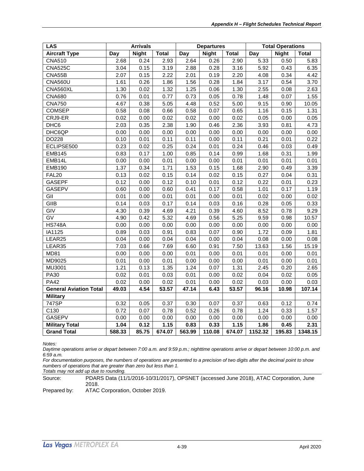| <b>LAS</b>                    | <b>Arrivals</b> |              |              | <b>Departures</b> |              |              | <b>Total Operations</b> |              |              |
|-------------------------------|-----------------|--------------|--------------|-------------------|--------------|--------------|-------------------------|--------------|--------------|
| <b>Aircraft Type</b>          | Day             | <b>Night</b> | <b>Total</b> | Day               | <b>Night</b> | <b>Total</b> | Day                     | <b>Night</b> | <b>Total</b> |
| <b>CNA510</b>                 | 2.68            | 0.24         | 2.93         | 2.64              | 0.26         | 2.90         | 5.33                    | 0.50         | 5.83         |
| <b>CNA525C</b>                | 3.04            | 0.15         | 3.19         | 2.88              | 0.28         | 3.16         | 5.92                    | 0.43         | 6.35         |
| CNA55B                        | 2.07            | 0.15         | 2.22         | 2.01              | 0.19         | 2.20         | 4.08                    | 0.34         | 4.42         |
| <b>CNA560U</b>                | 1.61            | 0.26         | 1.86         | 1.56              | 0.28         | 1.84         | 3.17                    | 0.54         | 3.70         |
| CNA560XL                      | 1.30            | 0.02         | 1.32         | 1.25              | 0.06         | 1.30         | 2.55                    | 0.08         | 2.63         |
| <b>CNA680</b>                 | 0.76            | 0.01         | 0.77         | 0.73              | 0.05         | 0.78         | 1.48                    | 0.07         | 1.55         |
| <b>CNA750</b>                 | 4.67            | 0.38         | 5.05         | 4.48              | 0.52         | 5.00         | 9.15                    | 0.90         | 10.05        |
| <b>COMSEP</b>                 | 0.58            | 0.08         | 0.66         | 0.58              | 0.07         | 0.65         | 1.16                    | 0.15         | 1.31         |
| CRJ9-ER                       | 0.02            | 0.00         | 0.02         | 0.02              | 0.00         | 0.02         | 0.05                    | 0.00         | 0.05         |
| DHC6                          | 2.03            | 0.35         | 2.38         | 1.90              | 0.46         | 2.36         | 3.93                    | 0.81         | 4.73         |
| DHC6QP                        | 0.00            | 0.00         | 0.00         | 0.00              | 0.00         | 0.00         | 0.00                    | 0.00         | 0.00         |
| DO228                         | 0.10            | 0.01         | 0.11         | 0.11              | 0.00         | 0.11         | 0.21                    | 0.01         | 0.22         |
| ECLIPSE500                    | 0.23            | 0.02         | 0.25         | 0.24              | 0.01         | 0.24         | 0.46                    | 0.03         | 0.49         |
| <b>EMB145</b>                 | 0.83            | 0.17         | 1.00         | 0.85              | 0.14         | 0.99         | 1.68                    | 0.31         | 1.99         |
| EMB14L                        | 0.00            | 0.00         | 0.01         | 0.00              | 0.00         | 0.01         | 0.01                    | 0.01         | 0.01         |
| <b>EMB190</b>                 | 1.37            | 0.34         | 1.71         | 1.53              | 0.15         | 1.68         | 2.90                    | 0.49         | 3.39         |
| FAL <sub>20</sub>             | 0.13            | 0.02         | 0.15         | 0.14              | 0.02         | 0.15         | 0.27                    | 0.04         | 0.31         |
| <b>GASEPF</b>                 | 0.12            | 0.00         | 0.12         | 0.10              | 0.01         | 0.12         | 0.22                    | 0.01         | 0.23         |
| <b>GASEPV</b>                 | 0.60            | 0.00         | 0.60         | 0.41              | 0.17         | 0.58         | 1.01                    | 0.17         | 1.19         |
| $\overline{G}$                | 0.01            | 0.00         | 0.01         | 0.01              | 0.00         | 0.01         | 0.02                    | 0.00         | 0.02         |
| GIIB                          | 0.14            | 0.03         | 0.17         | 0.14              | 0.03         | 0.16         | 0.28                    | 0.05         | 0.33         |
| GIV                           | 4.30            | 0.39         | 4.69         | 4.21              | 0.39         | 4.60         | 8.52                    | 0.78         | 9.29         |
| $\overline{GV}$               | 4.90            | 0.42         | 5.32         | 4.69              | 0.56         | 5.25         | 9.59                    | 0.98         | 10.57        |
| <b>HS748A</b>                 | 0.00            | 0.00         | 0.00         | 0.00              | 0.00         | 0.00         | 0.00                    | 0.00         | 0.00         |
| IA1125                        | 0.89            | 0.03         | 0.91         | 0.83              | 0.07         | 0.90         | 1.72                    | 0.09         | 1.81         |
| LEAR25                        | 0.04            | 0.00         | 0.04         | 0.04              | 0.00         | 0.04         | 0.08                    | 0.00         | 0.08         |
| LEAR35                        | 7.03            | 0.66         | 7.69         | 6.60              | 0.91         | 7.50         | 13.63                   | 1.56         | 15.19        |
| <b>MD81</b>                   | 0.00            | 0.00         | 0.00         | 0.01              | 0.00         | 0.01         | 0.01                    | 0.00         | 0.01         |
| MD9025                        | 0.01            | 0.00         | 0.01         | 0.00              | 0.00         | 0.00         | 0.01                    | 0.00         | 0.01         |
| MU3001                        | 1.21            | 0.13         | 1.35         | 1.24              | 0.07         | 1.31         | 2.45                    | 0.20         | 2.65         |
| <b>PA30</b>                   | 0.02            | 0.01         | 0.03         | 0.01              | 0.00         | 0.02         | 0.04                    | 0.02         | 0.05         |
| <b>PA42</b>                   | 0.02            | 0.00         | 0.02         | 0.01              | 0.00         | 0.02         | 0.03                    | 0.00         | 0.03         |
| <b>General Aviation Total</b> | 49.03           | 4.54         | 53.57        | 47.14             | 6.43         | 53.57        | 96.16                   | 10.98        | 107.14       |
| <b>Military</b>               |                 |              |              |                   |              |              |                         |              |              |
| 747SP                         | 0.32            | 0.05         | 0.37         | 0.30              | 0.07         | 0.37         | 0.63                    | 0.12         | 0.74         |
| C130                          | 0.72            | 0.07         | 0.78         | 0.52              | 0.26         | 0.78         | 1.24                    | 0.33         | 1.57         |
| <b>GASEPV</b>                 | 0.00            | 0.00         | 0.00         | 0.00              | 0.00         | 0.00         | 0.00                    | 0.00         | 0.00         |
| <b>Military Total</b>         | 1.04            | 0.12         | 1.15         | 0.83              | 0.33         | 1.15         | 1.86                    | 0.45         | 2.31         |
| <b>Grand Total</b>            | 588.33          | 85.75        | 674.07       | 563.99            | 110.08       | 674.07       | 1152.32                 | 195.83       | 1348.15      |

*Daytime operations arrive or depart between 7:00 a.m. and 9:59 p.m.; nighttime operations arrive or depart between 10:00 p.m. and 6:59 a.m.*

*For documentation purposes, the numbers of operations are presented to a precision of two digits after the decimal point to show numbers of operations that are greater than zero but less than 1.*

*Totals may not add up due to rounding.*

Source: PDARS Data (11/1/2016-10/31/2017), OPSNET (accessed June 2018), ATAC Corporation, June 2018.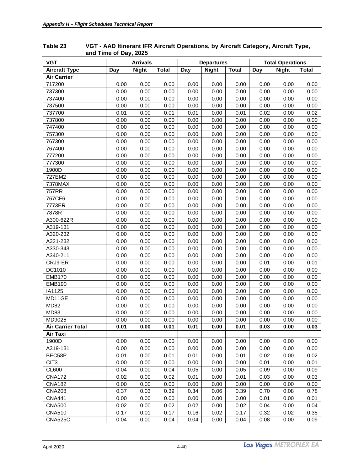| <b>VGT</b>               | <b>Arrivals</b> |              |              | <b>Departures</b> |              | <b>Total Operations</b> |      |              |              |
|--------------------------|-----------------|--------------|--------------|-------------------|--------------|-------------------------|------|--------------|--------------|
| <b>Aircraft Type</b>     | Day             | <b>Night</b> | <b>Total</b> | Day               | <b>Night</b> | <b>Total</b>            | Day  | <b>Night</b> | <b>Total</b> |
| <b>Air Carrier</b>       |                 |              |              |                   |              |                         |      |              |              |
| 717200                   | 0.00            | 0.00         | 0.00         | 0.00              | 0.00         | 0.00                    | 0.00 | 0.00         | 0.00         |
| 737300                   | 0.00            | 0.00         | 0.00         | 0.00              | 0.00         | 0.00                    | 0.00 | 0.00         | 0.00         |
| 737400                   | 0.00            | 0.00         | 0.00         | 0.00              | 0.00         | 0.00                    | 0.00 | 0.00         | 0.00         |
| 737500                   | 0.00            | 0.00         | 0.00         | 0.00              | 0.00         | 0.00                    | 0.00 | 0.00         | 0.00         |
| 737700                   | 0.01            | 0.00         | 0.01         | 0.01              | 0.00         | 0.01                    | 0.02 | 0.00         | 0.02         |
| 737800                   | 0.00            | 0.00         | 0.00         | 0.00              | 0.00         | 0.00                    | 0.00 | 0.00         | 0.00         |
| 747400                   | 0.00            | 0.00         | 0.00         | 0.00              | 0.00         | 0.00                    | 0.00 | 0.00         | 0.00         |
| 757300                   | 0.00            | 0.00         | 0.00         | 0.00              | 0.00         | 0.00                    | 0.00 | 0.00         | 0.00         |
| 767300                   | 0.00            | 0.00         | 0.00         | 0.00              | 0.00         | 0.00                    | 0.00 | 0.00         | 0.00         |
| 767400                   | 0.00            | 0.00         | 0.00         | 0.00              | 0.00         | 0.00                    | 0.00 | 0.00         | 0.00         |
| 777200                   | 0.00            | 0.00         | 0.00         | 0.00              | 0.00         | 0.00                    | 0.00 | 0.00         | 0.00         |
| 777300                   | 0.00            | 0.00         | 0.00         | 0.00              | 0.00         | 0.00                    | 0.00 | 0.00         | 0.00         |
| 1900D                    | 0.00            | 0.00         | 0.00         | 0.00              | 0.00         | 0.00                    | 0.00 | 0.00         | 0.00         |
| 727EM2                   | 0.00            | 0.00         | 0.00         | 0.00              | 0.00         | 0.00                    | 0.00 | 0.00         | 0.00         |
| 7378MAX                  | 0.00            | 0.00         | 0.00         | 0.00              | 0.00         | 0.00                    | 0.00 | 0.00         | 0.00         |
| 757RR                    | 0.00            | 0.00         | 0.00         | 0.00              | 0.00         | 0.00                    | 0.00 | 0.00         | 0.00         |
| 767CF6                   | 0.00            | 0.00         | 0.00         | 0.00              | 0.00         | 0.00                    | 0.00 | 0.00         | 0.00         |
| 7773ER                   | 0.00            | 0.00         | 0.00         | 0.00              | 0.00         | 0.00                    | 0.00 | 0.00         | 0.00         |
| 7878R                    | 0.00            | 0.00         | 0.00         | 0.00              | 0.00         | 0.00                    | 0.00 | 0.00         | 0.00         |
| A300-622R                | 0.00            | 0.00         | 0.00         | 0.00              | 0.00         | 0.00                    | 0.00 | 0.00         | 0.00         |
| A319-131                 | 0.00            | 0.00         | 0.00         | 0.00              | 0.00         | 0.00                    | 0.00 | 0.00         | 0.00         |
| A320-232                 | 0.00            | 0.00         | 0.00         | 0.00              | 0.00         | 0.00                    | 0.00 | 0.00         | 0.00         |
| A321-232                 | 0.00            | 0.00         | 0.00         | 0.00              | 0.00         | 0.00                    | 0.00 | 0.00         | 0.00         |
| A330-343                 | 0.00            | 0.00         | 0.00         | 0.00              | 0.00         | 0.00                    | 0.00 | 0.00         | 0.00         |
| A340-211                 | 0.00            | 0.00         | 0.00         | 0.00              | 0.00         | 0.00                    | 0.00 | 0.00         | 0.00         |
| CRJ9-ER                  | 0.00            | 0.00         | 0.00         | 0.00              | 0.00         | 0.00                    | 0.01 | 0.00         | 0.01         |
| DC1010                   | 0.00            | 0.00         | 0.00         | 0.00              | 0.00         | 0.00                    | 0.00 | 0.00         | 0.00         |
| <b>EMB170</b>            | 0.00            | 0.00         | 0.00         | 0.00              | 0.00         | 0.00                    | 0.00 | 0.00         | 0.00         |
| <b>EMB190</b>            | 0.00            | 0.00         | 0.00         | 0.00              | 0.00         | 0.00                    | 0.00 | 0.00         | 0.00         |
| IA1125                   | 0.00            | 0.00         | 0.00         | 0.00              | 0.00         | 0.00                    | 0.00 | 0.00         | 0.00         |
| MD11GE                   | 0.00            | 0.00         | 0.00         | 0.00              | 0.00         | 0.00                    | 0.00 | 0.00         | 0.00         |
| <b>MD82</b>              | 0.00            | 0.00         | 0.00         | 0.00              | 0.00         | 0.00                    | 0.00 | 0.00         | 0.00         |
| <b>MD83</b>              | 0.00            | 0.00         | 0.00         | 0.00              | 0.00         | 0.00                    | 0.00 | 0.00         | 0.00         |
| MD9025                   | 0.00            | 0.00         | 0.00         | 0.00              | 0.00         | 0.00                    | 0.00 | 0.00         | 0.00         |
| <b>Air Carrier Total</b> | 0.01            | 0.00         | 0.01         | 0.01              | 0.00         | 0.01                    | 0.03 | 0.00         | 0.03         |
| Air Taxi                 |                 |              |              |                   |              |                         |      |              |              |
| 1900D                    | 0.00            | 0.00         | 0.00         | 0.00              | 0.00         | 0.00                    | 0.00 | 0.00         | 0.00         |
| A319-131                 | 0.00            | 0.00         | 0.00         | 0.00              | 0.00         | 0.00                    | 0.00 | 0.00         | 0.00         |
| BEC58P                   | 0.01            | 0.00         | 0.01         | 0.01              | 0.00         | 0.01                    | 0.02 | 0.00         | 0.02         |
| CIT <sub>3</sub>         | 0.00            | 0.00         | 0.00         | 0.00              | 0.00         | 0.00                    | 0.01 | 0.00         | 0.01         |
| <b>CL600</b>             | 0.04            | 0.00         | 0.04         | 0.05              | 0.00         | 0.05                    | 0.09 | 0.00         | 0.09         |
| <b>CNA172</b>            | 0.02            | 0.00         | 0.02         | 0.01              | 0.00         | 0.01                    | 0.03 | 0.00         | 0.03         |
| <b>CNA182</b>            | 0.00            | 0.00         | 0.00         | 0.00              | 0.00         | 0.00                    | 0.00 | 0.00         | 0.00         |
| <b>CNA208</b>            | 0.37            | 0.03         | 0.39         | 0.34              | 0.06         | 0.39                    | 0.70 | 0.08         | 0.78         |
| <b>CNA441</b>            | 0.00            | 0.00         | 0.00         | 0.00              | 0.00         | 0.00                    | 0.01 | 0.00         | 0.01         |
| <b>CNA500</b>            | 0.02            | 0.00         | 0.02         | 0.02              | 0.00         | 0.02                    | 0.04 | 0.00         | 0.04         |
| <b>CNA510</b>            | 0.17            | 0.01         | 0.17         | 0.16              | 0.02         | 0.17                    | 0.32 | 0.02         | 0.35         |
| <b>CNA525C</b>           | 0.04            | 0.00         | 0.04         | 0.04              | 0.00         | 0.04                    | 0.08 | 0.00         | 0.09         |

#### <span id="page-45-0"></span>**Table 23 VGT - AAD Itinerant IFR Aircraft Operations, by Aircraft Category, Aircraft Type, and Time of Day, 2025**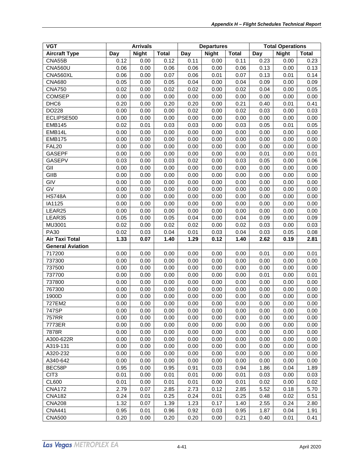| <b>VGT</b>              | <b>Arrivals</b> |              |              | <b>Departures</b> |              | <b>Total Operations</b> |      |              |              |
|-------------------------|-----------------|--------------|--------------|-------------------|--------------|-------------------------|------|--------------|--------------|
| <b>Aircraft Type</b>    | Day             | <b>Night</b> | <b>Total</b> | Day               | <b>Night</b> | <b>Total</b>            | Day  | <b>Night</b> | <b>Total</b> |
| CNA55B                  | 0.12            | 0.00         | 0.12         | 0.11              | 0.00         | 0.11                    | 0.23 | 0.00         | 0.23         |
| <b>CNA560U</b>          | 0.06            | 0.00         | 0.06         | 0.06              | 0.00         | 0.06                    | 0.13 | 0.00         | 0.13         |
| CNA560XL                | 0.06            | 0.00         | 0.07         | 0.06              | 0.01         | 0.07                    | 0.13 | 0.01         | 0.14         |
| <b>CNA680</b>           | 0.05            | 0.00         | 0.05         | 0.04              | 0.00         | 0.04                    | 0.09 | 0.00         | 0.09         |
| <b>CNA750</b>           | 0.02            | 0.00         | 0.02         | 0.02              | 0.00         | 0.02                    | 0.04 | 0.00         | 0.05         |
| <b>COMSEP</b>           | 0.00            | 0.00         | 0.00         | 0.00              | 0.00         | 0.00                    | 0.00 | 0.00         | 0.00         |
| DHC6                    | 0.20            | 0.00         | 0.20         | 0.20              | 0.00         | 0.21                    | 0.40 | 0.01         | 0.41         |
| DO228                   | 0.00            | 0.00         | 0.00         | 0.02              | 0.00         | 0.02                    | 0.03 | 0.00         | 0.03         |
| ECLIPSE500              | 0.00            | 0.00         | 0.00         | 0.00              | 0.00         | 0.00                    | 0.00 | 0.00         | 0.00         |
| <b>EMB145</b>           | 0.02            | 0.01         | 0.03         | 0.03              | 0.00         | 0.03                    | 0.05 | 0.01         | 0.05         |
| EMB14L                  | 0.00            | 0.00         | 0.00         | 0.00              | 0.00         | 0.00                    | 0.00 | 0.00         | 0.00         |
| <b>EMB175</b>           | 0.00            | 0.00         | 0.00         | 0.00              | 0.00         | 0.00                    | 0.00 | 0.00         | 0.00         |
| <b>FAL20</b>            | 0.00            | 0.00         | 0.00         | 0.00              | 0.00         | 0.00                    | 0.00 | 0.00         | 0.00         |
| <b>GASEPF</b>           | 0.00            | 0.00         | 0.00         | 0.00              | 0.00         | 0.00                    | 0.01 | 0.00         | 0.01         |
| <b>GASEPV</b>           | 0.03            | 0.00         | 0.03         | 0.02              | 0.00         | 0.03                    | 0.05 | 0.00         | 0.06         |
| GII                     | 0.00            | 0.00         | 0.00         | 0.00              | 0.00         | 0.00                    | 0.00 | 0.00         | 0.00         |
| GIIB                    | 0.00            | 0.00         | 0.00         | 0.00              | 0.00         | 0.00                    | 0.00 | 0.00         | 0.00         |
| GIV                     | 0.00            | 0.00         | 0.00         | 0.00              | 0.00         | 0.00                    | 0.00 | 0.00         | 0.00         |
| GV                      | 0.00            | 0.00         | 0.00         | 0.00              | 0.00         | 0.00                    | 0.00 | 0.00         | 0.00         |
| <b>HS748A</b>           | 0.00            | 0.00         | 0.00         | 0.00              | 0.00         | 0.00                    | 0.00 | 0.00         | 0.00         |
| IA1125                  | 0.00            | 0.00         | 0.00         | 0.00              | 0.00         | 0.00                    | 0.00 | 0.00         | 0.00         |
| LEAR25                  | 0.00            | 0.00         | 0.00         | 0.00              | 0.00         | 0.00                    | 0.00 | 0.00         | 0.00         |
| LEAR35                  | 0.05            | 0.00         | 0.05         | 0.04              | 0.00         | 0.04                    | 0.09 | 0.00         | 0.09         |
| MU3001                  | 0.02            | 0.00         | 0.02         | 0.02              | 0.00         | 0.02                    | 0.03 | 0.00         | 0.03         |
| <b>PA30</b>             | 0.02            | 0.03         | 0.04         | 0.01              | 0.03         | 0.04                    | 0.03 | 0.05         | 0.08         |
| <b>Air Taxi Total</b>   | 1.33            | 0.07         | 1.40         | 1.29              | 0.12         | 1.40                    | 2.62 | 0.19         | 2.81         |
| <b>General Aviation</b> |                 |              |              |                   |              |                         |      |              |              |
| 717200                  | 0.00            | 0.00         | 0.00         | 0.00              | 0.00         | 0.00                    | 0.01 | 0.00         | 0.01         |
| 737300                  | 0.00            | 0.00         | 0.00         | 0.00              | 0.00         | 0.00                    | 0.00 | 0.00         | 0.00         |
| 737500                  | 0.00            | 0.00         | 0.00         | 0.00              | 0.00         | 0.00                    | 0.00 | 0.00         | 0.00         |
| 737700                  | 0.00            | 0.00         | 0.00         | 0.00              | 0.00         | 0.00                    | 0.01 | 0.00         | 0.01         |
| 737800                  | 0.00            | 0.00         | 0.00         | 0.00              | 0.00         | 0.00                    | 0.00 | 0.00         | 0.00         |
| 767300                  | 0.00            | 0.00         | 0.00         | 0.00              | 0.00         | 0.00                    | 0.00 | 0.00         | 0.00         |
| 1900D                   | 0.00            | 0.00         | 0.00         | 0.00              | 0.00         | 0.00                    | 0.00 | 0.00         | 0.00         |
| 727EM2                  | 0.00            | 0.00         | 0.00         | 0.00              | 0.00         | 0.00                    | 0.00 | 0.00         | 0.00         |
| 747SP                   | 0.00            | 0.00         | 0.00         | 0.00              | 0.00         | 0.00                    | 0.00 | 0.00         | 0.00         |
| 757RR                   | 0.00            | 0.00         | 0.00         | 0.00              | 0.00         | 0.00                    | 0.00 | 0.00         | 0.00         |
| 7773ER                  | 0.00            | 0.00         | 0.00         | 0.00              | 0.00         | 0.00                    | 0.00 | 0.00         | 0.00         |
| 7878R                   | 0.00            | 0.00         | 0.00         | 0.00              | 0.00         | 0.00                    | 0.00 | 0.00         | 0.00         |
| A300-622R               | 0.00            | 0.00         | 0.00         | 0.00              | 0.00         | 0.00                    | 0.00 | 0.00         | 0.00         |
| A319-131                | 0.00            | 0.00         | 0.00         | 0.00              | 0.00         | 0.00                    | 0.00 | 0.00         | 0.00         |
| A320-232                | 0.00            | 0.00         | 0.00         | 0.00              | 0.00         | 0.00                    | 0.00 | 0.00         | 0.00         |
| A340-642                | 0.00            | 0.00         | 0.00         | 0.00              | 0.00         | 0.00                    | 0.00 | 0.00         | 0.00         |
| BEC58P                  | 0.95            | 0.00         | 0.95         | 0.91              | 0.03         | 0.94                    | 1.86 | 0.04         | 1.89         |
| CIT <sub>3</sub>        | 0.01            | 0.00         | 0.01         | 0.01              | 0.00         | 0.01                    | 0.03 | 0.00         | 0.03         |
| <b>CL600</b>            | 0.01            | 0.00         | 0.01         | 0.01              | 0.00         | 0.01                    | 0.02 | 0.00         | 0.02         |
| <b>CNA172</b>           | 2.79            | 0.07         | 2.85         | 2.73              | 0.12         | 2.85                    | 5.52 | 0.18         | 5.70         |
| <b>CNA182</b>           | 0.24            | 0.01         | 0.25         | 0.24              | 0.01         | 0.25                    | 0.48 | 0.02         | 0.51         |
| <b>CNA208</b>           | 1.32            | 0.07         | 1.39         | 1.23              | 0.17         | 1.40                    | 2.55 | 0.24         | 2.80         |
| <b>CNA441</b>           | 0.95            | 0.01         | 0.96         | 0.92              | 0.03         | 0.95                    | 1.87 | 0.04         | 1.91         |
| <b>CNA500</b>           | 0.20            | 0.00         | 0.20         | 0.20              | 0.00         | 0.21                    | 0.40 | 0.01         | 0.41         |